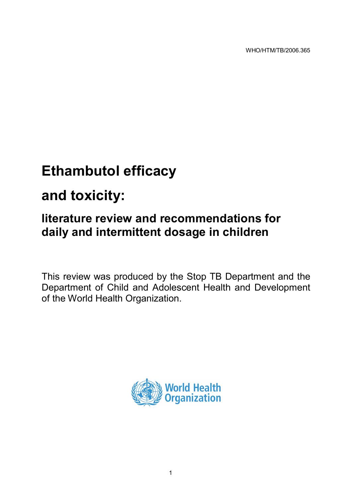WHO/HTM/TB/2006.365

# **Ethambutol efficacy**

## **and toxicity:**

## **literature review and recommendations for daily and intermittent dosage in children**

This review was produced by the Stop TB Department and the Department of Child and Adolescent Health and Development of the World Health Organization.

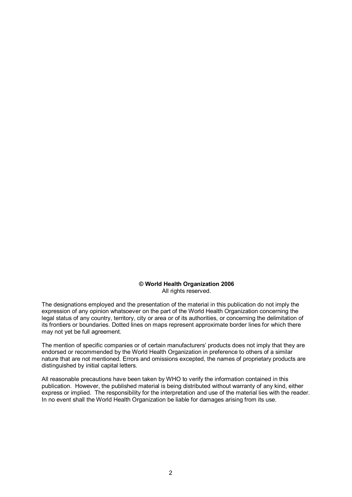#### **© World Health Organization 2006** All rights reserved.

The designations employed and the presentation of the material in this publication do not imply the expression of any opinion whatsoever on the part of the World Health Organization concerning the legal status of any country, territory, city or area or of its authorities, or concerning the delimitation of its frontiers or boundaries. Dotted lines on maps represent approximate border lines for which there may not yet be full agreement.

The mention of specific companies or of certain manufacturers' products does not imply that they are endorsed or recommended by the World Health Organization in preference to others of a similar nature that are not mentioned. Errors and omissions excepted, the names of proprietary products are distinguished by initial capital letters.

All reasonable precautions have been taken by WHO to verify the information contained in this publication. However, the published material is being distributed without warranty of any kind, either express or implied. The responsibility for the interpretation and use of the material lies with the reader. In no event shall the World Health Organization be liable for damages arising from its use.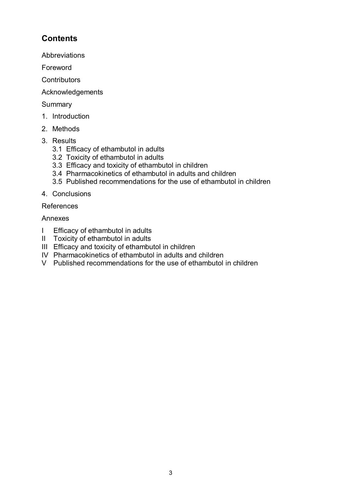## **Contents**

Abbreviations

Foreword

**Contributors** 

Acknowledgements

Summary

- 1. Introduction
- 2. Methods
- 3. Results
	- 3.1 Efficacy of ethambutol in adults
	- 3.2 Toxicity of ethambutol in adults
	- 3.3 Efficacy and toxicity of ethambutol in children
	- 3.4 Pharmacokinetics of ethambutol in adults and children
	- 3.5 Published recommendations for the use of ethambutol in children
- 4. Conclusions

## References

## Annexes

- I Efficacy of ethambutol in adults
- II Toxicity of ethambutol in adults
- III Efficacy and toxicity of ethambutol in children
- IV Pharmacokinetics of ethambutol in adults and children
- V Published recommendations for the use of ethambutol in children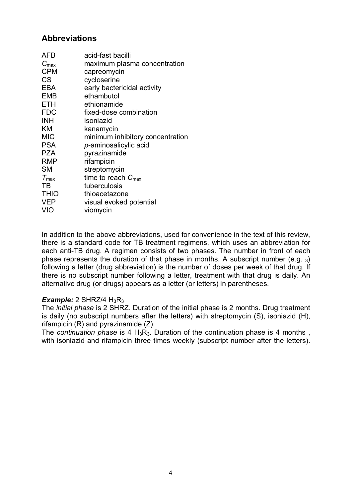## **Abbreviations**

| AFB              | acid-fast bacilli                |
|------------------|----------------------------------|
| $C_{\text{max}}$ | maximum plasma concentration     |
| <b>CPM</b>       | capreomycin                      |
| CS               | cycloserine                      |
| EBA              | early bactericidal activity      |
| <b>EMB</b>       | ethambutol                       |
| ETH              | ethionamide                      |
| <b>FDC</b>       | fixed-dose combination           |
| <b>INH</b>       | isoniazid                        |
| ΚM               | kanamycin                        |
| <b>MIC</b>       | minimum inhibitory concentration |
| <b>PSA</b>       | p-aminosalicylic acid            |
| <b>PZA</b>       | pyrazinamide                     |
| <b>RMP</b>       | rifampicin                       |
| <b>SM</b>        | streptomycin                     |
| $T_{\text{max}}$ | time to reach $C_{\text{max}}$   |
| TВ               | tuberculosis                     |
| <b>THIO</b>      | thioacetazone                    |
| <b>VEP</b>       | visual evoked potential          |
| VIO              | viomycin                         |

In addition to the above abbreviations, used for convenience in the text of this review, there is a standard code for TB treatment regimens, which uses an abbreviation for each anti-TB drug. A regimen consists of two phases. The number in front of each phase represents the duration of that phase in months. A subscript number (e.g.  $_3$ ) following a letter (drug abbreviation) is the number of doses per week of that drug. If there is no subscript number following a letter, treatment with that drug is daily. An alternative drug (or drugs) appears as a letter (or letters) in parentheses.

#### *Example:* 2 SHRZ/4  $H_3R_3$

The *initial phase* is 2 SHRZ. Duration of the initial phase is 2 months. Drug treatment is daily (no subscript numbers after the letters) with streptomycin (S), isoniazid (H), rifampicin (R) and pyrazinamide (Z).

The *continuation phase* is 4  $H_3R_3$ . Duration of the continuation phase is 4 months, with isoniazid and rifampicin three times weekly (subscript number after the letters).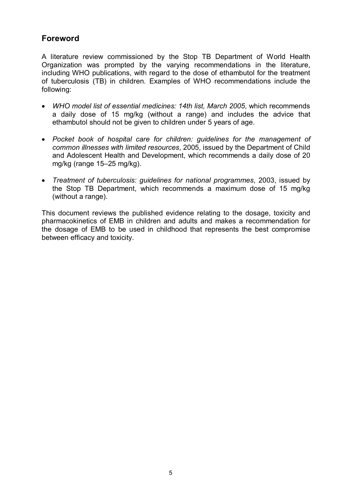## **Foreword**

A literature review commissioned by the Stop TB Department of World Health Organization was prompted by the varying recommendations in the literature, including WHO publications, with regard to the dose of ethambutol for the treatment of tuberculosis (TB) in children. Examples of WHO recommendations include the following:

- · *WHO model list of essential medicines: 14th list, March 2005*, which recommends a daily dose of 15 mg/kg (without a range) and includes the advice that ethambutol should not be given to children under 5 years of age.
- · *Pocket book of hospital care for children: guidelines for the management of common illnesses with limited resources*, 2005, issued by the Department of Child and Adolescent Health and Development, which recommends a daily dose of 20 mg/kg (range 15–25 mg/kg).
- · *Treatment of tuberculosis: guidelines for national programmes*, 2003, issued by the Stop TB Department, which recommends a maximum dose of 15 mg/kg (without a range).

This document reviews the published evidence relating to the dosage, toxicity and pharmacokinetics of EMB in children and adults and makes a recommendation for the dosage of EMB to be used in childhood that represents the best compromise between efficacy and toxicity.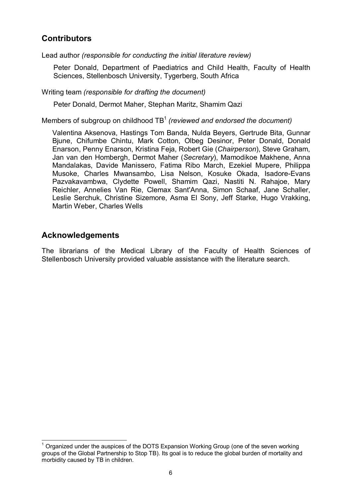## **Contributors**

Lead author *(responsible for conducting the initial literature review)*

Peter Donald, Department of Paediatrics and Child Health, Faculty of Health Sciences, Stellenbosch University, Tygerberg, South Africa

Writing team *(responsible for drafting the document)*

Peter Donald, Dermot Maher, Stephan Maritz, Shamim Qazi

Members of subgroup on childhood TB 1 *(reviewed and endorsed the document)*

Valentina Aksenova, Hastings Tom Banda, Nulda Beyers, Gertrude Bita, Gunnar Bjune, Chifumbe Chintu, Mark Cotton, Olbeg Desinor, Peter Donald, Donald Enarson, Penny Enarson, Kristina Feja, Robert Gie (*Chairperson*), Steve Graham, Jan van den Hombergh, Dermot Maher (*Secretary*), Mamodikoe Makhene, Anna Mandalakas, Davide Manissero, Fatima Ribo March, Ezekiel Mupere, Philippa Musoke, Charles Mwansambo, Lisa Nelson, Kosuke Okada, Isadore-Evans Pazvakavambwa, Clydette Powell, Shamim Qazi, Nastiti N. Rahajoe, Mary Reichler, Annelies Van Rie, Clemax Sant'Anna, Simon Schaaf, Jane Schaller, Leslie Serchuk, Christine Sizemore, Asma El Sony, Jeff Starke, Hugo Vrakking, Martin Weber, Charles Wells

## **Acknowledgements**

The librarians of the Medical Library of the Faculty of Health Sciences of Stellenbosch University provided valuable assistance with the literature search.

 $<sup>1</sup>$  Organized under the auspices of the DOTS Expansion Working Group (one of the seven working</sup> groups of the Global Partnership to Stop TB). Its goal is to reduce the global burden of mortality and morbidity caused by TB in children.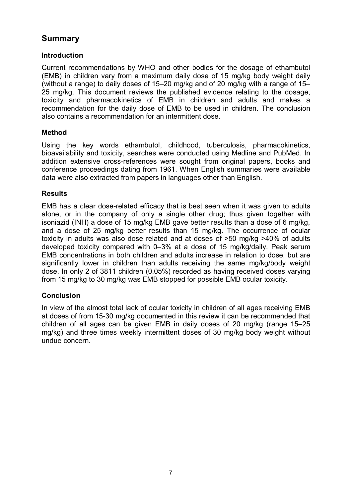## **Summary**

## **Introduction**

Current recommendations by WHO and other bodies for the dosage of ethambutol (EMB) in children vary from a maximum daily dose of 15 mg/kg body weight daily (without a range) to daily doses of 15–20 mg/kg and of 20 mg/kg with a range of 15– 25 mg/kg. This document reviews the published evidence relating to the dosage, toxicity and pharmacokinetics of EMB in children and adults and makes a recommendation for the daily dose of EMB to be used in children. The conclusion also contains a recommendation for an intermittent dose.

#### **Method**

Using the key words ethambutol, childhood, tuberculosis, pharmacokinetics, bioavailability and toxicity, searches were conducted using Medline and PubMed. In addition extensive cross-references were sought from original papers, books and conference proceedings dating from 1961. When English summaries were available data were also extracted from papers in languages other than English.

#### **Results**

EMB has a clear dose-related efficacy that is best seen when it was given to adults alone, or in the company of only a single other drug; thus given together with isoniazid (INH) a dose of 15 mg/kg EMB gave better results than a dose of 6 mg/kg, and a dose of 25 mg/kg better results than 15 mg/kg. The occurrence of ocular toxicity in adults was also dose related and at doses of >50 mg/kg >40% of adults developed toxicity compared with 0–3% at a dose of 15 mg/kg/daily. Peak serum EMB concentrations in both children and adults increase in relation to dose, but are significantly lower in children than adults receiving the same mg/kg/body weight dose. In only 2 of 3811 children (0.05%) recorded as having received doses varying from 15 mg/kg to 30 mg/kg was EMB stopped for possible EMB ocular toxicity.

## **Conclusion**

In view of the almost total lack of ocular toxicity in children of all ages receiving EMB at doses of from 15-30 mg/kg documented in this review it can be recommended that children of all ages can be given EMB in daily doses of 20 mg/kg (range 15–25 mg/kg) and three times weekly intermittent doses of 30 mg/kg body weight without undue concern.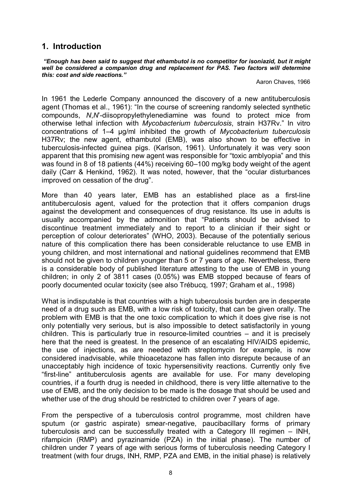## **1. Introduction**

*"Enough has been said to suggest that ethambutol is no competitor for isoniazid, but it might well be considered a companion drug and replacement for PAS. Two factors will determine this: cost and side reactions."*

Aaron Chaves, 1966

In 1961 the Lederle Company announced the discovery of a new antituberculosis agent (Thomas et al., 1961): "In the course of screening randomly selected synthetic compounds, *N*,*N*'diisopropylethylenediamine was found to protect mice from otherwise lethal infection with *Mycobacterium tuberculosis*, strain H37Rv." In vitro concentrations of 1–4 µg/ml inhibited the growth of *Mycobacterium tuberculosis* H37Rv; the new agent, ethambutol (EMB), was also shown to be effective in tuberculosis-infected guinea pigs. (Karlson, 1961). Unfortunately it was very soon apparent that this promising new agent was responsible for "toxic amblyopia" and this was found in 8 of 18 patients (44%) receiving 60–100 mg/kg body weight of the agent daily (Carr & Henkind, 1962). It was noted, however, that the "ocular disturbances improved on cessation of the drug".

More than 40 years later, EMB has an established place as a first-line antituberculosis agent, valued for the protection that it offers companion drugs against the development and consequences of drug resistance. Its use in adults is usually accompanied by the admonition that "Patients should be advised to discontinue treatment immediately and to report to a clinician if their sight or perception of colour deteriorates" (WHO, 2003). Because of the potentially serious nature of this complication there has been considerable reluctance to use EMB in young children, and most international and national guidelines recommend that EMB should not be given to children younger than 5 or 7 years of age. Nevertheless, there is a considerable body of published literature attesting to the use of EMB in young children; in only 2 of 3811 cases (0.05%) was EMB stopped because of fears of poorly documented ocular toxicity (see also Trébucq, 1997; Graham et al., 1998)

What is indisputable is that countries with a high tuberculosis burden are in desperate need of a drug such as EMB, with a low risk of toxicity, that can be given orally. The problem with EMB is that the one toxic complication to which it does give rise is not only potentially very serious, but is also impossible to detect satisfactorily in young  $children$ . This is particularly true in resource-limited countries  $-$  and it is precisely here that the need is greatest. In the presence of an escalating HIV/AIDS epidemic, the use of injections, as are needed with streptomycin for example, is now considered inadvisable, while thioacetazone has fallen into disrepute because of an unacceptably high incidence of toxic hypersensitivity reactions. Currently only five "first-line" antituberculosis agents are available for use. For many developing countries, if a fourth drug is needed in childhood, there is very little alternative to the use of EMB, and the only decision to be made is the dosage that should be used and whether use of the drug should be restricted to children over 7 years of age.

From the perspective of a tuberculosis control programme, most children have sputum (or gastric aspirate) smear-negative, paucibacillary forms of primary tuberculosis and can be successfully treated with a Category III regimen – INH, rifampicin (RMP) and pyrazinamide (PZA) in the initial phase). The number of children under 7 years of age with serious forms of tuberculosis needing Category I treatment (with four drugs, INH, RMP, PZA and EMB, in the initial phase) is relatively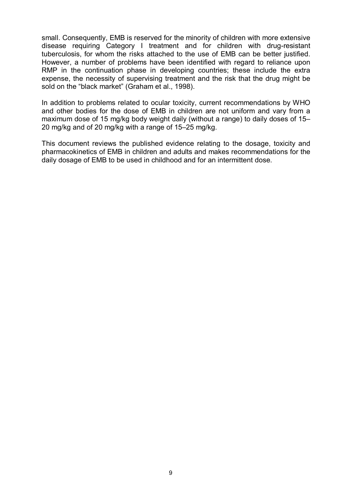small. Consequently, EMB is reserved for the minority of children with more extensive disease requiring Category I treatment and for children with drug-resistant tuberculosis, for whom the risks attached to the use of EMB can be better justified. However, a number of problems have been identified with regard to reliance upon RMP in the continuation phase in developing countries; these include the extra expense, the necessity of supervising treatment and the risk that the drug might be sold on the "black market" (Graham et al., 1998).

In addition to problems related to ocular toxicity, current recommendations by WHO and other bodies for the dose of EMB in children are not uniform and vary from a maximum dose of 15 mg/kg body weight daily (without a range) to daily doses of 15– 20 mg/kg and of 20 mg/kg with a range of 15–25 mg/kg.

This document reviews the published evidence relating to the dosage, toxicity and pharmacokinetics of EMB in children and adults and makes recommendations for the daily dosage of EMB to be used in childhood and for an intermittent dose.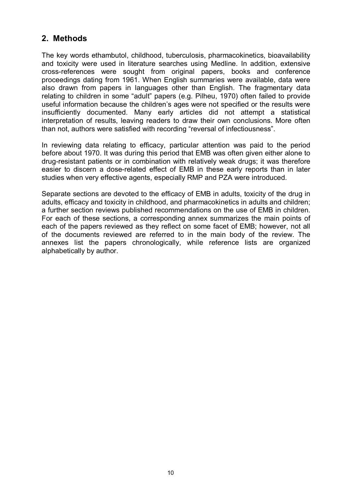## **2. Methods**

The key words ethambutol, childhood, tuberculosis, pharmacokinetics, bioavailability and toxicity were used in literature searches using Medline. In addition, extensive crossreferences were sought from original papers, books and conference proceedings dating from 1961. When English summaries were available, data were also drawn from papers in languages other than English. The fragmentary data relating to children in some "adult" papers (e.g. Pilheu, 1970) often failed to provide useful information because the children's ages were not specified or the results were insufficiently documented. Many early articles did not attempt a statistical interpretation of results, leaving readers to draw their own conclusions. More often than not, authors were satisfied with recording "reversal of infectiousness".

In reviewing data relating to efficacy, particular attention was paid to the period before about 1970. It was during this period that EMB was often given either alone to drug-resistant patients or in combination with relatively weak drugs; it was therefore easier to discern a dose-related effect of EMB in these early reports than in later studies when very effective agents, especially RMP and PZA were introduced.

Separate sections are devoted to the efficacy of EMB in adults, toxicity of the drug in adults, efficacy and toxicity in childhood, and pharmacokinetics in adults and children; a further section reviews published recommendations on the use of EMB in children. For each of these sections, a corresponding annex summarizes the main points of each of the papers reviewed as they reflect on some facet of EMB; however, not all of the documents reviewed are referred to in the main body of the review. The annexes list the papers chronologically, while reference lists are organized alphabetically by author.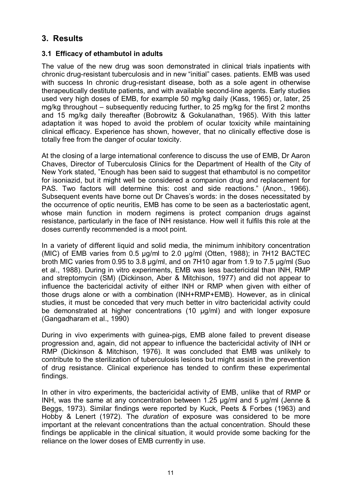## **3. Results**

#### **3.1 Efficacy of ethambutol in adults**

The value of the new drug was soon demonstrated in clinical trials inpatients with chronic drug-resistant tuberculosis and in new "initial" cases. patients. EMB was used with success In chronic drug-resistant disease, both as a sole agent in otherwise therapeutically destitute patients, and with available second-line agents. Early studies used very high doses of EMB, for example 50 mg/kg daily (Kass, 1965) or, later, 25 mg/kg throughout – subsequently reducing further, to 25 mg/kg for the first 2 months and 15 mg/kg daily thereafter (Bobrowitz & Gokulanathan, 1965). With this latter adaptation it was hoped to avoid the problem of ocular toxicity while maintaining clinical efficacy. Experience has shown, however, that no clinically effective dose is totally free from the danger of ocular toxicity.

At the closing of a large international conference to discuss the use of EMB, Dr Aaron Chaves, Director of Tuberculosis Clinics for the Department of Health of the City of New York stated, "Enough has been said to suggest that ethambutol is no competitor for isoniazid, but it might well be considered a companion drug and replacement for PAS. Two factors will determine this: cost and side reactions." (Anon., 1966). Subsequent events have borne out Dr Chaves's words: in the doses necessitated by the occurrence of optic neuritis, EMB has come to be seen as a bacteriostatic agent, whose main function in modern regimens is protect companion drugs against resistance, particularly in the face of INH resistance. How well it fulfils this role at the doses currently recommended is a moot point.

In a variety of different liquid and solid media, the minimum inhibitory concentration (MIC) of EMB varies from 0.5 μg/ml to 2.0 μg/ml (Otten, 1988); in 7H12 BACTEC broth MIC varies from 0.95 to 3.8 μg/ml, and on 7H10 agar from 1.9 to 7.5 μg/ml (Suo et al., 1988). During in vitro experiments, EMB was less bactericidal than INH, RMP and streptomycin (SM) (Dickinson, Aber & Mitchison, 1977) and did not appear to influence the bactericidal activity of either INH or RMP when given with either of those drugs alone or with a combination (INH+RMP+EMB). However, as in clinical studies, it must be conceded that very much better in vitro bactericidal activity could be demonstrated at higher concentrations (10 µg/ml) and with longer exposure (Gangadharam et al., 1990)

During in vivo experiments with guinea-pigs, EMB alone failed to prevent disease progression and, again, did not appear to influence the bactericidal activity of INH or RMP (Dickinson & Mitchison, 1976). It was concluded that EMB was unlikely to contribute to the sterilization of tuberculosis lesions but might assist in the prevention of drug resistance. Clinical experience has tended to confirm these experimental findings.

In other in vitro experiments, the bactericidal activity of EMB, unlike that of RMP or INH, was the same at any concentration between 1.25 µg/ml and 5 µg/ml (Jenne & Beggs, 1973). Similar findings were reported by Kuck, Peets & Forbes (1963) and Hobby & Lenert (1972). The *duration* of exposure was considered to be more important at the relevant concentrations than the actual concentration. Should these findings be applicable in the clinical situation, it would provide some backing for the reliance on the lower doses of EMB currently in use.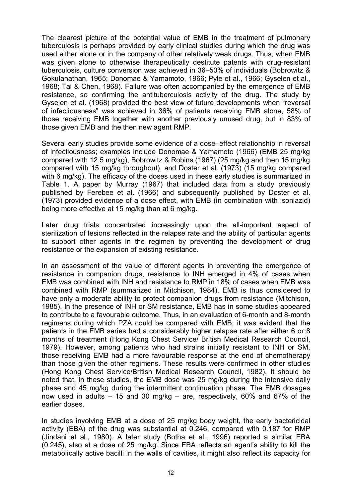The clearest picture of the potential value of EMB in the treatment of pulmonary tuberculosis is perhaps provided by early clinical studies during which the drug was used either alone or in the company of other relatively weak drugs. Thus, when EMB was given alone to otherwise therapeutically destitute patents with drug-resistant tuberculosis, culture conversion was achieved in 36–50% of individuals (Bobrowitz & Gokulanathan, 1965; Donomae & Yamamoto, 1966; Pyle et al., 1966; Gyselen et al., 1968; Tai & Chen, 1968). Failure was often accompanied by the emergence of EMB resistance, so confirming the antituberculosis activity of the drug. The study by Gyselen et al. (1968) provided the best view of future developments when "reversal of infectiousness" was achieved in 36% of patients receiving EMB alone, 58% of those receiving EMB together with another previously unused drug, but in 83% of those given EMB and the then new agent RMP.

Several early studies provide some evidence of a dose–effect relationship in reversal of infectiousness; examples include Donomae & Yamamoto (1966) (EMB 25 mg/kg compared with 12.5 mg/kg), Bobrowitz & Robins (1967) (25 mg/kg and then 15 mg/kg compared with 15 mg/kg throughout), and Doster et al. (1973) (15 mg/kg compared with 6 mg/kg). The efficacy of the doses used in these early studies is summarized in Table 1. A paper by Murray (1967) that included data from a study previously published by Ferebee et al. (1966) and subsequently published by Doster et al. (1973) provided evidence of a dose effect, with EMB (in combination with isoniazid) being more effective at 15 mg/kg than at 6 mg/kg.

Later drug trials concentrated increasingly upon the all-important aspect of sterilization of lesions reflected in the relapse rate and the ability of particular agents to support other agents in the regimen by preventing the development of drug resistance or the expansion of existing resistance.

In an assessment of the value of different agents in preventing the emergence of resistance in companion drugs, resistance to INH emerged in 4% of cases when EMB was combined with INH and resistance to RMP in 18% of cases when EMB was combined with RMP (summarized in Mitchison, 1984). EMB is thus considered to have only a moderate ability to protect companion drugs from resistance (Mitchison, 1985). In the presence of INH or SM resistance, EMB has in some studies appeared to contribute to a favourable outcome. Thus, in an evaluation of 6-month and 8-month regimens during which PZA could be compared with EMB, it was evident that the patients in the EMB series had a considerably higher relapse rate after either 6 or 8 months of treatment (Hong Kong Chest Service/ British Medical Research Council, 1979). However, among patients who had strains initially resistant to INH or SM, those receiving EMB had a more favourable response at the end of chemotherapy than those given the other regimens. These results were confirmed in other studies (Hong Kong Chest Service/British Medical Research Council, 1982). It should be noted that, in these studies, the EMB dose was 25 mg/kg during the intensive daily phase and 45 mg/kg during the intermittent continuation phase. The EMB dosages now used in adults  $-15$  and 30 mg/kg  $-$  are, respectively, 60% and 67% of the earlier doses.

In studies involving EMB at a dose of 25 mg/kg body weight, the early bactericidal activity (EBA) of the drug was substantial at 0.246, compared with 0.187 for RMP (Jindani et al., 1980). A later study (Botha et al., 1996) reported a similar EBA (0.245), also at a dose of 25 mg/kg. Since EBA reflects an agent's ability to kill the metabolically active bacilli in the walls of cavities, it might also reflect its capacity for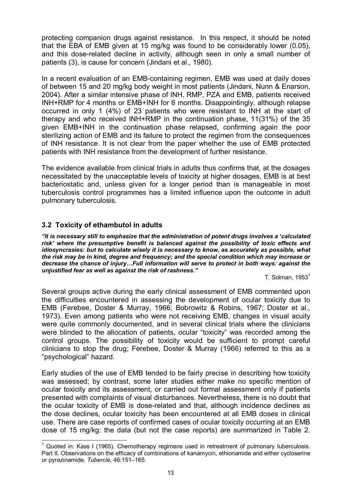protecting companion drugs against resistance. In this respect, it should be noted that the EBA of EMB given at 15 mg/kg was found to be considerably lower (0.05), and this dose-related decline in activity, although seen in only a small number of patients (3), is cause for concern (Jindani et al., 1980).

In a recent evaluation of an EMB-containing regimen, EMB was used at daily doses of between 15 and 20 mg/kg body weight in most patients (Jindani, Nunn & Enarson, 2004). After a similar intensive phase of INH, RMP, PZA and EMB, patients received INH+RMP for 4 months or EMB+INH for 6 months. Disappointingly, although relapse occurred in only 1 (4%) of 23 patients who were resistant to INH at the start of therapy and who received INH+RMP in the continuation phase, 11(31%) of the 35 given EMB+INH in the continuation phase relapsed, confirming again the poor sterilizing action of EMB and its failure to protect the regimen from the consequences of INH resistance. It is not clear from the paper whether the use of EMB protected patients with INH resistance from the development of further resistance.

The evidence available from clinical trials in adults thus confirms that, at the dosages necessitated by the unacceptable levels of toxicity at higher dosages, EMB is at best bacteriostatic and, unless given for a longer period than is manageable in most tuberculosis control programmes has a limited influence upon the outcome in adult pulmonary tuberculosis.

## **3.2 Toxicity of ethambutol in adults**

*"It is necessary still to emphasize that the administration of potent drugs involves a 'calculated risk' where the presumptive benefit is balanced against the possibility of toxic effects and idiosyncrasies: but to calculate wisely it is necessary to know, as accurately as possible, what the risk may be in kind, degree and frequency; and the special condition which may increase or decrease the chance of injury…Full information will serve to protect in both ways: against the unjustified fear as well as against the risk of rashness."*

T. Solman, 1953 $^1$ 

Several groups active during the early clinical assessment of EMB commented upon the difficulties encountered in assessing the development of ocular toxicity due to EMB (Ferebee, Doster & Murray, 1966; Bobrowitz & Robins, 1967; Doster et al., 1973). Even among patients who were not receiving EMB, changes in visual acuity were quite commonly documented, and in several clinical trials where the clinicians were blinded to the allocation of patients, ocular "toxicity" was recorded among the control groups. The possibility of toxicity would be sufficient to prompt careful clinicians to stop the drug; Ferebee, Doster & Murray (1966) referred to this as a "psychological" hazard.

Early studies of the use of EMB tended to be fairly precise in describing how toxicity was assessed; by contrast, some later studies either make no specific mention of ocular toxicity and its assessment, or carried out formal assessment only if patients presented with complaints of visual disturbances. Nevertheless, there is no doubt that the ocular toxicity of EMB is dose-related and that, although incidence declines as the dose declines, ocular toxicity has been encountered at all EMB doses in clinical use. There are case reports of confirmed cases of ocular toxicity occurring at an EMB dose of 15 mg/kg: the data (but not the case reports) are summarized in Table 2.

 $<sup>1</sup>$  Quoted in: Kass I (1965). Chemotherapy regimens used in retreatment of pulmonary tuberculosis.</sup> Part II. Observations on the efficacy of combinations of kanamycin, ethionamide and either cycloserine or pyrazinamide. *Tubercle*, 46:151–165.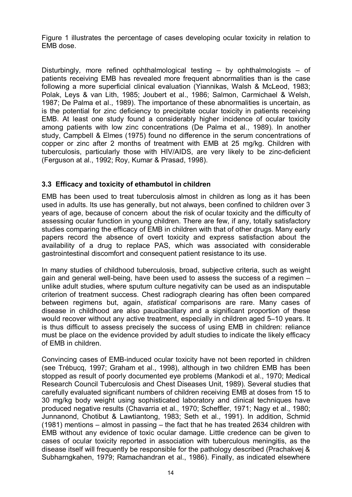Figure 1 illustrates the percentage of cases developing ocular toxicity in relation to EMB dose.

Disturbingly, more refined ophthalmological testing – by ophthalmologists – of patients receiving EMB has revealed more frequent abnormalities than is the case following a more superficial clinical evaluation (Yiannikas, Walsh & McLeod, 1983; Polak, Leys & van Lith, 1985; Joubert et al., 1986; Salmon, Carmichael & Welsh, 1987; De Palma et al., 1989). The importance of these abnormalities is uncertain, as is the potential for zinc deficiency to precipitate ocular toxicity in patients receiving EMB. At least one study found a considerably higher incidence of ocular toxicity among patients with low zinc concentrations (De Palma et al., 1989). In another study, Campbell & Elmes (1975) found no difference in the serum concentrations of copper or zinc after 2 months of treatment with EMB at 25 mg/kg. Children with tuberculosis, particularly those with HIV/AIDS, are very likely to be zinc-deficient (Ferguson at al., 1992; Roy, Kumar & Prasad, 1998).

## **3.3 Efficacy and toxicity of ethambutol in children**

EMB has been used to treat tuberculosis almost in children as long as it has been used in adults. Its use has generally, but not always, been confined to children over 3 years of age, because of concern about the risk of ocular toxicity and the difficulty of assessing ocular function in young children. There are few, if any, totally satisfactory studies comparing the efficacy of EMB in children with that of other drugs. Many early papers record the absence of overt toxicity and express satisfaction about the availability of a drug to replace PAS, which was associated with considerable gastrointestinal discomfort and consequent patient resistance to its use.

In many studies of childhood tuberculosis, broad, subjective criteria, such as weight gain and general well-being, have been used to assess the success of a regimen  $$ unlike adult studies, where sputum culture negativity can be used as an indisputable criterion of treatment success. Chest radiograph clearing has often been compared between regimens but, again, *statistical* comparisons are rare. Many cases of disease in childhood are also paucibacillary and a significant proportion of these would recover without any active treatment, especially in children aged 5–10 years. It is thus difficult to assess precisely the success of using EMB in children: reliance must be place on the evidence provided by adult studies to indicate the likely efficacy of EMB in children.

Convincing cases of EMB-induced ocular toxicity have not been reported in children (see Trébucq, 1997; Graham et al., 1998), although in two children EMB has been stopped as result of poorly documented eye problems (Mankodi et al., 1970; Medical Research Council Tuberculosis and Chest Diseases Unit, 1989). Several studies that carefully evaluated significant numbers of children receiving EMB at doses from 15 to 30 mg/kg body weight using sophisticated laboratory and clinical techniques have produced negative results (Chavarria et al., 1970; Scheffler, 1971; Nagy et al., 1980; Junnanond, Chotibut & Lawtiantong, 1983; Seth et al., 1991). In addition, Schmid (1981) mentions – almost in passing – the fact that he has treated 2634 children with EMB without any evidence of toxic ocular damage. Little credence can be given to cases of ocular toxicity reported in association with tuberculous meningitis, as the disease itself will frequently be responsible for the pathology described (Prachakvej & Subharngkahen, 1979; Ramachandran et al., 1986). Finally, as indicated elsewhere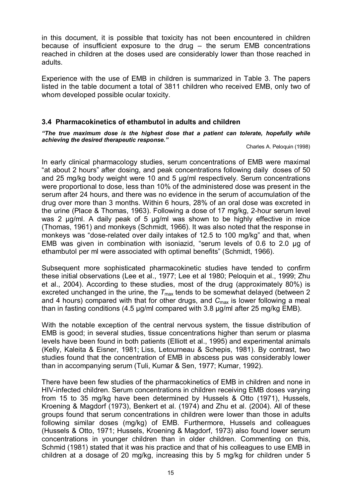in this document, it is possible that toxicity has not been encountered in children because of insufficient exposure to the drug  $-$  the serum EMB concentrations reached in children at the doses used are considerably lower than those reached in adults.

Experience with the use of EMB in children is summarized in Table 3. The papers listed in the table document a total of 3811 children who received EMB, only two of whom developed possible ocular toxicity.

#### **3.4 Pharmacokinetics of ethambutol in adults and children**

*"The true maximum dose is the highest dose that a patient can tolerate, hopefully while achieving the desired therapeutic response."*

Charles A. Peloquin (1998)

In early clinical pharmacology studies, serum concentrations of EMB were maximal "at about 2 hours" after dosing, and peak concentrations following daily doses of 50 and 25 mg/kg body weight were 10 and 5 µg/ml respectively. Serum concentrations were proportional to dose, less than 10% of the administered dose was present in the serum after 24 hours, and there was no evidence in the serum of accumulation of the drug over more than 3 months. Within 6 hours, 28% of an oral dose was excreted in the urine (Place & Thomas, 1963). Following a dose of 17 mg/kg, 2-hour serum level was 2  $\mu$ g/ml. A daily peak of 5  $\mu$ g/ml was shown to be highly effective in mice (Thomas, 1961) and monkeys (Schmidt, 1966). It was also noted that the response in monkevs was "dose-related over daily intakes of 12.5 to 100 mg/kg" and that, when EMB was given in combination with isoniazid, "serum levels of 0.6 to 2.0 µg of ethambutol per ml were associated with optimal benefits" (Schmidt, 1966).

Subsequent more sophisticated pharmacokinetic studies have tended to confirm these initial observations (Lee et al., 1977; Lee et al 1980; Peloquin et al., 1999; Zhu et al., 2004). According to these studies, most of the drug (approximately 80%) is excreted unchanged in the urine, the  $T_{\text{max}}$  tends to be somewhat delayed (between 2) and 4 hours) compared with that for other drugs, and C<sub>max</sub> is lower following a meal than in fasting conditions (4.5 µg/ml compared with 3.8 µg/ml after 25 mg/kg EMB).

With the notable exception of the central nervous system, the tissue distribution of EMB is good; in several studies, tissue concentrations higher than serum or plasma levels have been found in both patients (Elliott et al., 1995) and experimental animals (Kelly, Kaleita & Eisner, 1981; Liss, Letourneau & Schepis, 1981). By contrast, two studies found that the concentration of EMB in abscess pus was considerably lower than in accompanying serum (Tuli, Kumar & Sen, 1977; Kumar, 1992).

There have been few studies of the pharmacokinetics of EMB in children and none in HIV-infected children. Serum concentrations in children receiving EMB doses varying from 15 to 35 mg/kg have been determined by Hussels & Otto (1971), Hussels, Kroening & Magdorf (1973), Benkert et al. (1974) and Zhu et al. (2004). All of these groups found that serum concentrations in children were lower than those in adults following similar doses (mg/kg) of EMB. Furthermore, Hussels and colleagues (Hussels & Otto, 1971; Hussels, Kroening & Magdorf, 1973) also found lower serum concentrations in younger children than in older children. Commenting on this, Schmid (1981) stated that it was his practice and that of his colleagues to use EMB in children at a dosage of 20 mg/kg, increasing this by 5 mg/kg for children under 5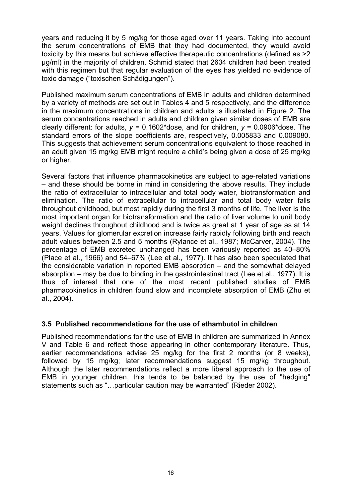years and reducing it by 5 mg/kg for those aged over 11 years. Taking into account the serum concentrations of EMB that they had documented, they would avoid toxicity by this means but achieve effective therapeutic concentrations (defined as >2 μg/ml) in the majority of children. Schmid stated that 2634 children had been treated with this regimen but that regular evaluation of the eyes has yielded no evidence of toxic damage ("toxischen Schädigungen").

Published maximum serum concentrations of EMB in adults and children determined by a variety of methods are set out in Tables 4 and 5 respectively, and the difference in the maximum concentrations in children and adults is illustrated in Figure 2. The serum concentrations reached in adults and children given similar doses of EMB are clearly different: for adults,  $y = 0.1602*$  dose, and for children,  $y = 0.0906*$  dose. The standard errors of the slope coefficients are, respectively, 0.005833 and 0.009080. This suggests that achievement serum concentrations equivalent to those reached in an adult given 15 mg/kg EMB might require a child's being given a dose of 25 mg/kg or higher.

Several factors that influence pharmacokinetics are subject to age-related variations – and these should be borne in mind in considering the above results. They include the ratio of extracellular to intracellular and total body water, biotransformation and elimination. The ratio of extracellular to intracellular and total body water falls throughout childhood, but most rapidly during the first 3 months of life. The liver is the most important organ for biotransformation and the ratio of liver volume to unit body weight declines throughout childhood and is twice as great at 1 year of age as at 14 years. Values for glomerular excretion increase fairly rapidly following birth and reach adult values between 2.5 and 5 months (Rylance et al., 1987; McCarver, 2004). The percentage of EMB excreted unchanged has been variously reported as 40–80% (Place et al., 1966) and 54–67% (Lee et al., 1977). It has also been speculated that the considerable variation in reported EMB absorption – and the somewhat delayed absorption – may be due to binding in the gastrointestinal tract (Lee et al., 1977). It is thus of interest that one of the most recent published studies of EMB pharmacokinetics in children found slow and incomplete absorption of EMB (Zhu et al., 2004).

## **3.5 Published recommendations for the use of ethambutol in children**

Published recommendations for the use of EMB in children are summarized in Annex V and Table 6 and reflect those appearing in other contemporary literature. Thus, earlier recommendations advise 25 mg/kg for the first 2 months (or 8 weeks), followed by 15 mg/kg; later recommendations suggest 15 mg/kg throughout. Although the later recommendations reflect a more liberal approach to the use of EMB in vounger children, this tends to be balanced by the use of "hedging" statements such as "…particular caution may be warranted" (Rieder 2002).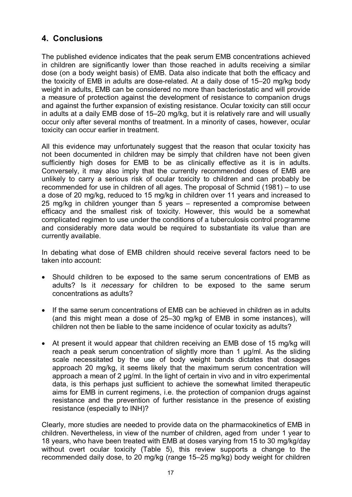## **4. Conclusions**

The published evidence indicates that the peak serum EMB concentrations achieved in children are significantly lower than those reached in adults receiving a similar dose (on a body weight basis) of EMB. Data also indicate that both the efficacy and the toxicity of EMB in adults are dose-related. At a daily dose of 15–20 mg/kg body weight in adults, EMB can be considered no more than bacteriostatic and will provide a measure of protection against the development of resistance to companion drugs and against the further expansion of existing resistance. Ocular toxicity can still occur in adults at a daily EMB dose of 15–20 mg/kg, but it is relatively rare and will usually occur only after several months of treatment. In a minority of cases, however, ocular toxicity can occur earlier in treatment.

All this evidence may unfortunately suggest that the reason that ocular toxicity has not been documented in children may be simply that children have not been given sufficiently high doses for EMB to be as clinically effective as it is in adults. Conversely, it may also imply that the currently recommended doses of EMB are unlikely to carry a serious risk of ocular toxicity to children and can probably be recommended for use in children of all ages. The proposal of Schmid (1981) – to use a dose of 20 mg/kg, reduced to 15 mg/kg in children over 11 years and increased to 25 mg/kg in children younger than 5 years – represented a compromise between efficacy and the smallest risk of toxicity. However, this would be a somewhat complicated regimen to use under the conditions of a tuberculosis control programme and considerably more data would be required to substantiate its value than are currently available.

In debating what dose of EMB children should receive several factors need to be taken into account:

- Should children to be exposed to the same serum concentrations of EMB as adults? Is it *necessary* for children to be exposed to the same serum concentrations as adults?
- · If the same serum concentrations of EMB can be achieved in children as in adults (and this might mean a dose of 25–30 mg/kg of EMB in some instances), will children not then be liable to the same incidence of ocular toxicity as adults?
- At present it would appear that children receiving an EMB dose of 15 mg/kg will reach a peak serum concentration of slightly more than 1  $\mu$ g/ml. As the sliding scale necessitated by the use of body weight bands dictates that dosages approach 20 mg/kg, it seems likely that the maximum serum concentration will approach a mean of 2 µg/ml. In the light of certain in vivo and in vitro experimental data, is this perhaps just sufficient to achieve the somewhat limited therapeutic aims for EMB in current regimens, i.e. the protection of companion drugs against resistance and the prevention of further resistance in the presence of existing resistance (especially to INH)?

Clearly, more studies are needed to provide data on the pharmacokinetics of EMB in children. Nevertheless, in view of the number of children, aged from under 1 year to 18 years, who have been treated with EMB at doses varying from 15 to 30 mg/kg/day without overt ocular toxicity (Table 5), this review supports a change to the recommended daily dose, to 20 mg/kg (range 15–25 mg/kg) body weight for children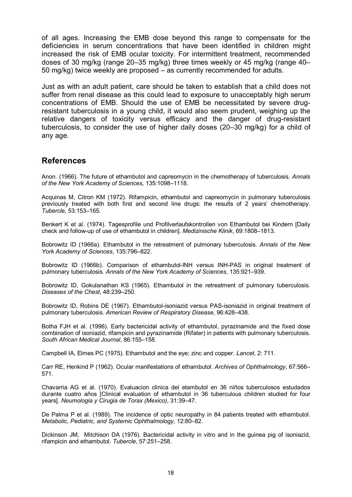of all ages. Increasing the EMB dose beyond this range to compensate for the deficiencies in serum concentrations that have been identified in children might increased the risk of EMB ocular toxicity. For intermittent treatment, recommended doses of 30 mg/kg (range 20–35 mg/kg) three times weekly or 45 mg/kg (range 40– 50 mg/kg) twice weekly are proposed – as currently recommended for adults.

Just as with an adult patient, care should be taken to establish that a child does not suffer from renal disease as this could lead to exposure to unacceptably high serum concentrations of EMB. Should the use of EMB be necessitated by severe drugresistant tuberculosis in a young child, it would also seem prudent, weighing up the relative dangers of toxicity versus efficacy and the danger of drug-resistant tuberculosis, to consider the use of higher daily doses (20–30 mg/kg) for a child of any age.

## **References**

Anon. (1966). The future of ethambutol and capreomycin in the chemotherapy of tuberculosis. *Annals of the New York Academy of Sciences*, 135:1098–1118.

Acquinas M, Citron KM (1972). Rifampicin, ethambutol and capreomycin in pulmonary tuberculosis previously treated with both first and second line drugs: the results of 2 years' chemotherapy. *Tubercle*, 53:153–165.

Benkert K et al. (1974). Tagesprofile und Profilverlaufskontrollen von Ethambutol bei Kindern [Daily check and followup of use of ethambutol in children]. *Medizinische Klinik*, 69:1808–1813.

Bobrowitz ID (1966a). Ethambutol in the retreatment of pulmonary tuberculosis. *Annals of the New York Academy of Sciences*, 135:796–822.

Bobrowitz ID (1966b). Comparison of ethambutol-INH versus INH-PAS in original treatment of pulmonary tuberculosis. *Annals of the New York Academy of Sciences*, 135:921–939.

Bobrowitz ID, Gokulanathan KS (1965). Ethambutol in the retreatment of pulmonary tuberculosis. *Diseases of the Chest*, 48:239–250.

Bobrowitz ID, Robins DE (1967). Ethambutol-isoniazid versus PAS-isoniazid in original treatment of pulmonary tuberculosis. *American Review of Respiratory Disease*, 96:428–438.

Botha FJH et al. (1996). Early bactericidal activity of ethambutol, pyrazinamide and the fixed dose combination of isoniazid, rifampicin and pyrazinamide (Rifater) in patients with pulmonary tuberculosis. *South African Medical Journal*, 86:155–158.

Campbell IA, Elmes PC (1975). Ethambutol and the eye; zinc and copper. *Lancet*, 2: 711.

Carr RE, Henkind P (1962). Ocular manifestations of ethambutol. *Archives of Ophthalmology*, 67:566– 571.

Chavarria AG et al. (1970). Evaluacion clinica del etambutol en 36 niños tuberculosos estudados durante cuatro años [Clinical evaluation of ethambutol in 36 tuberculous children studied for four years]. *Neumologia y Cirugia de Torax (Mexico)*, 31:39–47.

De Palma P et al. (1989). The incidence of optic neuropathy in 84 patients treated with ethambutol. *Metabolic, Pediatric, and Systemic Ophthalmology*, 12:80–82.

Dickinson JM, Mitchison DA (1976). Bactericidal activity in vitro and in the guinea pig of isoniazid, rifampicin and ethambutol. *Tubercle*, 57:251–258.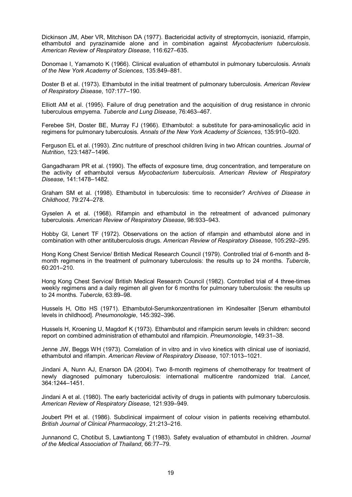Dickinson JM, Aber VR, Mitchison DA (1977). Bactericidal activity of streptomycin, isoniazid, rifampin, ethambutol and pyrazinamide alone and in combination against *Mycobacterium tuberculosis*. *American Review of Respiratory Disease*, 116:627–635.

Donomae I,Yamamoto K (1966). Clinical evaluation of ethambutol in pulmonary tuberculosis. *Annals of the New York Academy of Sciences*, 135:849–881.

Doster B et al. (1973). Ethambutol in the initial treatment of pulmonary tuberculosis. *American Review of Respiratory Disease*, 107:177–190.

Elliott AM et al. (1995). Failure of drug penetration and the acquisition of drug resistance in chronic tuberculous empyema. *Tubercle and Lung Disease*, 76:463–467.

Ferebee SH, Doster BE, Murray FJ (1966). Ethambutol: a substitute for para-aminosalicylic acid in regimens for pulmonary tuberculosis. *Annals of the New York Academy of Sciences*, 135:910–920.

Ferguson EL et al. (1993). Zinc nutriture of preschool children living in two African countries. *Journal of Nutrition*, 123:1487–1496.

Gangadharam PR et al. (1990). The effects of exposure time, drug concentration, and temperature on the activity of ethambutol versus *Mycobacterium tuberculosis*. American Review of Respiratory *Disease*, 141:1478–1482.

Graham SM et al. (1998). Ethambutol in tuberculosis: time to reconsider? *Archives of Disease in Childhood*, 79:274–278.

Gyselen A et al. (1968). Rifampin and ethambutol in the retreatment of advanced pulmonary tuberculosis. *American Review of Respiratory Disease*, 98:933–943.

Hobby Gl, Lenert TF (1972). Observations on the action of rifampin and ethambutol alone and in combination with other antituberculosis drugs. *American Review of Respiratory Disease*, 105:292–295.

Hong Kong Chest Service/ British Medical Research Council (1979). Controlled trial of 6-month and 8month regimens in the treatment of pulmonary tuberculosis: the results up to 24 months. *Tubercle*, 60:201–210.

Hong Kong Chest Service/ British Medical Research Council (1982). Controlled trial of 4 three-times weekly regimens and a daily regimen all given for 6 months for pulmonary tuberculosis: the results up to 24 months. *Tubercle*, 63:89–98.

Hussels H, Otto HS (1971). Ethambutol-Serumkonzentrationen im Kindesalter [Serum ethambutol levels in childhood]. *Pneumonologie*, 145:392–396.

Hussels H, Kroening U, Magdorf K (1973). Ethambutol and rifampicin serum levels in children: second report on combined administration of ethambutol and rifampicin. *Pneumonologie*, 149:31–38.

Jenne JW, Beggs WH (1973). Correlation of in vitro and in vivo kinetics with clinical use of isoniazid, ethambutol and rifampin. *American Review of Respiratory Disease*, 107:1013–1021.

Jindani A, Nunn AJ, Enarson DA (2004). Two 8-month regimens of chemotherapy for treatment of newly diagnosed pulmonary tuberculosis: international multicentre randomized trial. *Lancet*, 364:1244–1451.

Jindani A et al. (1980). The early bactericidal activity of drugs in patients with pulmonary tuberculosis. *American Review of Respiratory Disease*, 121:939–949.

Joubert PH et al. (1986). Subclinical impairment of colour vision in patients receiving ethambutol. *British Journal of Clinical Pharmacology*, 21:213–216.

Junnanond C, Chotibut S, Lawtiantong T (1983). Safety evaluation of ethambutol in children. *Journal of the Medical Association of Thailand*, 66:77–79.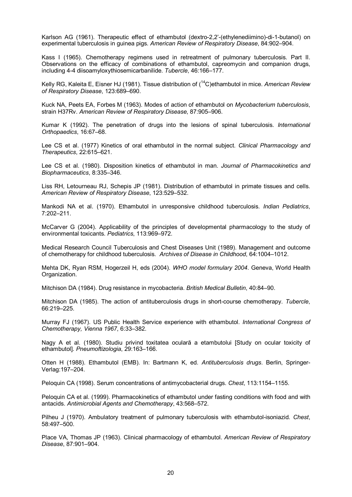Karlson AG (1961). Therapeutic effect of ethambutol (dextro-2,2'-(ethylenediimino)-di-1-butanol) on experimental tuberculosis in guinea pigs. *American Review of Respiratory Disease*, 84:902–904.

Kass I (1965). Chemotherapy regimens used in retreatment of pulmonary tuberculosis. Part II. Observations on the efficacy of combinations of ethambutol, capreomycin and companion drugs, including 44 diisoamyloxythiosemicarbanilide. *Tubercle*, 46:166–177.

Kelly RG, Kaleita E, Eisner HJ (1981). Tissue distribution of ( <sup>14</sup>C)ethambutol in mice. *American Review of Respiratory Disease*, 123:689–690.

Kuck NA, Peets EA, Forbes M (1963). Modes of action of ethambutol on *Mycobacterium tuberculosis*, strain H37Rv. *American Review of Respiratory Disease*, 87:905–906.

Kumar K (1992). The penetration of drugs into the lesions of spinal tuberculosis. *International Orthopaedics*, 16:67–68.

Lee CS et al. (1977) Kinetics of oral ethambutol in the normal subject. *Clinical Pharmacology and Therapeutics*, 22:615–621.

Lee CS et al. (1980). Disposition kinetics of ethambutol in man. *Journal of Pharmacokinetics and Biopharmaceutics*, 8:335–346.

Liss RH, Letourneau RJ, Schepis JP (1981). Distribution of ethambutol in primate tissues and cells. *American Review of Respiratory Disease*, 123:529–532.

Mankodi NA et al. (1970). Ethambutol in unresponsive childhood tuberculosis. *Indian Pediatrics*, 7:202–211.

McCarver G (2004). Applicability of the principles of developmental pharmacology to the study of environmental toxicants. *Pediatrics*, 113:969–972.

Medical Research Council Tuberculosis and Chest Diseases Unit (1989). Management and outcome of chemotherapy for childhood tuberculosis. *Archives of Disease in Childhood*, 64:1004–1012.

Mehta DK, Ryan RSM, Hogerzeil H, eds (2004). *WHO model formulary 2004*. Geneva, World Health Organization.

Mitchison DA (1984). Drug resistance in mycobacteria. *British Medical Bulletin*, 40:84–90.

Mitchison DA (1985). The action of antituberculosis drugs in short-course chemotherapy. Tubercle, 66:219–225.

Murray FJ (1967). US Public Health Service experience with ethambutol. *International Congress of Chemotherapy, Vienna 1967*, 6:33–382.

Nagy A et al. (1980). Studiu privind toxitatea oculară a etambutolui [Study on ocular toxicity of ethambutol]. *Pneumoftizologia*, 29:163–166.

Otten H (1988). Ethambutol (EMB). In: Bartmann K, ed. *Antituberculosis drugs*. Berlin, Springer Verlag:197–204.

Peloquin CA (1998). Serum concentrations of antimycobacterial drugs. *Chest*, 113:1154–1155.

Peloquin CA et al. (1999). Pharmacokinetics of ethambutol under fasting conditions with food and with antacids. *Antimicrobial Agents and Chemotherapy*, 43:568–572.

Pilheu J (1970). Ambulatory treatment of pulmonary tuberculosis with ethambutol-isoniazid. Chest, 58:497–500.

Place VA, Thomas JP (1963). Clinical pharmacology of ethambutol. *American Review of Respiratory Disease*, 87:901–904.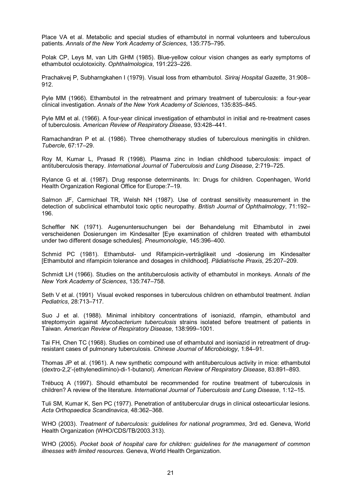Place VA et al. Metabolic and special studies of ethambutol in normal volunteers and tuberculous patients. *Annals of the New York Academy of Sciences*, 135:775–795.

Polak CP, Leys M, van Lith GHM (1985). Blue-yellow colour vision changes as early symptoms of ethambutol oculotoxicity. *Ophthalmologica*, 191:223–226.

Prachakvej P, Subharngkahen I (1979). Visual loss from ethambutol. *Siriraj Hospital Gazette*, 31:908– 912.

Pyle MM (1966). Ethambutol in the retreatment and primary treatment of tuberculosis: a four-year clinical investigation. *Annals of the New York Academy of Sciences*, 135:835–845.

Pyle MM et al. (1966). A four-year clinical investigation of ethambutol in initial and re-treatment cases of tuberculosis. *American Review of Respiratory Disease*, 93:428–441.

Ramachandran P et al. (1986). Three chemotherapy studies of tuberculous meningitis in children. *Tubercle*, 67:17–29.

Roy M, Kumar L, Prasad R (1998). Plasma zinc in Indian childhood tuberculosis: impact of antituberculosis therapy. *International Journal of Tuberculosis and Lung Disease*, 2:719–725.

Rylance G et al. (1987). Drug response determinants. In: Drugs for children. Copenhagen, World Health Organization Regional Office for Europe:7–19.

Salmon JF, Carmichael TR, Welsh NH (1987). Use of contrast sensitivity measurement in the detection of subclinical ethambutol toxic optic neuropathy. *British Journal of Ophthalmology*, 71:192– 196.

Scheffler NK (1971). Augenuntersuchungen bei der Behandelung mit Ethambutol in zwei verscheidenen Dosierungen im Kindesalter [Eye examination of children treated with ethambutol under two different dosage schedules]. *Pneumonologie*, 145:396–400.

Schmid PC (1981). Ethambutol- und Rifampicin-verträglikeit und -dosierung im Kindesalter [Ethambutol and rifampicin tolerance and dosages in childhood]. *Pädiatrische Praxis*, 25:207–209.

Schmidt LH (1966). Studies on the antituberculosis activity of ethambutol in monkeys. *Annals of the New York Academy of Sciences*, 135:747–758.

Seth V et al. (1991) Visual evoked responses in tuberculous children on ethambutol treatment. *Indian Pediatrics*, 28:713–717.

Suo J et al. (1988). Minimal inhibitory concentrations of isoniazid, rifampin, ethambutol and streptomycin against *Mycobacterium tuberculosis* strains isolated before treatment of patients in Taiwan. *American Review of Respiratory Disease*, 138:999–1001.

Tai FH, Chen TC (1968). Studies on combined use of ethambutol and isoniazid in retreatment of drug resistant cases of pulmonary tuberculosis. *Chinese Journal of Microbiology*, 1:84–91.

Thomas JP et al. (1961). A new synthetic compound with antituberculous activity in mice: ethambutol (dextro-2,2'-(ethylenediimino)-di-1-butanol). *American Review of Respiratory Disease*, 83:891–893.

Trébucq A (1997). Should ethambutol be recommended for routine treatment of tuberculosis in children? A review of the literature. *International Journal of Tuberculosis and Lung Disease*, 1:12–15.

Tuli SM, Kumar K, Sen PC (1977). Penetration of antitubercular drugs in clinical osteoarticular lesions. *Acta Orthopaedica Scandinavica*, 48:362–368.

WHO (2003). *Treatment of tuberculosis: guidelines for national programmes*, 3rd ed. Geneva, World Health Organization (WHO/CDS/TB/2003.313).

WHO (2005). *Pocket book of hospital care for children: guidelines for the management of common illnesses with limited resources*. Geneva, World Health Organization.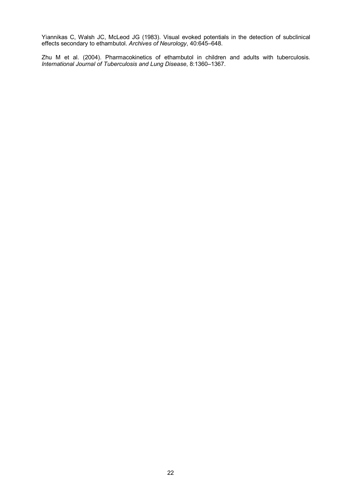Yiannikas C, Walsh JC, McLeod JG (1983). Visual evoked potentials in the detection of subclinical effects secondary to ethambutol. *Archives of Neurology*, 40:645–648.

Zhu M et al. (2004). Pharmacokinetics of ethambutol in children and adults with tuberculosis. *International Journal of Tuberculosis and Lung Disease*, 8:1360–1367.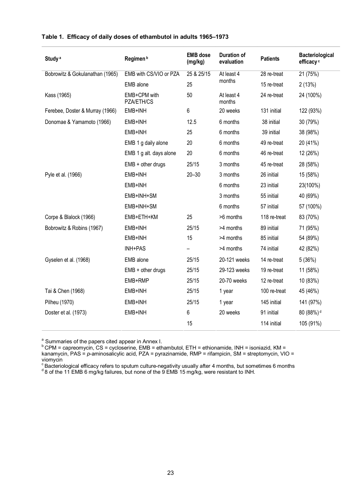| Study <sup>a</sup>              | Regimen <sup>b</sup>       | <b>EMB</b> dose<br>(mg/kg) | <b>Duration of</b><br>evaluation | <b>Patients</b> | <b>Bacteriological</b><br>efficacy <sup>c</sup> |
|---------------------------------|----------------------------|----------------------------|----------------------------------|-----------------|-------------------------------------------------|
| Bobrowitz & Gokulanathan (1965) | EMB with CS/VIO or PZA     | 25 & 25/15                 | At least 4                       | 28 re-treat     | 21 (75%)                                        |
|                                 | EMB alone                  | 25                         | months                           | 15 re-treat     | 2(13%)                                          |
| Kass (1965)                     | EMB+CPM with<br>PZA/ETH/CS | 50                         | At least 4<br>months             | 24 re-treat     | 24 (100%)                                       |
| Ferebee, Doster & Murray (1966) | EMB+INH                    | 6                          | 20 weeks                         | 131 initial     | 122 (93%)                                       |
| Donomae & Yamamoto (1966)       | EMB+INH                    | 12.5                       | 6 months                         | 38 initial      | 30 (79%)                                        |
|                                 | EMB+INH                    | 25                         | 6 months                         | 39 initial      | 38 (98%)                                        |
|                                 | EMB 1 g daily alone        | 20                         | 6 months                         | 49 re-treat     | 20 (41%)                                        |
|                                 | EMB 1 g alt. days alone    | 20                         | 6 months                         | 46 re-treat     | 12 (26%)                                        |
|                                 | $EMB + other drugs$        | 25/15                      | 3 months                         | 45 re-treat     | 28 (58%)                                        |
| Pyle et al. (1966)              | EMB+INH                    | $20 - 30$                  | 3 months                         | 26 initial      | 15 (58%)                                        |
|                                 | EMB+INH                    |                            | 6 months                         | 23 initial      | 23(100%)                                        |
|                                 | EMB+INH+SM                 |                            | 3 months                         | 55 initial      | 40 (69%)                                        |
|                                 | EMB+INH+SM                 |                            | 6 months                         | 57 initial      | 57 (100%)                                       |
| Corpe & Blalock (1966)          | EMB+ETH+KM                 | 25                         | >6 months                        | 118 re-treat    | 83 (70%)                                        |
| Bobrowitz & Robins (1967)       | EMB+INH                    | 25/15                      | >4 months                        | 89 initial      | 71 (95%)                                        |
|                                 | EMB+INH                    | 15                         | >4 months                        | 85 initial      | 54 (89%)                                        |
|                                 | INH+PAS                    |                            | >4 months                        | 74 initial      | 42 (82%)                                        |
| Gyselen et al. (1968)           | EMB alone                  | 25/15                      | 20-121 weeks                     | 14 re-treat     | 5(36%)                                          |
|                                 | $EMB + other drugs$        | 25/15                      | 29-123 weeks                     | 19 re-treat     | 11 (58%)                                        |
|                                 | EMB+RMP                    | 25/15                      | 20-70 weeks                      | 12 re-treat     | 10 (83%)                                        |
| Tai & Chen (1968)               | EMB+INH                    | 25/15                      | 1 year                           | 100 re-treat    | 45 (46%)                                        |
| Pilheu (1970)                   | EMB+INH                    | 25/15                      | 1 year                           | 145 initial     | 141 (97%)                                       |
| Doster et al. (1973)            | EMB+INH                    | 6                          | 20 weeks                         | 91 initial      | 80 (88%) <sup>d</sup>                           |
|                                 |                            | 15                         |                                  | 114 initial     | 105 (91%)                                       |

#### **Table 1. Efficacy of daily doses of ethambutol in adults 1965–1973**

<sup>a</sup> Summaries of the papers cited appear in Annex I.<br><sup>b</sup> CPM = capreomycin, CS = cycloserine, EMB = ethambutol, ETH = ethionamide, INH = isoniazid, KM = kanamycin, PAS = *p*aminosalicylic acid, PZA = pyrazinamide, RMP = rifampicin, SM = streptomycin, VIO = viomycin<br>
<sup>c</sup> Bacteriological efficacy refers to sputum culture-negativity usually after 4 months, but sometimes 6 months <sup>d</sup><br>
<sup>d</sup>8 of the 11 EMB 6 mg/kg failures, but none of the 9 EMB 15 mg/kg, were resistant to INH.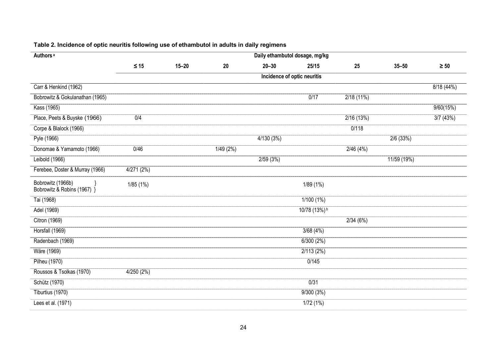| Authors <sup>a</sup>                             |           |           |          |           | Daily ethambutol dosage, mg/kg |           |             |           |
|--------------------------------------------------|-----------|-----------|----------|-----------|--------------------------------|-----------|-------------|-----------|
|                                                  | $\leq 15$ | $15 - 20$ | 20       | $20 - 30$ | 25/15                          | 25        | $35 - 50$   | $\geq 50$ |
|                                                  |           |           |          |           | Incidence of optic neuritis    |           |             |           |
| Carr & Henkind (1962)                            |           |           |          |           |                                |           |             | 8/18(44%) |
| Bobrowitz & Gokulanathan (1965)                  |           |           |          |           | 0/17                           | 2/18(11%) |             |           |
| Kass (1965)                                      |           |           |          |           |                                |           |             | 9/60(15%) |
| Place, Peets & Buyske (1966)                     | 0/4       |           |          |           |                                | 2/16(13%) |             | 3/7(43%)  |
| Corpe & Blalock (1966)                           |           |           |          |           |                                | 0/118     |             |           |
| Pyle (1966)                                      |           |           |          | 4/130(3%) |                                |           | 2/6(33%)    |           |
| Donomae & Yamamoto (1966)                        | 0/46      |           | 1/49(2%) |           |                                | 2/46(4%)  |             |           |
| Leibold (1966)                                   |           |           |          | 2/59(3%)  |                                |           | 11/59 (19%) |           |
| Ferebee, Doster & Murray (1966)                  | 4/271(2%) |           |          |           |                                |           |             |           |
| Bobrowitz (1966b)<br>Bobrowitz & Robins (1967) } | 1/85(1%)  |           |          |           | 1/89 (1%)                      |           |             |           |
| Tai (1968)                                       |           |           |          |           | 1/100(1%)                      |           |             |           |
| Adel (1969)                                      |           |           |          |           | 10/78 (13%) <sup>b</sup>       |           |             |           |
| Citron (1969)                                    |           |           |          |           |                                | 2/34(6%)  |             |           |
| Horsfall (1969)                                  |           |           |          |           | 3/68(4%)                       |           |             |           |
| Radenbach (1969)                                 |           |           |          |           | 6/300(2%)                      |           |             |           |
| Wäre (1969)                                      |           |           |          |           | 2/113(2%)                      |           |             |           |
| <b>Pilheu</b> (1970)                             |           |           |          |           | 0/145                          |           |             |           |
| Roussos & Tsolkas (1970)                         | 4/250(2%) |           |          |           |                                |           |             |           |
| Schütz (1970)                                    |           |           |          |           | 0/31                           |           |             |           |
| Tiburtius (1970)                                 |           |           |          |           | 9/300(3%)                      |           |             |           |
| Lees et al. (1971)                               |           |           |          |           | 1/72(1%)                       |           |             |           |

#### **Table 2. Incidence of optic neuritis following use of ethambutol in adults in daily regimens**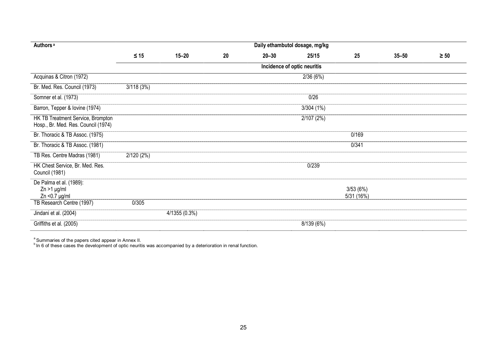| Authors <sup>a</sup>                                                     |           |                 |    |           | Daily ethambutol dosage, mg/kg |                       |           |           |
|--------------------------------------------------------------------------|-----------|-----------------|----|-----------|--------------------------------|-----------------------|-----------|-----------|
|                                                                          | $\leq 15$ | $15 - 20$       | 20 | $20 - 30$ | 25/15                          | 25                    | $35 - 50$ | $\geq 50$ |
|                                                                          |           |                 |    |           | Incidence of optic neuritis    |                       |           |           |
| Acquinas & Citron (1972)                                                 |           |                 |    |           | 2/36(6%)                       |                       |           |           |
| Br. Med. Res. Council (1973)                                             | 3/118(3%) |                 |    |           |                                |                       |           |           |
| Somner et al. (1973)                                                     |           |                 |    |           | 0/26                           |                       |           |           |
| Barron, Tepper & Iovine (1974)                                           |           |                 |    |           | 3/304(1%)                      |                       |           |           |
| HK TB Treatment Service, Brompton<br>Hosp., Br. Med. Res. Council (1974) |           |                 |    |           | 2/107(2%)                      |                       |           |           |
| Br. Thoracic & TB Assoc. (1975)                                          |           |                 |    |           |                                | 0/169                 |           |           |
| Br. Thoracic & TB Assoc. (1981)                                          |           |                 |    |           |                                | 0/341                 |           |           |
| TB Res. Centre Madras (1981)                                             | 2/120(2%) |                 |    |           |                                |                       |           |           |
| HK Chest Service, Br. Med. Res.<br>Council (1981)                        |           |                 |    |           | 0/239                          |                       |           |           |
| De Palma et al. (1989):<br>$Zn > 1$ µg/ml<br>$Zn < 0.7$ µg/ml            |           |                 |    |           |                                | 3/53(6%)<br>5/31(16%) |           |           |
| TB Research Centre (1997)                                                | 0/305     |                 |    |           |                                |                       |           |           |
| Jindani et al. (2004)                                                    |           | $4/1355(0.3\%)$ |    |           |                                |                       |           |           |
| Griffiths et al. (2005)                                                  |           |                 |    |           | 8/139 (6%)                     |                       |           |           |

<sup>a</sup> Summaries of the papers cited appear in Annex II.<br><sup>b</sup> In 6 of these cases the development of optic neuritis was accompanied by a deterioration in renal function.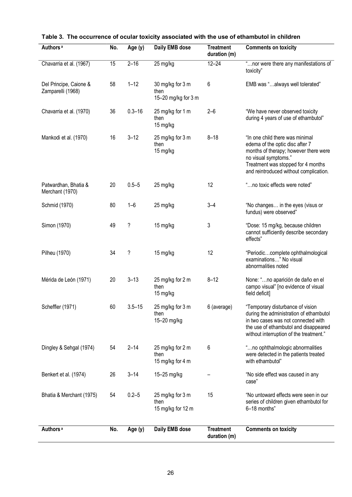| Authors <sup>a</sup>                        | No. | Age (y)    | Daily EMB dose                                  | <b>Treatment</b><br>duration (m) | <b>Comments on toxicity</b>                                                                                                                                                                                         |
|---------------------------------------------|-----|------------|-------------------------------------------------|----------------------------------|---------------------------------------------------------------------------------------------------------------------------------------------------------------------------------------------------------------------|
| Chavarria et al. (1967)                     | 15  | $2 - 16$   | 25 mg/kg                                        | $12 - 24$                        | "nor were there any manifestations of<br>toxicity"                                                                                                                                                                  |
| Del Principe, Caione &<br>Zamparelli (1968) | 58  | $1 - 12$   | 30 mg/kg for 3 m<br>then<br>15-20 mg/kg for 3 m | 6                                | EMB was "always well tolerated"                                                                                                                                                                                     |
| Chavarria et al. (1970)                     | 36  | $0.3 - 16$ | 25 mg/kg for 1 m<br>then<br>15 mg/kg            | $2 - 6$                          | "We have never observed toxicity<br>during 4 years of use of ethambutol"                                                                                                                                            |
| Mankodi et al. (1970)                       | 16  | $3 - 12$   | 25 mg/kg for 3 m<br>then<br>15 mg/kg            | $8 - 18$                         | "In one child there was minimal<br>edema of the optic disc after 7<br>months of therapy; however there were<br>no visual symptoms."<br>Treatment was stopped for 4 months<br>and reintroduced without complication. |
| Patwardhan, Bhatia &<br>Merchant (1970)     | 20  | $0.5 - 5$  | 25 mg/kg                                        | 12                               | "no toxic effects were noted"                                                                                                                                                                                       |
| Schmid (1970)                               | 80  | $1 - 6$    | 25 mg/kg                                        | $3 - 4$                          | "No changes in the eyes (visus or<br>fundus) were observed"                                                                                                                                                         |
| Simon (1970)                                | 49  | ?          | 15 mg/kg                                        | 3                                | "Dose: 15 mg/kg, because children<br>cannot sufficiently describe secondary<br>effects"                                                                                                                             |
| Pilheu (1970)                               | 34  | ?          | 15 mg/kg                                        | 12                               | "Periodiccomplete ophthalmological<br>examinations" No visual<br>abnormalities noted                                                                                                                                |
| Mérida de León (1971)                       | 20  | $3 - 13$   | 25 mg/kg for 2 m<br>then<br>15 mg/kg            | $8 - 12$                         | None: "no aparición de daño en el<br>campo visual" [no evidence of visual<br>field deficit]                                                                                                                         |
| Scheffler (1971)                            | 60  | $3.5 - 15$ | 25 mg/kg for 3 m<br>then<br>15-20 mg/kg         | 6 (average)                      | "Temporary disturbance of vision<br>during the administration of ethambutol<br>in two cases was not connected with<br>the use of ethambutol and disappeared<br>without interruption of the treatment."              |
| Dingley & Sehgal (1974)                     | 54  | $2 - 14$   | 25 mg/kg for 2 m<br>then<br>15 mg/kg for 4 m    | 6                                | "no ophthalmologic abnormalities<br>were detected in the patients treated<br>with ethambutol"                                                                                                                       |
| Benkert et al. (1974)                       | 26  | $3 - 14$   | 15-25 mg/kg                                     |                                  | "No side effect was caused in any<br>case"                                                                                                                                                                          |
| Bhatia & Merchant (1975)                    | 54  | $0.2 - 5$  | 25 mg/kg for 3 m<br>then<br>15 mg/kg for 12 m   | 15                               | "No untoward effects were seen in our<br>series of children given ethambutol for<br>6-18 months"                                                                                                                    |
| Authors <sup>a</sup>                        | No. | Age (y)    | Daily EMB dose                                  | <b>Treatment</b><br>duration (m) | <b>Comments on toxicity</b>                                                                                                                                                                                         |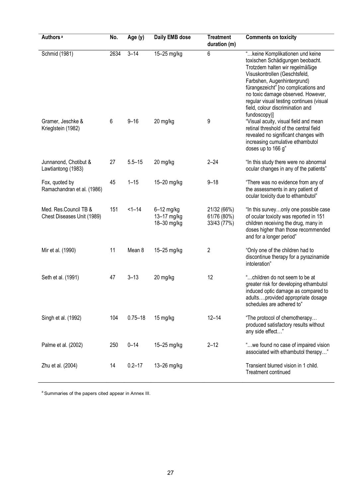| Authors <sup>a</sup>                                | No.  | Age (y)     | <b>Daily EMB dose</b>                      | <b>Treatment</b><br>duration (m)          | <b>Comments on toxicity</b>                                                                                                                                                                                                                                                                                                                           |
|-----------------------------------------------------|------|-------------|--------------------------------------------|-------------------------------------------|-------------------------------------------------------------------------------------------------------------------------------------------------------------------------------------------------------------------------------------------------------------------------------------------------------------------------------------------------------|
| Schmid (1981)                                       | 2634 | $3 - 14$    | 15-25 mg/kg                                | 6                                         | " keine Komplikationen und keine<br>toxischen Schädigungen beobacht.<br>Trotzdem halten wir regelmäßige<br>Visuskontrollen (Geschtsfeld,<br>Farbshen, Augenhintergrund)<br>fürangezeicht" [no complications and<br>no toxic damage observed. However,<br>regular visual testing continues (visual<br>field, colour discrimination and<br>fundoscopy)] |
| Gramer, Jeschke &<br>Krieglstein (1982)             | 6    | $9 - 16$    | 20 mg/kg                                   | 9                                         | "Visual acuity, visual field and mean<br>retinal threshold of the central field<br>revealed no significant changes with<br>increasing cumulative ethambutol<br>doses up to 166 g"                                                                                                                                                                     |
| Junnanond, Chotibut &<br>Lawtiantong (1983)         | 27   | $5.5 - 15$  | 20 mg/kg                                   | $2 - 24$                                  | "In this study there were no abnormal<br>ocular changes in any of the patients"                                                                                                                                                                                                                                                                       |
| Fox, quoted by<br>Ramachandran et al. (1986)        | 45   | $1 - 15$    | 15-20 mg/kg                                | $9 - 18$                                  | "There was no evidence from any of<br>the assessments in any patient of<br>ocular toxicity due to ethambutol"                                                                                                                                                                                                                                         |
| Med. Res.Council TB &<br>Chest Diseases Unit (1989) | 151  | $1 - 14$    | $6-12$ mg/kg<br>13-17 mg/kg<br>18-30 mg/kg | 21/32 (66%)<br>61/76 (80%)<br>33/43 (77%) | "In this surveyonly one possible case<br>of ocular toxicity was reported in 151<br>children receiving the drug, many in<br>doses higher than those recommended<br>and for a longer period"                                                                                                                                                            |
| Mir et al. (1990)                                   | 11   | Mean 8      | 15-25 mg/kg                                | 2                                         | "Only one of the children had to<br>discontinue therapy for a pyrazinamide<br>intoleration"                                                                                                                                                                                                                                                           |
| Seth et al. (1991)                                  | 47   | $3 - 13$    | 20 mg/kg                                   | 12                                        | "children do not seem to be at<br>greater risk for developing ethambutol<br>induced optic damage as compared to<br>adultsprovided appropriate dosage<br>schedules are adhered to"                                                                                                                                                                     |
| Singh et al. (1992)                                 | 104  | $0.75 - 18$ | 15 mg/kg                                   | $12 - 14$                                 | "The protocol of chemotherapy<br>produced satisfactory results without<br>any side effect"                                                                                                                                                                                                                                                            |
| Palme et al. (2002)                                 | 250  | $0 - 14$    | 15-25 mg/kg                                | $2 - 12$                                  | "we found no case of impaired vision<br>associated with ethambutol therapy"                                                                                                                                                                                                                                                                           |
| Zhu et al. (2004)                                   | 14   | $0.2 - 17$  | 13-26 mg/kg                                |                                           | Transient blurred vision in 1 child.<br>Treatment continued                                                                                                                                                                                                                                                                                           |

<sup>a</sup> Summaries of the papers cited appear in Annex III.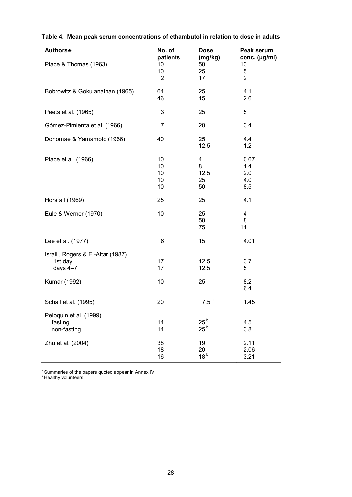| <b>Authors</b>                    | No. of               | <b>Dose</b>      | <b>Peak serum</b>       |
|-----------------------------------|----------------------|------------------|-------------------------|
|                                   | patients             | (mg/kg)          | conc. (µg/ml)           |
| Place & Thomas (1963)             | 10                   | 50               | 10                      |
|                                   | 10<br>$\overline{2}$ | 25<br>17         | 5<br>$\overline{2}$     |
|                                   |                      |                  |                         |
| Bobrowitz & Gokulanathan (1965)   | 64                   | 25               | 4.1                     |
|                                   | 46                   | 15               | 2.6                     |
|                                   |                      |                  |                         |
| Peets et al. (1965)               | 3                    | 25               | 5                       |
|                                   |                      |                  |                         |
| Gómez-Pimienta et al. (1966)      | 7                    | 20               | 3.4                     |
| Donomae & Yamamoto (1966)         | 40                   | 25               | 4.4                     |
|                                   |                      | 12.5             | 1.2                     |
|                                   |                      |                  |                         |
| Place et al. (1966)               | 10                   | 4                | 0.67                    |
|                                   | 10                   | 8                | 1.4                     |
|                                   | 10                   | 12.5             | 2.0                     |
|                                   | 10 <sup>°</sup>      | 25               | 4.0                     |
|                                   | 10                   | 50               | 8.5                     |
| Horsfall (1969)                   | 25                   | 25               | 4.1                     |
|                                   |                      |                  |                         |
| Eule & Werner (1970)              | 10                   | 25               | $\overline{\mathbf{4}}$ |
|                                   |                      | 50               | 8                       |
|                                   |                      | 75               | 11                      |
| Lee et al. (1977)                 | 6                    | 15               | 4.01                    |
|                                   |                      |                  |                         |
| Israili, Rogers & El-Attar (1987) |                      |                  |                         |
| 1st day                           | 17                   | 12.5             | 3.7                     |
| days $4-7$                        | 17                   | 12.5             | 5                       |
|                                   |                      |                  |                         |
| Kumar (1992)                      | 10                   | 25               | 8.2<br>6.4              |
|                                   |                      |                  |                         |
| Schall et al. (1995)              | 20                   | 7.5 <sup>b</sup> | 1.45                    |
|                                   |                      |                  |                         |
| Peloquin et al. (1999)            |                      |                  |                         |
| fasting                           | 14                   | 25 <sup>b</sup>  | 4.5                     |
| non-fasting                       | 14                   | 25 <sup>b</sup>  | 3.8                     |
| Zhu et al. (2004)                 | 38                   | 19               | 2.11                    |
|                                   | 18                   | 20               | 2.06                    |
|                                   | 16                   | 18 <sup>b</sup>  | 3.21                    |

#### **Table 4. Mean peak serum concentrations of ethambutol in relation to dose in adults**

<sup>a</sup> Summaries of the papers quoted appear in Annex IV.  $\overline{b}$  Healthy volunteers.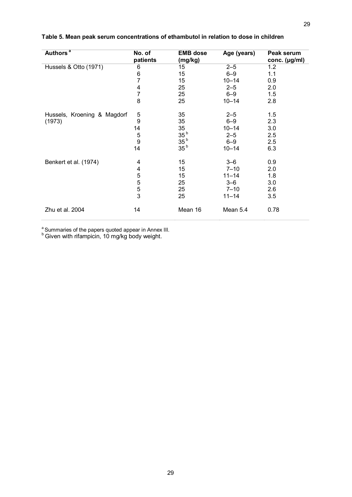| Authors <sup>a</sup>        | No. of<br>patients | <b>EMB</b> dose<br>(mg/kg) | Age (years) | Peak serum<br>conc. (µg/ml) |
|-----------------------------|--------------------|----------------------------|-------------|-----------------------------|
| Hussels & Otto (1971)       | 6                  | 15                         | $2 - 5$     | 1.2                         |
|                             | 6                  | 15                         | $6 - 9$     | 1.1                         |
|                             | $\overline{7}$     | 15                         | $10 - 14$   | 0.9                         |
|                             | 4                  | 25                         | $2 - 5$     | 2.0                         |
|                             | 7                  | 25                         | $6 - 9$     | 1.5                         |
|                             | 8                  | 25                         | $10 - 14$   | 2.8                         |
| Hussels, Kroening & Magdorf | 5                  | 35                         | $2 - 5$     | 1.5                         |
| (1973)                      | 9                  | 35                         | $6 - 9$     | 2.3                         |
|                             | 14                 | 35                         | $10 - 14$   | 3.0                         |
|                             | 5                  | 35 <sup>b</sup>            | $2 - 5$     | 2.5                         |
|                             | 9                  | 35 <sup>b</sup>            | $6 - 9$     | 2.5                         |
|                             | 14                 | 35 <sup>b</sup>            | $10 - 14$   | 6.3                         |
| Benkert et al. (1974)       | 4                  | 15                         | $3 - 6$     | 0.9                         |
|                             | 4                  | 15                         | $7 - 10$    | 2.0                         |
|                             | 5                  | 15                         | $11 - 14$   | 1.8                         |
|                             | 5                  | 25                         | $3 - 6$     | 3.0                         |
|                             | $\frac{5}{3}$      | 25                         | $7 - 10$    | 2.6                         |
|                             |                    | 25                         | $11 - 14$   | 3.5                         |
| Zhu et al. 2004             | 14                 | Mean 16                    | Mean 5.4    | 0.78                        |

#### **Table 5. Mean peak serum concentrations of ethambutol in relation to dose in children**

<sup>a</sup> Summaries of the papers quoted appear in Annex III.<br><sup>b</sup> Given with rifampicin, 10 mg/kg body weight.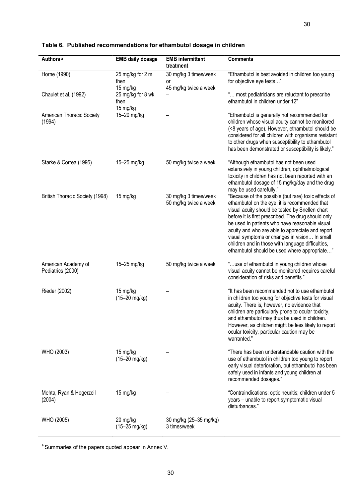| Authors <sup>a</sup>                     | <b>EMB daily dosage</b>               | <b>EMB</b> intermittent<br>treatment                 | <b>Comments</b>                                                                                                                                                                                                                                                                                                                                                                                                                                                             |
|------------------------------------------|---------------------------------------|------------------------------------------------------|-----------------------------------------------------------------------------------------------------------------------------------------------------------------------------------------------------------------------------------------------------------------------------------------------------------------------------------------------------------------------------------------------------------------------------------------------------------------------------|
| Horne (1990)                             | 25 mg/kg for 2 m<br>then<br>15 mg/kg  | 30 mg/kg 3 times/week<br>or<br>45 mg/kg twice a week | "Ethambutol is best avoided in children too young<br>for objective eye tests"                                                                                                                                                                                                                                                                                                                                                                                               |
| Chaulet et al. (1992)                    | 25 mg/kg for 8 wk<br>then<br>15 mg/kg |                                                      | " most pediatricians are reluctant to prescribe<br>ethambutol in children under 12"                                                                                                                                                                                                                                                                                                                                                                                         |
| American Thoracic Society<br>(1994)      | 15-20 mg/kg                           |                                                      | "Ethambutol is generally not recommended for<br>children whose visual acuity cannot be monitored<br>(<8 years of age). However, ethambutol should be<br>considered for all children with organisms resistant<br>to other drugs when susceptibility to ethambutol<br>has been demonstrated or susceptibility is likely."                                                                                                                                                     |
| Starke & Correa (1995)                   | 15-25 mg/kg                           | 50 mg/kg twice a week                                | "Although ethambutol has not been used<br>extensively in young children, ophthalmological<br>toxicity in children has not been reported with an<br>ethambutol dosage of 15 mg/kg/day and the drug<br>may be used carefully."                                                                                                                                                                                                                                                |
| British Thoracic Society (1998)          | 15 mg/kg                              | 30 mg/kg 3 times/week<br>50 mg/kg twice a week       | "Because of the possible (but rare) toxic effects of<br>ethambutol on the eye, it is recommended that<br>visual acuity should be tested by Snellen chart<br>before it is first prescribed. The drug should only<br>be used in patients who have reasonable visual<br>acuity and who are able to appreciate and report<br>visual symptoms or changes in vision In small<br>children and in those with language difficulties,<br>ethambutol should be used where appropriate" |
| American Academy of<br>Pediatrics (2000) | 15-25 mg/kg                           | 50 mg/kg twice a week                                | "use of ethambutol in young children whose<br>visual acuity cannot be monitored requires careful<br>consideration of risks and benefits."                                                                                                                                                                                                                                                                                                                                   |
| Rieder (2002)                            | 15 mg/kg<br>$(15 - 20 \text{ mg/kg})$ |                                                      | "It has been recommended not to use ethambutol<br>in children too young for objective tests for visual<br>acuity. There is, however, no evidence that<br>children are particularly prone to ocular toxicity,<br>and ethambutol may thus be used in children.<br>However, as children might be less likely to report<br>ocular toxicity, particular caution may be<br>warranted."                                                                                            |
| WHO (2003)                               | 15 mg/kg<br>(15-20 mg/kg)             |                                                      | "There has been understandable caution with the<br>use of ethambutol in children too young to report<br>early visual deterioration, but ethambutol has been<br>safely used in infants and young children at<br>recommended dosages."                                                                                                                                                                                                                                        |
| Mehta, Ryan & Hogerzeil<br>(2004)        | 15 mg/kg                              |                                                      | "Contraindications: optic neuritis; children under 5<br>years - unable to report symptomatic visual<br>disturbances."                                                                                                                                                                                                                                                                                                                                                       |
| WHO (2005)                               | 20 mg/kg<br>(15-25 mg/kg)             | 30 mg/kg (25-35 mg/kg)<br>3 times/week               |                                                                                                                                                                                                                                                                                                                                                                                                                                                                             |

#### **Table 6. Published recommendations for ethambutol dosage in children**

 $a$  Summaries of the papers quoted appear in Annex V.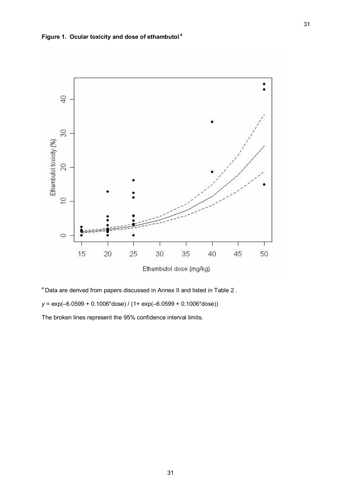

 $a$  Data are derived from papers discussed in Annex II and listed in Table 2.

*y* = exp(–6.0599 + 0.1006\*dose) / (1+ exp(–6.0599 + 0.1006\*dose))

The broken lines represent the 95% confidence interval limits.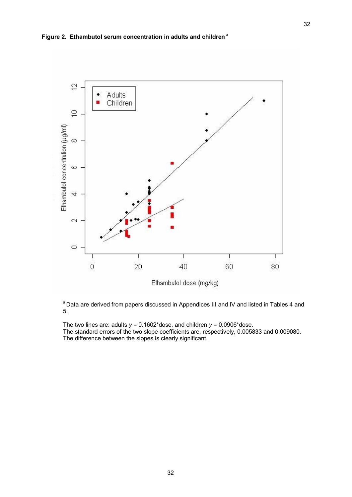

<sup>a</sup> Data are derived from papers discussed in Appendices III and IV and listed in Tables 4 and 5.

The two lines are: adults *y* = 0.1602\*dose, and children *y* = 0.0906\*dose. The standard errors of the two slope coefficients are, respectively, 0.005833 and 0.009080. The difference between the slopes is clearly significant.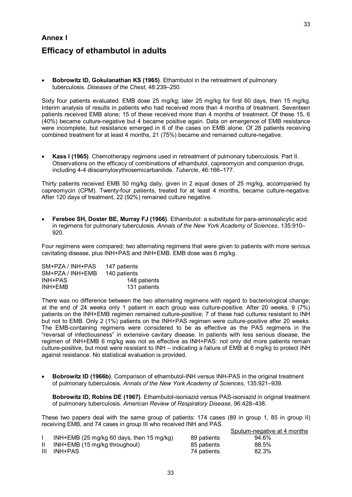## **Annex I Efficacy of ethambutol in adults**

· **Bobrowitz ID, Gokulanathan KS (1965)**. Ethambutol in the retreatment of pulmonary tuberculosis. *Diseases of the Chest*, 48:239–250.

Sixty four patients evaluated. EMB dose 25 mg/kg; later 25 mg/kg for first 60 days, then 15 mg/kg. Interim analysis of results in patients who had received more than 4 months of treatment. Seventeen patients received EMB alone; 15 of these received more than 4 months of treatment. Of these 15, 6 (40%) became culture-negative but 4 became positive again. Data on emergence of EMB resistance were incomplete, but resistance emerged in 6 of the cases on EMB alone. Of 28 patients receiving combined treatment for at least 4 months, 21 (75%) became and remained culturenegative.

· **Kass I (1965)**. Chemotherapy regimens used in retreatment of pulmonary tuberculosis. Part II. Observations on the efficacy of combinations of ethambutol, capreomycin and companion drugs, including 44 diisoamyloxythiosemicarbanilide. *Tubercle*, 46:166–177.

Thirty patients received EMB 50 mg/kg daily, given in 2 equal doses of 25 mg/kg, accompanied by capreomycin (CPM). Twenty-four patients, treated for at least 4 months, became culture-negative. After 120 days of treatment, 22 (92%) remained culture negative.

· **Ferebee SH, Doster BE, Murray FJ (1966)**. Ethambutol: a substitute for paraaminosalicylic acid in regimens for pulmonary tuberculosis. *Annals of the New York Academy of Sciences*, 135:910– 920.

Four regimens were compared: two alternating regimens that were given to patients with more serious cavitating disease, plus INH+PAS and INH+EMB. EMB dose was 6 mg/kg.

| SM+PZA / INH+PAS | 147 patients |
|------------------|--------------|
| SM+PZA / INH+EMB | 140 patients |
| INH+PAS          | 148 patients |
| INH+EMB          | 131 patients |

There was no difference between the two alternating regimens with regard to bacteriological change; at the end of 24 weeks only 1 patient in each group was culturepositive. After 20 weeks, 9 (7%) patients on the INH+EMB regimen remained culture-positive; 7 of these had cultures resistant to INH but not to EMB. Only 2 (1%) patients on the INH+PAS regimen were culture-positive after 20 weeks. The EMB-containing regimens were considered to be as effective as the PAS regimens in the "reversal of infectiousness" in extensive cavitary disease. In patients with less serious disease, the regimen of INH+EMB 6 mg/kg was not as effective as INH+PAS: not only did more patients remain culture-positive, but most were resistant to  $INH -$  indicating a failure of EMB at 6 mg/kg to protect INH against resistance. No statistical evaluation is provided.

**Bobrowitz ID (1966b)**. Comparison of ethambutol-INH versus INH-PAS in the original treatment of pulmonary tuberculosis. *Annals of the New York Academy of Sciences*, 135:921–939.

**Bobrowitz ID, Robins DE (1967)**. Ethambutol-isoniazid versus PAS-isoniazid in original treatment of pulmonary tuberculosis. *American Review of Respiratory Disease*, 96:428–438.

Sputum-negative at 4 months

These two papers deal with the same group of patients: 174 cases (89 in group 1, 85 in group II) receiving EMB, and 74 cases in group III who received INH and PAS.

| INH+EMB (25 mg/kg 60 days, then 15 mg/kg) | 89 patients | 94.6% |  |
|-------------------------------------------|-------------|-------|--|
| INH+EMB (15 mg/kg throughout)             | 85 patients | 88.5% |  |
| III INH+PAS                               | 74 patients | 82.3% |  |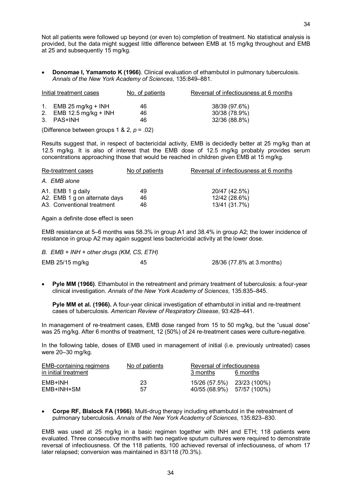Not all patients were followed up beyond (or even to) completion of treatment. No statistical analysis is provided, but the data might suggest little difference between EMB at 15 mg/kg throughout and EMB at 25 and subsequently 15 mg/kg.

· **Donomae I,Yamamoto K (1966)**. Clinical evaluation of ethambutol in pulmonary tuberculosis. *Annals of the New York Academy of Sciences*, 135:849–881.

| Initial treatment cases                       |                         | No. of patients | Reversal of infectiousness at 6 months |  |
|-----------------------------------------------|-------------------------|-----------------|----------------------------------------|--|
|                                               | 1. EMB 25 mg/kg + INH   | 46              | 38/39 (97.6%)                          |  |
|                                               | 2. EMB 12.5 mg/kg + INH | 46              | 30/38 (78.9%)                          |  |
|                                               | 3. PAS+INH              | 46              | 32/36 (88.8%)                          |  |
| (Difference between groups 1 & 2, $p = .02$ ) |                         |                 |                                        |  |

Results suggest that, in respect of bactericidal activity, EMB is decidedly better at 25 mg/kg than at 12.5 mg/kg. It is also of interest that the EMB dose of 12.5 mg/kg probably provides serum concentrations approaching those that would be reached in children given EMB at 15 mg/kg.

| Re-treatment cases            | No of patients | Reversal of infectiousness at 6 months |
|-------------------------------|----------------|----------------------------------------|
| A. EMB alone                  |                |                                        |
| A1. EMB 1 g daily             | 49             | 20/47 (42.5%)                          |
| A2. EMB 1 g on alternate days | 46             | 12/42 (28.6%)                          |
| A3. Conventional treatment    | 46             | 13/41 (31.7%)                          |

Again a definite dose effect is seen

EMB resistance at 5–6 months was 58.3% ingroup A1 and 38.4% in group A2; the lower incidence of resistance in group A2 may again suggest less bactericidal activity at the lower dose.

*B. EMB + INH + other drugs (KM, CS, ETH)*

| EMB 25/15 mg/kg | 45 | 28/36 (77.8% at 3 months) |
|-----------------|----|---------------------------|
|-----------------|----|---------------------------|

**Pyle MM (1966)**. Ethambutol in the retreatment and primary treatment of tuberculosis: a four-year clinical investigation. *Annals of the New York Academy of Sciences*, 135:835–845.

**Pyle MM et al. (1966).** A four-year clinical investigation of ethambutol in initial and re-treatment cases of tuberculosis. *American Review of Respiratory Disease*, 93:428–441.

In management of re-treatment cases, EMB dose ranged from 15 to 50 mg/kg, but the "usual dose" was 25 mg/kg. After 6 months of treatment, 12 (50%) of 24 re-treatment cases were culture-negative.

In the following table, doses of EMB used in management of initial (i.e. previously untreated) cases were 20–30 mg/kg.

| <b>EMB-containing regimens</b><br>in initial treatment | No of patients | Reversal of infectiousness<br>3 months | 6 months |
|--------------------------------------------------------|----------------|----------------------------------------|----------|
| EMB+INH                                                | 23             | 15/26 (57.5%) 23/23 (100%)             |          |
| EMB+INH+SM                                             | 57             | 40/55 (68.9%) 57/57 (100%)             |          |

**Corpe RF, Blalock FA (1966).** Multi-drug therapy including ethambutol in the retreatment of pulmonary tuberculosis. *Annals of the New York Academy of Sciences*, 135:823–830.

EMB was used at 25 mg/kg in a basic regimen together with INH and ETH; 118 patients were evaluated. Three consecutive months with two negative sputum cultures were required to demonstrate reversal of infectiousness. Of the 118 patients, 100 achieved reversal of infectiousness, of whom 17 later relapsed; conversion was maintained in 83/118 (70.3%).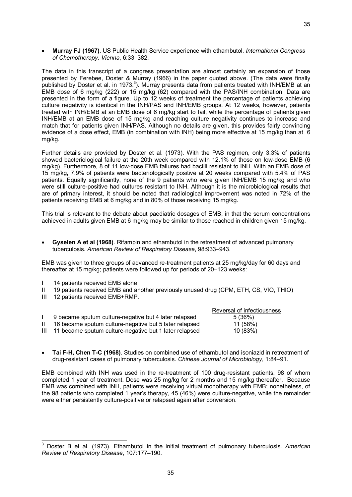35

· **Murray FJ (1967)**. US Public Health Service experience with ethambutol. *International Congress of Chemotherapy, Vienna*, 6:33–382.

The data in this transcript of a congress presentation are almost certainly an expansion of those presented by Ferebee, Doster & Murray (1966) in the paper quoted above. (The data were finally published by Doster et al. in 1973.<sup>3</sup>). Murray presents data from patients treated with INH/EMB at an EMB dose of 6 mg/kg (222) or 15 mg/kg (62) compared with the PAS/INH combination. Data are presented in the form of a figure. Up to 12 weeks of treatment the percentage of patients achieving culture negativity is identical in the INH/PAS and INH/EMB groups. At 12 weeks, however, patients treated with INH/EMB at an EMB dose of 6 mg/kg start to fail, while the percentage of patients given INH/EMB at an EMB dose of 15 mg/kg and reaching culture negativity continues to increase and match that for patients given INH/PAS. Although no details are given, this provides fairly convincing evidence of a dose effect, EMB (in combination with INH) being more effective at 15 mg/kg than at 6 mg/kg.

Further details are provided by Doster et al. (1973). With the PAS regimen, only 3.3% of patients showed bacteriological failure at the 20th week compared with 12.1% of those on low-dose EMB (6 mg/kg). Furthermore, 8 of 11 low-dose EMB failures had bacilli resistant to INH. With an EMB dose of 15 mg/kg**,** 7.9% of patients were bacteriologically positive at 20 weeks compared with 5.4% of PAS patients. Equally significantly, none of the 9 patients who were given INH/EMB 15 mg/kg and who were still culture-positive had cultures resistant to INH. Although it is the microbiological results that are of primary interest, it should be noted that radiological improvement was noted in 72% of the patients receiving EMB at 6 mg/kg and in 80% of those receiving 15 mg/kg.

This trial is relevant to the debate about paediatric dosages of EMB, in that the serum concentrations achieved in adults given EMB at 6 mg/kg may be similar to those reached in children given 15 mg/kg.

· **Gyselen A et al (1968)**. Rifampin and ethambutol in the retreatment of advanced pulmonary tuberculosis. *American Review of Respiratory Disease*, 98:933–943.

EMB was given to three groups of advanced re-treatment patients at 25 mg/kg/day for 60 days and thereafter at 15 mg/kg; patients were followed up for periods of 20–123 weeks:

- I 14 patients received EMB alone
- II 19 patients received EMB and another previously unused drug (CPM, ETH, CS, VIO, THIO)
- III 12 patients received EMB+RMP.

|                                                            | Reversal of infectiousness |
|------------------------------------------------------------|----------------------------|
| 9 became sputum culture-negative but 4 later relapsed      | 5(36%)                     |
| 16 became sputum culture-negative but 5 later relapsed     | 11 (58%)                   |
| III 11 became sputum culture-negative but 1 later relapsed | 10 (83%)                   |

· **Tai FH, Chen TC (1968)**. Studies on combined use of ethambutol and isoniazid in retreatment of drug-resistant cases of pulmonary tuberculosis. *Chinese Journal of Microbiology*, 1:84–91.

EMB combined with INH was used in the re-treatment of 100 drug-resistant patients, 98 of whom completed 1 year of treatment. Dose was 25 mg/kg for 2 months and 15 mg/kg thereafter. Because EMB was combined with INH, patients were receiving virtual monotherapy with EMB; nonetheless, of the 98 patients who completed 1 year's therapy, 45 (46%) were culture-negative, while the remainder were either persistently culture-positive or relapsed again after conversion.

<sup>3</sup> Doster B et al. (1973). Ethambutol in the initial treatment of pulmonary tuberculosis. *American Review of Respiratory Disease*, 107:177–190.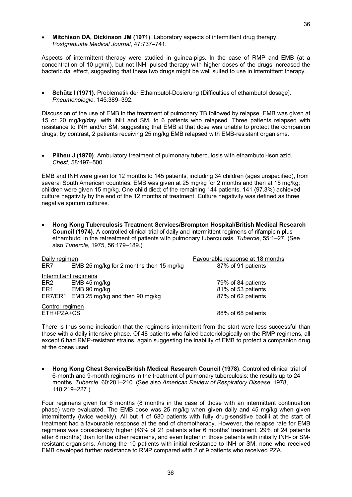· **Mitchison DA, Dickinson JM (1971)**. Laboratory aspects of intermittent drug therapy. *Postgraduate Medical Journal*, 47:737–741.

Aspects of intermittent therapy were studied in quinea-pigs. In the case of RMP and EMB (at a concentration of 10 ug/ml), but not INH, pulsed therapy with higher doses of the drugs increased the bactericidal effect, suggesting that these two drugs might be well suited to use in intermittent therapy.

**Schütz I (1971)**. Problematik der Ethambutol-Dosierung (Difficulties of ethambutol dosage]. *Pneumonologie*, 145:389–392.

Discussion of the use of EMB in the treatment of pulmonary TB followed by relapse. EMB was given at 15 or 20 mg/kg/day, with INH and SM, to 6 patients who relapsed. Three patients relapsed with resistance to INH and/or SM, suggesting that EMB at that dose was unable to protect the companion drugs; by contrast, 2 patients receiving 25 mg/kg EMB relapsed with EMB-resistant organisms.

**Pilheu J (1970)**. Ambulatory treatment of pulmonary tuberculosis with ethambutol-isoniazid. *Chest*, 58:497–500.

EMB and INH were given for 12 months to 145 patients, including 34 children (ages unspecified), from several South American countries. EMB was given at 25 mg/kg for 2 months and then at 15 mg/kg; children were given 15 mg/kg. One child died; of the remaining 144 patients, 141 (97.3%) achieved culture negativity by the end of the 12 months of treatment. Culture negativity was defined as three negative sputum cultures.

· **Hong Kong Tuberculosis Treatment Services/Brompton Hospital/British Medical Research Council (1974)**. A controlled clinical trial of daily and intermittent regimens of rifampicin plus ethambutol in the retreatment of patients with pulmonary tuberculosis. *Tubercle*, 55:1–27. (See also *Tubercle*, 1975, 56:179–189.)

| Daily regimen         |                                         | Favourable response at 18 months |  |
|-----------------------|-----------------------------------------|----------------------------------|--|
| ER7                   | EMB 25 mg/kg for 2 months then 15 mg/kg | 87% of 91 patients               |  |
| Intermittent regimens |                                         |                                  |  |
| ER2                   | EMB 45 mg/kg                            | 79% of 84 patients               |  |
| ER1                   | EMB 90 mg/kg                            | 81% of 53 patients               |  |
|                       | ER7/ER1 EMB 25 mg/kg and then 90 mg/kg  | 87% of 62 patients               |  |
| Control regimen       |                                         |                                  |  |
| ETH+PZA+CS            |                                         | 88% of 68 patients               |  |

There is thus some indication that the regimens intermittent from the start were less successful than those with a daily intensive phase. Of 48 patients who failed bacteriologically on the RMP regimens, all except 6 had RMP-resistant strains, again suggesting the inability of EMB to protect a companion drug at the doses used.

· **Hong Kong Chest Service/British Medical Research Council (1978)**. Controlled clinical trial of 6-month and 9-month regimens in the treatment of pulmonary tuberculosis: the results up to 24 months. *Tubercle*, 60:201–210. (See also *American Review of Respiratory Disease*, 1978, 118:219–227.)

Four regimens given for 6 months (8 months in the case of those with an intermittent continuation phase) were evaluated. The EMB dose was 25 mg/kg when given daily and 45 mg/kg when given intermittently (twice weekly). All but 1 of 680 patients with fully drug-sensitive bacilli at the start of treatment had a favourable response at the end of chemotherapy. However, the relapse rate for EMB regimens was considerably higher (43% of 21 patients after 6 months' treatment, 29% of 24 patients after 8 months) than for the other regimens, and even higher in those patients with initially INH or SM resistant organisms. Among the 10 patients with initial resistance to INH orSM, none who received EMB developed further resistance to RMP compared with 2 of 9 patients who received PZA.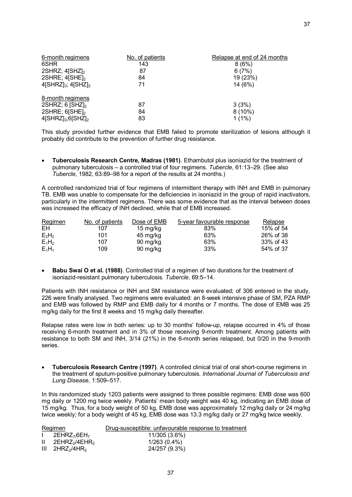| 6-month regimens                                                                                                       | No. of patients | Relapse at end of 24 months    |
|------------------------------------------------------------------------------------------------------------------------|-----------------|--------------------------------|
| 6SHR                                                                                                                   | 143             | 8(6%)                          |
| 2SHRZ; $4$ SHZ $l_2$                                                                                                   | 87              | 6(7%)                          |
| 2SHRE; $4$ [SHE] <sub>2</sub>                                                                                          | 84              | 19 (23%)                       |
| $4$ [SHRZ] <sub>3</sub> ; $4$ [SHZ] <sub>2</sub>                                                                       | 71              | 14 (6%)                        |
| 8-month regimens<br>2SHRZ; $6$ [SHZ] <sub>2</sub><br>2SHRE; $6[SHE]_2$<br>$4$ [SHRZ] <sub>3</sub> ;6[SHZ] <sub>2</sub> | 87<br>84<br>83  | 3(3%)<br>$8(10\%)$<br>$1(1\%)$ |

This study provided further evidence that EMB failed to promote sterilization of lesions although it probably did contribute to the prevention of further drug resistance.

· **Tuberculosis Research Centre, Madras (1981)**. Ethambutol plus isoniazid for the treatment of pulmonary tuberculosis – a controlled trial of four regimens. *Tubercle*, 61:13–29. (See also *Tubercle*, 1982, 63:89–98 for a report of the results at 24 months.)

A controlled randomized trial of four regimens of intermittent therapy with INH and EMB in pulmonary TB. EMB was unable to compensate for the deficiencies in isoniazid in the group of rapid inactivators, particularly in the intermittent regimens. There was some evidence that as the interval between doses was increased the efficacy of INH declined, while that of EMB increased.

| Regimen  | No. of patients | Dose of EMB | 5-year favourable response | <b>Relapse</b> |
|----------|-----------------|-------------|----------------------------|----------------|
| EН       | 107             | 15 mg/kg    | 83%                        | 15% of 54      |
| $E_2H_2$ | 101             | 45 mg/kg    | 63%                        | 26% of 38      |
| $E_1H_2$ | 107             | 90 mg/kg    | 63%                        | 33% of 43      |
| $E_1H_1$ | 109             | 90 mg/kg    | 33%                        | 54% of 37      |

· **Babu Swai O et al. (1988)**. Controlled trial of a regimen of two durations for the treatment of isoniazid-resistant pulmonary tuberculosis. *Tubercle*, 69:5–14.

Patients with INH resistance or INH and SM resistance were evaluated; of 306 entered in the study, 226 were finally analysed. Two regimens were evaluated: an 8-week intensive phase of SM, PZA RMP and EMB was followed by RMP and EMB daily for 4 months or 7 months. The dose of EMB was 25 mg/kg daily for the first 8 weeks and 15 mg/kg daily thereafter.

Relapse rates were low in both series: up to 30 months' followup, relapse occurred in 4% of those receiving 6-month treatment and in 3% of those receiving 9-month treatment. Among patients with resistance to both SM and INH, 3/14 (21%) in the 6-month series relapsed, but 0/20 in the 9-month series.

**Tuberculosis Research Centre (1997)**. A controlled clinical trial of oral short-course regimens in the treatment of sputumpositive pulmonary tuberculosis. *International Journal of Tuberculosis and Lung Disease*, 1:509–517.

In this randomized study 1203 patients were assigned to three possible regimens: EMB dose was 600 mg daily or 1200 mg twice weekly. Patients' mean body weight was 40 kg, indicating an EMB dose of 15 mg/kg. Thus, for a body weight of 50 kg, EMB dose was approximately 12 mg/kg daily or 24 mg/kg twice weekly; for a body weight of 45 kg, EMB dose was 13.3 mg/kg daily or 27 mg/kg twice weekly.

| Drug-susceptible: unfavourable response to treatment<br>Regimen       |  |
|-----------------------------------------------------------------------|--|
| 2EHRZ <sub>7/</sub> 6EH <sub>7</sub><br>11/305 (3.6%)<br>$\mathbf{L}$ |  |
| $1/263(0.4\%)$<br>$\mathbf{H}$<br>$2$ EHRZ $_2$ /4EHR $_2$            |  |
| 24/257 (9.3%)<br>$III$ 2HRZ <sub>2</sub> /4HR <sub>2</sub>            |  |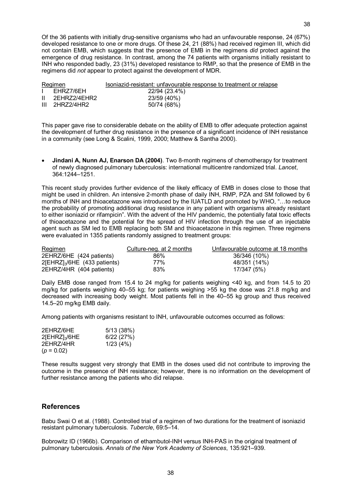Of the 36 patients with initially drug-sensitive organisms who had an unfavourable response,  $24 (67%)$ developed resistance to one or more drugs. Of these 24, 21 (88%) had received regimen III, which did not contain EMB, which suggests that the presence of EMB in the regimens *did* protect against the emergence of drug resistance. In contrast, among the 74 patients with organisms initially resistant to INH who responded badly, 23 (31%) developed resistance to RMP, so that the presence of EMB in the

| Regimen |                 | Isoniazid-resistant: unfavourable response to treatment or relapse |
|---------|-----------------|--------------------------------------------------------------------|
|         | FHRZ7/6FH       | 22/94 (23.4%)                                                      |
|         | II 2EHRZ2/4EHR2 | 23/59 (40%)                                                        |
|         | III 2HRZ2/4HR2  | 50/74 (68%)                                                        |

regimens did *not* appear to protect against the development of MDR.

This paper gave rise to considerable debate on the ability of EMB to offer adequate protection against the development of further drug resistance in the presence of a significant incidence of INH resistance in a community (see Long & Scalini, 1999, 2000; Matthew & Santha 2000).

· **Jindani A, Nunn AJ, Enarson DA (2004)**. Two 8month regimens of chemotherapy for treatment of newly diagnosed pulmonary tuberculosis: international multicentre randomized trial. *Lancet*, 364:1244–1251.

This recent study provides further evidence of the likely efficacy of EMB in doses close to those that might be used in children. An intensive 2-month phase of daily INH, RMP, PZA and SM followed by 6 months of INH and thioacetazone was introduced by the IUATLD and promoted by WHO, "…to reduce the probability of promoting additional drug resistance in any patient with organisms already resistant to either isoniazid or rifampicin". With the advent of the HIV pandemic, the potentially fatal toxic effects of thioacetazone and the potential for the spread of HIV infection through the use of an injectable agent such as SM led to EMB replacing both SM and thioacetazone in this regimen. Three regimens were evaluated in 1355 patients randomly assigned to treatment groups:

| Regimen                          | Culture-neg. at 2 months | Unfavourable outcome at 18 months |
|----------------------------------|--------------------------|-----------------------------------|
| 2EHRZ/6HE (424 patients)         | 86%                      | 36/346 (10%)                      |
| $2[EHRZ]_{3}/6HE$ (433 patients) | 77%                      | 48/351 (14%)                      |
| 2EHRZ/4HR (404 patients)         | 83%                      | 17/347 (5%)                       |

Daily EMB dose ranged from 15.4 to 24 mg/kg for patients weighing <40 kg, and from 14.5 to 20 mg/kg for patients weighing 40–55 kg; for patients weighing >55 kg the dose was 21.8 mg/kg and decreased with increasing body weight. Most patients fell in the 40–55 kg group and thus received 14.5–20 mg/kg EMB daily.

Among patients with organisms resistant to INH, unfavourable outcomes occurred as follows:

| 2EHRZ/6HE            | 5/13(38%) |
|----------------------|-----------|
| $2$ [EHRZ] $_3$ /6HE | 6/22(27%) |
| 2EHRZ/4HR            | 1/23(4%)  |
| $(p = 0.02)$         |           |

These results suggest very strongly that EMB in the doses used did not contribute to improving the outcome in the presence of INH resistance; however, there is no information on the development of further resistance among the patients who did relapse.

#### **References**

Babu Swai O et al. (1988). Controlled trial of a regimen of two durations for the treatment of isoniazid resistant pulmonary tuberculosis. *Tubercle*, 69:5–14.

Bobrowitz ID (1966b). Comparison of ethambutol-INH versus INH-PAS in the original treatment of pulmonary tuberculosis. *Annals of the New York Academy of Sciences*, 135:921–939.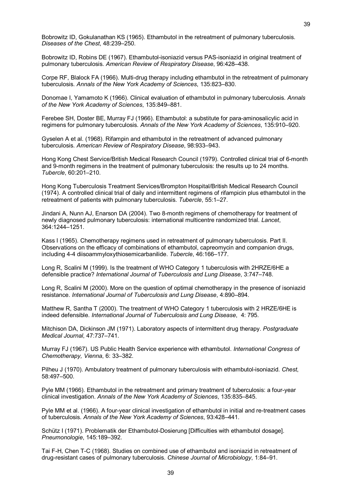Bobrowitz ID, Gokulanathan KS (1965). Ethambutol in the retreatment of pulmonary tuberculosis. *Diseases of the Chest*, 48:239–250.

Bobrowitz ID, Robins DE (1967). Ethambutol-isoniazid versus PAS-isoniazid in original treatment of pulmonary tuberculosis. *American Review of Respiratory Disease*, 96:428–438.

Corpe RF, Blalock FA (1966). Multi-drug therapy including ethambutol in the retreatment of pulmonary tuberculosis. *Annals of the New York Academy of Sciences*, 135:823–830.

Donomae I, Yamamoto K (1966). Clinical evaluation of ethambutol in pulmonary tuberculosis. *Annals of the New York Academy of Sciences*, 135:849–881.

Ferebee SH, Doster BE, Murray FJ (1966). Ethambutol: a substitute for para-aminosalicylic acid in regimens for pulmonary tuberculosis. *Annals of the New York Academy of Sciences*, 135:910–920.

Gyselen A et al. (1968). Rifampin and ethambutol in the retreatment of advanced pulmonary tuberculosis. *American Review of Respiratory Disease*, 98:933–943.

Hong Kong Chest Service/British Medical Research Council (1979). Controlled clinical trial of 6month and 9-month regimens in the treatment of pulmonary tuberculosis: the results up to 24 months. *Tubercle*, 60:201–210.

Hong Kong Tuberculosis Treatment Services/Brompton Hospital/British Medical Research Council (1974). A controlled clinical trial of daily and intermittent regimens of rifampicin plus ethambutol in the retreatment of patients with pulmonary tuberculosis. *Tubercle*, 55:1–27.

Jindani A, Nunn AJ, Enarson DA (2004). Two 8-month regimens of chemotherapy for treatment of newly diagnosed pulmonary tuberculosis: international multicentre randomized trial. *Lancet*, 364:1244–1251.

Kass I (1965). Chemotherapy regimens used in retreatment of pulmonary tuberculosis. Part II. Observations on the efficacy of combinations of ethambutol, capreomycin and companion drugs, including 44 diisoammyloxythiosemicarbanilide. *Tubercle*, 46:166–177.

Long R, Scalini M (1999). Is the treatment of WHO Category 1 tuberculosis with 2HRZE/6HE a defensible practice? *International Journal of Tuberculosis and Lung Disease*, 3:747–748.

Long R, Scalini M (2000). More on the question of optimal chemotherapy in the presence of isoniazid resistance. *International Journal of Tuberculosis and Lung Disease*, 4:890–894.

Matthew R, Santha T (2000). The treatment of WHO Category 1 tuberculosis with 2 HRZE/6HE is indeed defensible. *International Journal of Tuberculosis and Lung Disease*, 4: 795.

Mitchison DA, Dickinson JM (1971). Laboratory aspects of intermittent drug therapy. *Postgraduate Medical Journal*, 47:737–741.

Murray FJ (1967). US Public Health Service experience with ethambutol. *International Congress of Chemotherapy, Vienna*, 6: 33–382.

Pilheu J (1970). Ambulatory treatment of pulmonary tuberculosis with ethambutol-isoniazid. Chest, 58:497–500.

Pyle MM (1966). Ethambutol in the retreatment and primary treatment of tuberculosis: a four-year clinical investigation. *Annals of the New York Academy of Sciences*, 135:835–845.

Pyle MM et al. (1966). A four-year clinical investigation of ethambutol in initial and re-treatment cases of tuberculosis. *Annals of the New York Academy of Sciences*, 93:428–441.

Schütz I (1971). Problematik der Ethambutol-Dosierung [Difficulties with ethambutol dosage]. *Pneumonologie*, 145:189–392.

Tai F-H, Chen T-C (1968). Studies on combined use of ethambutol and isoniazid in retreatment of drug-resistant cases of pulmonary tuberculosis. *Chinese Journal of Microbiology*, 1:84–91.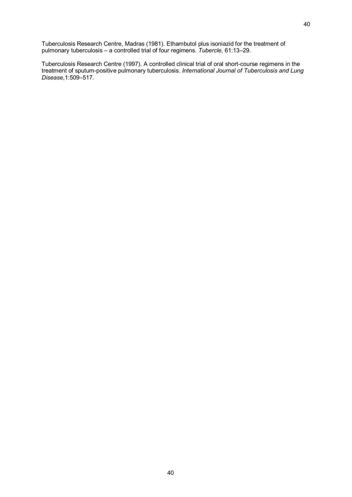Tuberculosis Research Centre, Madras (1981). Ethambutol plus isoniazid for the treatment of pulmonary tuberculosis – a controlled trial of four regimens. *Tubercle*, 61:13–29.

Tuberculosis Research Centre (1997). A controlled clinical trial of oral short-course regimens in the treatment of sputumpositive pulmonary tuberculosis. *International Journal of Tuberculosis and Lung Disease*,1:509–517.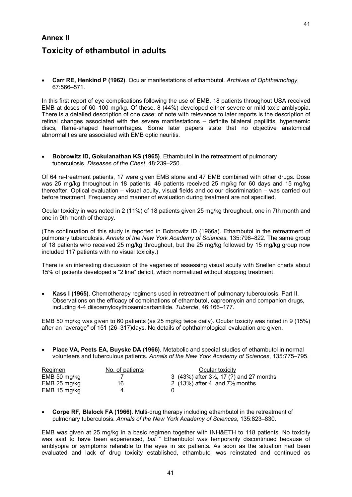# **Annex II Toxicity of ethambutol in adults**

· **Carr RE, Henkind P (1962)**. Ocular manifestations of ethambutol. *Archives of Ophthalmology*, 67:566–571.

In this first report of eye complications following the use of EMB, 18 patients throughout USA received EMB at doses of 60–100 mg/kg. Of these, 8 (44%) developed either severe or mild toxic amblyopia. There is a detailed description of one case; of note with relevance to later reports is the description of retinal changes associated with the severe manifestations – definite bilateral papillitis, hyperaemic discs, flame-shaped haemorrhages. Some later papers state that no objective anatomical abnormalities are associated with EMB optic neuritis.

· **Bobrowitz ID, Gokulanathan KS (1965)**. Ethambutol in the retreatment of pulmonary tuberculosis. *Diseases of the Chest*, 48:239–250.

Of 64 retreatment patients, 17 were given EMB alone and 47 EMB combined with other drugs. Dose was 25 mg/kg throughout in 18 patients; 46 patients received 25 mg/kg for 60 days and 15 mg/kg thereafter. Optical evaluation – visual acuity, visual fields and colour discrimination – was carried out before treatment. Frequency and manner of evaluation during treatment are not specified.

Ocular toxicity in was noted in 2 (11%) of 18 patients given 25 mg/kg throughout, one in 7th month and one in 9th month of therapy.

(The continuation of this study is reported in Bobrowitz ID (1966a). Ethambutol in the retreatment of pulmonary tuberculosis. *Annals of the New York Academy of Sciences*, 135:796–822. The same group of 18 patients who received 25 mg/kg throughout, but the 25 mg/kg followed by 15 mg/kg group now included 117 patients with no visual toxicity.)

There is an interesting discussion of the vagaries of assessing visual acuity with Snellen charts about 15% of patients developed a "2 line" deficit, which normalized without stopping treatment.

· **Kass I (1965)**. Chemotherapy regimens used in retreatment of pulmonary tuberculosis. Part II. Observations on the efficacy of combinations of ethambutol, capreomycin and companion drugs, including 44 diisoamyloxythiosemicarbanilide. *Tubercle*, 46:166–177.

EMB 50 mg/kg was given to 60 patients (as 25 mg/kg twice daily). Ocular toxicity was noted in 9 (15%) after an "average" of 151 (26–317)days. No details of ophthalmological evaluation are given.

· **Place VA, Peets EA, Buyske DA (1966)**. Metabolic and special studies of ethambutol in normal volunteers and tuberculous patients. *Annals of the New York Academy of Sciences*, 135:775–795.

| Regimen      | No. of patients | Ocular toxicity                                          |
|--------------|-----------------|----------------------------------------------------------|
| EMB 50 mg/kg |                 | 3 $(43\%)$ after $3\frac{1}{2}$ , 17 $(?)$ and 27 months |
| EMB 25 mg/kg | 16              | 2 (13%) after 4 and $7\frac{1}{2}$ months                |
| EMB 15 mg/kg |                 |                                                          |

**Corpe RF, Blalock FA (1966)**. Multi-drug therapy including ethambutol in the retreatment of pulmonary tuberculosis. *Annals of the New York Academy of Sciences*, 135:823–830.

EMB was given at 25 mg/kg in a basic regimen together with INH&ETH to 118 patients. No toxicity was said to have been experienced, *but* " Ethambutol was temporarily discontinued because of amblyopia or symptoms referable to the eyes in six patients. As soon as the situation had been evaluated and lack of drug toxicity established, ethambutol was reinstated and continued as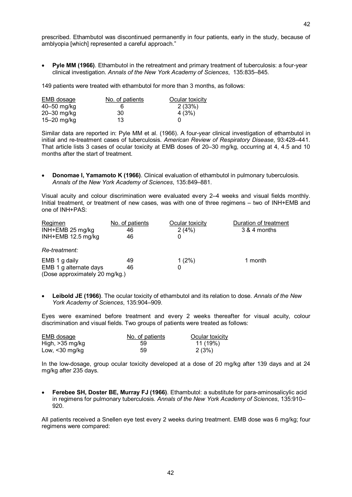prescribed. Ethambutol was discontinued permanently in four patients, early in the study, because of amblyopia [which] represented a careful approach."

**Pyle MM (1966)**. Ethambutol in the retreatment and primary treatment of tuberculosis: a four-year clinical investigation. *Annals of the New York Academy of Sciences*, 135:835–845.

149 patients were treated with ethambutol for more than 3 months, as follows:

| EMB dosage  | No. of patients | Ocular toxicity |
|-------------|-----------------|-----------------|
| 40–50 mg/kg |                 | 2(33%)          |
| 20-30 mg/kg | 30              | 4(3%)           |
| 15–20 mg/kg | 13              |                 |

Similar data are reported in: Pyle MM et al. (1966). A four-year clinical investigation of ethambutol in initial and retreatment cases of tuberculosis. *American Review of Respiratory Disease*, 93:428–441. That article lists 3 cases of ocular toxicity at EMB doses of 20–30 mg/kg, occurring at 4, 4.5 and 10 months after the start of treatment.

· **Donomae I,Yamamoto K (1966)**. Clinical evaluation of ethambutol in pulmonary tuberculosis. *Annals of the New York Academy of Sciences*, 135:849–881.

Visual acuity and colour discrimination were evaluated every 2–4 weeks and visual fields monthly. Initial treatment, or treatment of new cases, was with one of three regimens – two of INH+EMB and one of INH+PAS:

| Regimen                        | No. of patients | Ocular toxicity | Duration of treatment |
|--------------------------------|-----------------|-----------------|-----------------------|
| INH+EMB 25 mg/kg               | 46              | 2(4%)           | 3 & 4 months          |
| INH+EMB 12.5 mg/kg             | 46              |                 |                       |
| Re-treatment:                  |                 |                 |                       |
| EMB 1 g daily                  | 49              | $1(2\%)$        | 1 month               |
| EMB 1 g alternate days         | 46              |                 |                       |
| (Dose approximately 20 mg/kg.) |                 |                 |                       |

· **Leibold JE (1966)**. The ocular toxicity of ethambutol and its relation to dose. *Annals of the New York Academy of Sciences*, 135:904–909.

Eyes were examined before treatment and every 2 weeks thereafter for visual acuity, colour discrimination and visual fields. Two groups of patients were treated as follows:

| <b>EMB dosage</b> | No. of patients | Ocular toxicity |
|-------------------|-----------------|-----------------|
| High, $>35$ mg/kg | 59              | 11 (19%)        |
| Low, $<$ 30 mg/kg | 59              | 2(3%)           |

In the lowdosage, group ocular toxicity developed at a dose of 20 mg/kg after 139 days and at 24 mg/kg after 235 days.

· **Ferebee SH, Doster BE, Murray FJ (1966)**. Ethambutol: a substitute for paraaminosalicylic acid in regimens for pulmonary tuberculosis. *Annals of the New York Academy of Sciences*, 135:910– 920.

All patients received a Snellen eye test every 2 weeks during treatment. EMB dose was 6 mg/kg; four regimens were compared: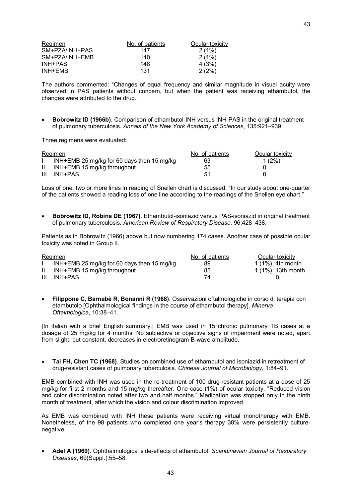| Regimen        | No. of patients | Ocular toxicity |
|----------------|-----------------|-----------------|
| SM+PZA/INH+PAS | 147             | 2(1%)           |
| SM+PZA/INH+EMB | 140             | 2(1%)           |
| INH+PAS        | 148             | 4(3%)           |
| INH+EMB        | 131             | 2(2%)           |

The authors commented: "Changes of equal frequency and similar magnitude in visual acuity were observed in PAS patients without concern, but when the patient was receiving ethambutol, the changes were attributed to the drug."

**Bobrowitz ID (1966b).** Comparison of ethambutol-INH versus INH-PAS in the original treatment of pulmonary tuberculosis. *Annals of the New York Academy of Sciences*, 135:921–939.

Three regimens were evaluated:

|              | Regimen                                    | No. of patients | Ocular toxicity |
|--------------|--------------------------------------------|-----------------|-----------------|
|              | INH+EMB 25 mg/kg for 60 days then 15 mg/kg | 63              | $1(2\%)$        |
| $\mathbf{H}$ | INH+EMB 15 mg/kg throughout                | 55              |                 |
| Ш            | INH+PAS                                    | 51              |                 |

Loss of one, two or more lines in reading of Snellen chart is discussed: "In our study about one-quarter of the patients showed a reading loss of one line according to the readings of the Snellen eye chart."

Bobrowitz ID, Robins DE (1967). Ethambutol-isoniazid versus PAS-isoniazid in original treatment of pulmonary tuberculosis. *American Review of Respiratory Disease*, 96:428–438.

Patients as in Bobrowitz (1966) above but now numbering 174 cases. Another case of possible ocular toxicity was noted in Group II.

| Regimen |                                            | No. of patients | Ocular toxicity      |
|---------|--------------------------------------------|-----------------|----------------------|
|         | INH+EMB 25 mg/kg for 60 days then 15 mg/kg | 89              | $1(1\%)$ , 4th month |
|         | INH+EMB 15 mg/kg throughout                | 85              | 1 (1%), 13th month   |
| Ш       | INH+PAS                                    | 74.             |                      |

· **Filippone C, Barnabè R, Bonanni R (1968)**. Osservazioni oftalmologiche in corso diterapia con etambutolo [Ophthalmological findings in the course of ethambutol therapy]. *Minerva Oftalmologica*, 10:38–41.

[In Italian with a brief English summary.] EMB was used in 15 chronic pulmonary TB cases at a dosage of 25 mg/kg for 4 months; No subjective or objective signs of impairment were noted, apart from slight, but constant, decreases in electroretinogram B-wave amplitude.

· **Tai FH, Chen TC (1968)**. Studies on combined use of ethambutol and isoniazid in retreatment of drug-resistant cases of pulmonary tuberculosis. *Chinese Journal of Microbiology*, 1:84–91.

EMB combined with INH was used in the re-treatment of 100 drug-resistant patients at a dose of 25 mg/kg for first 2 months and 15 mg/kg thereafter. One case (1%) of ocular toxicity. "Reduced vision and color discrimination noted after two and half months." Medication was stopped only in the ninth month of treatment, after which the vision and colour discrimination improved.

As EMB was combined with INH these patients were receiving virtual monotherapy with EMB. Nonetheless, of the 98 patients who completed one year's therapy 38% were persistently culture negative.

Adel A (1969). Ophthalmological side-effects of ethambutol. Scandinavian Journal of Respiratory *Diseases*, 69(Suppl.):55–58.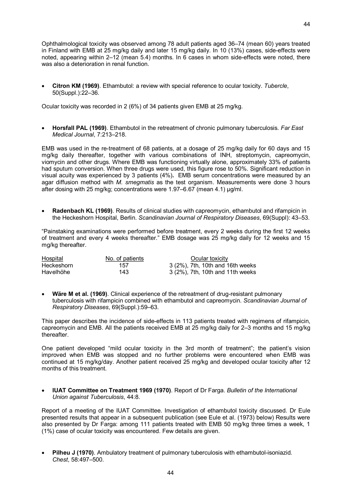Ophthalmological toxicity was observed among 78 adult patients aged 36–74 (mean 60) years treated in Finland with EMB at 25 mg/kg daily and later 15 mg/kg daily. In 10 (13%) cases, side-effects were noted, appearing within  $2-12$  (mean 5.4) months. In 6 cases in whom side-effects were noted, there was also a deterioration in renal function.

· **Citron KM (1969)**. Ethambutol: a review with special reference to ocular toxicity. *Tubercle*, 50(Suppl.):22–36.

Ocular toxicity was recorded in 2 (6%) of 34 patients given EMB at 25 mg/kg.

· **Horsfall PAL (1969)**. Ethambutol in the retreatment of chronic pulmonary tuberculosis. *Far East Medical Journal*, 7:213–218.

EMB was used in the re-treatment of 68 patients, at a dosage of 25 mg/kg daily for 60 days and 15 mg/kg daily thereafter, together with various combinations of INH, streptomycin, capreomycin, viomycin and other drugs. Where EMB was functioning virtually alone, approximately 33% of patients had sputum conversion. When three drugs were used, this figure rose to 50%. Significant reduction in visual acuity was experienced by 3 patients (4%)**.** EMB serum concentrations were measured by an agar diffusion method with *M. smegmatis* as the test organism. Measurements were done 3 hours after dosing with 25 mg/kg; concentrations were 1.97–6.67 (mean 4.1) μg/ml.

· **Radenbach KL (1969)**. Results of clinical studies with capreomycin, ethambutol and rifampicin in the Heckeshorn Hospital, Berlin. *Scandinavian Journal of Respiratory Diseases*, 69(Suppl): 43–53.

"Painstaking examinations were performed before treatment, every 2 weeks during the first 12 weeks of treatment and every 4 weeks thereafter." EMB dosage was 25 mg/kg daily for 12 weeks and 15 mg/kg thereafter.

| <b>Hospital</b> | No. of patients | Ocular toxicity                  |
|-----------------|-----------------|----------------------------------|
| Heckeshorn      | 157             | 3 (2%), 7th, 10th and 16th weeks |
| Havelhöhe       | 143             | 3 (2%), 7th, 10th and 11th weeks |

**Wäre M et al. (1969)**. Clinical experience of the retreatment of drug-resistant pulmonary tuberculosis with rifampicin combined with ethambutol and capreomycin. *Scandinavian Journal of Respiratory Diseases*, 69(Suppl.):59–63.

This paper describes the incidence of side-effects in 113 patients treated with regimens of rifampicin, capreomycin and EMB. All the patients received EMB at 25 mg/kg daily for 2–3 months and 15 mg/kg thereafter.

One patient developed "mild ocular toxicity in the 3rd month of treatment"; the patient's vision improved when EMB was stopped and no further problems were encountered when EMB was continued at 15 mg/kg/day. Another patient received 25 mg/kg and developed ocular toxicity after 12 months of this treatment.

· **IUAT Committee on Treatment 1969 (1970)**. Report of Dr Farga. *Bulletin of the International Union against Tuberculosis*, 44:8.

Report of a meeting of the IUAT Committee. Investigation of ethambutol toxicity discussed. Dr Eule presented results that appear in a subsequent publication (see Eule et al. (1973) below) Results were also presented by Dr Farga: among 111 patients treated with EMB 50 mg/kg three times a week, 1 (1%) case of ocular toxicity was encountered. Few details are given.

Pilheu J (1970). Ambulatory treatment of pulmonary tuberculosis with ethambutol-isoniazid. *Chest*, 58:497–500.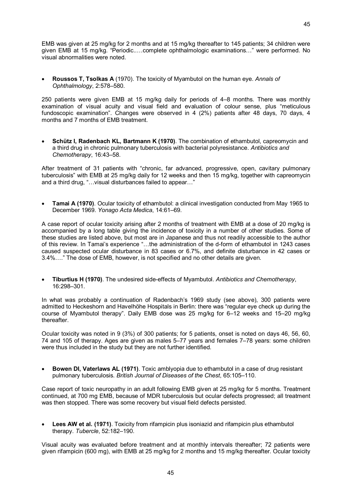EMB was given at 25 mg/kg for 2 months and at 15 mg/kg thereafter to 145 patients; 34 children were given EMB at 15 mg/kg. "Periodic..…complete ophthalmologic examinations…" were performed. No visual abnormalities were noted.

· **Roussos T, Tsolkas A** (1970). The toxicity of Myambutol on the human eye. *Annals of Ophthalmology*, 2:578–580.

250 patients were given EMB at 15 mg/kg daily for periods of 4–8 months. There was monthly examination of visual acuity and visual field and evaluation of colour sense, plus "meticulous fundoscopic examination". Changes were observed in 4 (2%) patients after 48 days, 70 days, 4 months and 7 months of EMB treatment.

· **Schütz I, Radenbach KL, Bartmann K (1970)**. The combination of ethambutol, capreomycin and a third drug in chronic pulmonary tuberculosis with bacterial polyresistance. *Antibiotics and Chemotherapy*, 16:43–58.

After treatment of 31 patients with "chronic, far advanced, progressive, open, cavitary pulmonary tuberculosis" with EMB at 25 mg/kg daily for 12 weeks and then 15 mg/kg, together with capreomycin and a third drug, "…visual disturbances failed to appear…"

· **Tamai A (1970)**. Ocular toxicity of ethambutol: a clinical investigation conducted from May 1965 to December 1969. *Yonago Acta Medica*, 14:61–69.

A case report of ocular toxicity arising after 2 months of treatment with EMB at a dose of 20 mg/kg is accompanied by a long table giving the incidence of toxicity in a number of other studies. Some of these studies are listed above, but most are in Japanese and thus not readily accessible to the author of this review. In Tamai's experience "...the administration of the d-form of ethambutol in 1243 cases caused suspected ocular disturbance in 83 cases or 6.7%, and definite disturbance in 42 cases or 3.4%…." The dose of EMB, however, is not specified and no other details are given.

· **Tiburtius H (1970)**. The undesired sideeffects of Myambutol. *Antibiotics and Chemotherapy*, 16:298–301.

In what was probably a continuation of Radenbach's 1969 study (see above), 300 patients were admitted to Heckeshorn and Havelhöhe Hospitals in Berlin: there was "regular eye check up during the course of Myambutol therapy". Daily EMB dose was 25 mg/kg for 6–12 weeks and 15–20 mg/kg thereafter.

Ocular toxicity was noted in 9 (3%) of 300 patients; for 5 patients, onset is noted on days 46, 56, 60, 74 and 105 of therapy. Ages are given as males 5–77 years and females 7–78 years: some children were thus included in the study but they are not further identified.

· **Bowen DI, Vaterlaws AL (1971)**. Toxic amblyopia due to ethambutol in a case of drug resistant pulmonary tuberculosis. *British Journal of Diseases of the Chest*, 65:105–110.

Case report of toxic neuropathy in an adult following EMB given at 25 mg/kg for 5 months. Treatment continued, at 700 mg EMB, because of MDR tuberculosis but ocular defects progressed; all treatment was then stopped. There was some recovery but visual field defects persisted.

· **Lees AW et al. (1971)**. Toxicity from rifampicin plus isoniazid and rifampicin plus ethambutol therapy. *Tubercle*, 52:182–190.

Visual acuity was evaluated before treatment and at monthly intervals thereafter; 72 patients were given rifampicin (600 mg), with EMB at 25 mg/kg for 2 months and 15 mg/kg thereafter. Ocular toxicity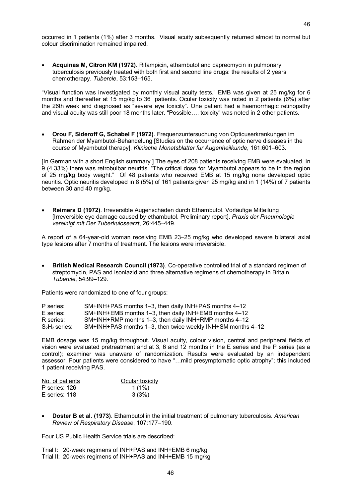occurred in 1 patients (1%) after 3 months. Visual acuity subsequently returned almost to normal but colour discrimination remained impaired.

· **Acquinas M, Citron KM (1972)**. Rifampicin, ethambutol and capreomycin in pulmonary tuberculosis previously treated with both first and second line drugs: the results of 2 years chemotherapy. *Tubercle*, 53:153–165.

"Visual function was investigated by monthly visual acuity tests." EMB was given at 25 mg/kg for 6 months and thereafter at 15 mg/kg to 36 patients. Ocular toxicity was noted in 2 patients (6%) after the 26th week and diagnosed as "severe eye toxicity". One patient had a haemorrhagic retinopathy and visual acuity was still poor 18 months later. "Possible…. toxicity" was noted in 2 other patients.

· **Orou F, Sideroff G, Schabel F (1972)**. Frequenzuntersuchung von Opticuserkrankungen im Rahmen der Myambutol-Behandelung [Studies on the occurrence of optic nerve diseases in the course of Myambutol therapy]. *Klinische Monatsblatter fur Augenheilkunde*, 161:601–603.

[In German with a short English summary.] The eyes of 208 patients receiving EMB were evaluated. In 9 (4.33%) there was retrobulbar neuritis. "The critical dose for Myambutol appears to be in the region of 25 mg/kg body weight." Of 48 patients who received EMB at 15 mg/kg none developed optic neuritis. Optic neuritis developed in 8 (5%) of 161 patients given 25 mg/kg and in 1 (14%) of 7 patients between 30 and 40 mg/kg.

· **Reimers D (1972)**. Irreversible Augenschäden durch Ethambutol. Vorläufige Mitteilung [Irreversible eye damage caused by ethambutol. Preliminary report]. *Praxis der Pneumologie vereinigt mit Der Tuberkulosearzt*, 26:445–449.

A report of a 64-year-old woman receiving EMB 23–25 mg/kg who developed severe bilateral axial type lesions after 7 months of treatment. The lesions were irreversible.

**British Medical Research Council (1973).** Co-operative controlled trial of a standard regimen of streptomycin, PAS and isoniazid and three alternative regimens of chemotherapy in Britain. *Tubercle*, 54:99–129.

Patients were randomized to one of four groups:

| P series:        | SM+INH+PAS months 1-3, then daily INH+PAS months 4-12       |
|------------------|-------------------------------------------------------------|
| E series:        | SM+INH+EMB months 1–3, then daily INH+EMB months 4–12       |
| R series:        | SM+INH+RMP months 1–3, then daily INH+RMP months 4–12       |
| $S_2H_2$ series: | SM+INH+PAS months 1–3, then twice weekly INH+SM months 4–12 |

EMB dosage was 15 mg/kg throughout. Visual acuity, colour vision, central and peripheral fields of vision were evaluated pretreatment and at 3, 6 and 12 months in the E series and the P series (as a control); examiner was unaware of randomization. Results were evaluated by an independent assessor. Four patients were considered to have "…mild presymptomatic optic atrophy"; this included 1 patient receiving PAS.

| No. of patients | Ocular toxicity |  |
|-----------------|-----------------|--|
| P series: 126   | $1(1\%)$        |  |
| E series: 118   | 3(3%)           |  |

· **Doster B et al. (1973)**. Ethambutol in the initial treatment of pulmonary tuberculosis. *American Review of Respiratory Disease*, 107:177–190.

Four US Public Health Service trials are described:

Trial I: 20-week regimens of INH+PAS and INH+EMB 6 mg/kg Trial II: 20-week regimens of INH+PAS and INH+EMB 15 mg/kg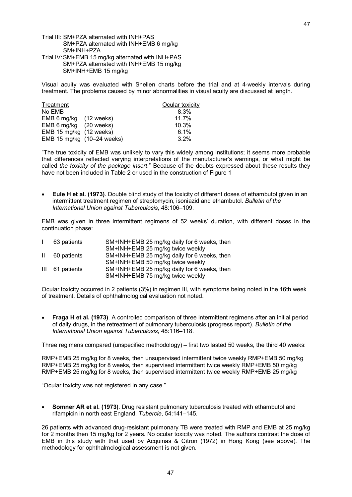- Trial III: SM+PZA alternated with INH+PAS SM+PZA alternated with INH+EMB 6 mg/kg SM+INH+PZA
- Trial IV:SM+EMB 15 mg/kg alternated with INH+PAS SM+PZA alternated with INH+EMB 15 mg/kg SM+INH+EMB 15 mg/kg

Visual acuity was evaluated with Snellen charts before the trial and at 4weekly intervals during treatment. The problems caused by minor abnormalities in visual acuity are discussed at length.

| Treatment                  |  | Ocular toxicity |
|----------------------------|--|-----------------|
| No EMB                     |  | 8.3%            |
| EMB 6 mg/kg (12 weeks)     |  | 11.7%           |
| EMB 6 mg/kg (20 weeks)     |  | 10.3%           |
| EMB 15 mg/kg (12 weeks)    |  | 6.1%            |
| EMB 15 mg/kg (10-24 weeks) |  | 3.2%            |

"The true toxicity of EMB was unlikely to vary this widely among institutions; it seems more probable that differences reflected varying interpretations of the manufacturer's warnings, or what might be called *the toxicity of the package insert*." Because of the doubts expressed about these results they have not been included in Table 2 or used in the construction of Figure 1

· **Eule H et al. (1973)**. Double blind study of the toxicity of different doses of ethambutol given in an intermittent treatment regimen of streptomycin, isoniazid and ethambutol. *Bulletin of the International Union against Tuberculosis*, 48:106–109.

EMB was given in three intermittent regimens of 52 weeks' duration, with different doses in the continuation phase:

|              | 63 patients     | SM+INH+EMB 25 mg/kg daily for 6 weeks, then |
|--------------|-----------------|---------------------------------------------|
|              |                 | SM+INH+EMB 25 mg/kg twice weekly            |
| $\mathbf{H}$ | 60 patients     | SM+INH+EMB 25 mg/kg daily for 6 weeks, then |
|              |                 | SM+INH+EMB 50 mg/kg twice weekly            |
|              | III 61 patients | SM+INH+EMB 25 mg/kg daily for 6 weeks, then |
|              |                 | SM+INH+EMB 75 mg/kg twice weekly            |

Ocular toxicity occurred in 2 patients (3%) in regimen III, with symptoms being noted in the 16th week of treatment. Details of ophthalmological evaluation not noted.

· **Fraga H et al. (1973)**. A controlled comparison of three intermittent regimens after an initial period of daily drugs, in the retreatment of pulmonary tuberculosis (progress report). *Bulletin of the International Union against Tuberculosis*, 48:116–118.

Three regimens compared (unspecified methodology) – first two lasted 50 weeks, the third 40 weeks:

RMP+EMB 25 mg/kg for 8 weeks, then unsupervised intermittent twice weekly RMP+EMB 50 mg/kg RMP+EMB 25 mg/kg for 8 weeks, then supervised intermittent twice weekly RMP+EMB 50 mg/kg RMP+EMB 25 mg/kg for 8 weeks, then supervised intermittent twice weekly RMP+EMB 25 mg/kg

"Ocular toxicity was not registered in any case."

· **Somner AR et al. (1973)**. Drug resistant pulmonary tuberculosis treated with ethambutol and rifampicin in north east England. *Tubercle*, 54:141–145.

26 patients with advanced drug-resistant pulmonary TB were treated with RMP and EMB at 25 mg/kg for 2 months then 15 mg/kg for 2 years. No ocular toxicity was noted. The authors contrast the dose of EMB in this study with that used by Acquinas & Citron (1972) in Hong Kong (see above). The methodology for ophthalmological assessment is not given.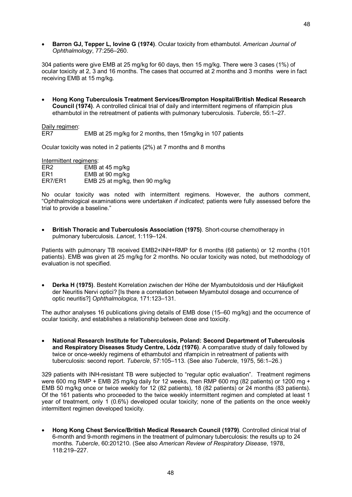· **Barron GJ, Tepper L, Iovine G (1974)**. Ocular toxicity from ethambutol. *American Journal of Ophthalmology*, 77:256–260.

304 patients were give EMB at 25 mg/kg for 60 days, then 15 mg/kg. There were 3 cases (1%) of ocular toxicity at 2, 3 and 16 months. The cases that occurred at 2 months and 3 months were in fact receiving EMB at 15 mg/kg.

· **Hong Kong Tuberculosis Treatment Services/Brompton Hospital/British Medical Research Council (1974)**. A controlled clinical trial of daily and intermittent regimens of rifampicin plus ethambutol in the retreatment of patients with pulmonary tuberculosis. *Tubercle*, 55:1–27.

Daily regimen:<br>ER7

EMB at 25 mg/kg for 2 months, then 15mg/kg in 107 patients

Ocular toxicity was noted in 2 patients (2%) at 7 months and 8 months

| Intermittent regimens: |                                |  |  |
|------------------------|--------------------------------|--|--|
| ER2                    | EMB at 45 mg/kg                |  |  |
| ER1                    | EMB at 90 mg/kg                |  |  |
| ER7/ER1                | EMB 25 at mg/kg, then 90 mg/kg |  |  |

No ocular toxicity was noted with intermittent regimens. However, the authors comment, "Ophthalmological examinations were undertaken *ifindicated*; patients were fully assessed before the trial to provide a baseline."

**British Thoracic and Tuberculosis Association (1975)**. Short-course chemotherapy in pulmonary tuberculosis. *Lancet*, 1:119–124.

Patients with pulmonary TB received EMB2+INH+RMP for 6 months (68 patients) or 12 months (101 patients). EMB was given at 25 mg/kg for 2 months. No ocular toxicity was noted, but methodology of evaluation is not specified.

· **Derka H (1975)**. Besteht Korrelation zwischen der Höhe der Myambutoldosis und der Häufigkeit der Neuritis Nervi optici? [Is there a correlation between Myambutol dosage and occurrence of optic neuritis?] *Ophthalmologica*, 171:123–131.

The author analyses 16 publications giving details of EMB dose (15–60 mg/kg) and the occurrence of ocular toxicity, and establishes a relationship between dose and toxicity.

· **National Research Institute for Tuberculosis, Poland: Second Department of Tuberculosis and Respiratory Diseases Study Centre, Lódz (1976)**. A comparative study of daily followed by twice or once-weekly regimens of ethambutol and rifampicin in retreatment of patients with tuberculosis: second report. *Tubercle*, 57:105–113. (See also *Tubercle*, 1975, 56:1–26.)

329 patients with INH-resistant TB were subjected to "regular optic evaluation". Treatment regimens were 600 mg RMP + EMB 25 mg/kg daily for 12 weeks, then RMP 600 mg (82 patients) or 1200 mg + EMB 50 mg/kg once or twice weekly for 12 (82 patients), 18 (82 patients) or 24 months (83 patients). Of the 161 patients who proceeded to the twice weekly intermittent regimen and completed at least 1 year of treatment, only 1 (0.6%) developed ocular toxicity; none of the patients on the once weekly intermittent regimen developed toxicity.

· **Hong Kong Chest Service/British Medical Research Council (1979)**. Controlled clinical trial of 6-month and 9-month regimens in the treatment of pulmonary tuberculosis: the results up to 24 months. *Tubercle*, 60:201210. (See also *American Review of Respiratory Disease*, 1978, 118:219–227.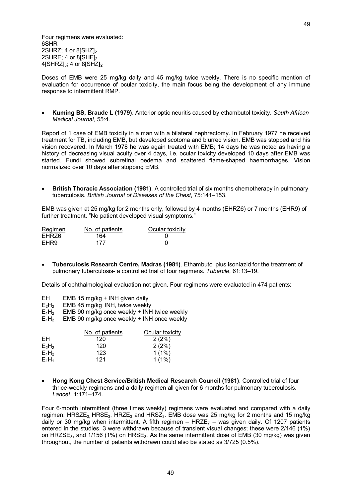Four regimens were evaluated: 6SHR 2SHRZ;  $4$  or  $8$ [SHZ]<sub>2</sub>  $2$ SHRE; 4 or  $8$  $\overline{\text{SHE}}$ <sub>2</sub> 4[SHRZ]3; 4 or 8[SHZ**]<sup>2</sup>**

Doses of EMB were 25 mg/kg daily and 45 mg/kg twice weekly. There is no specific mention of evaluation for occurrence of ocular toxicity, the main focus being the development of any immune response to intermittent RMP.

· **Kuming BS, Braude L (1979)**. Anterior optic neuritis caused by ethambutol toxicity. *South African Medical Journal*, 55:4.

Report of 1 case of EMB toxicity in a man with a bilateral nephrectomy. In February 1977 he received treatment for TB, including EMB, but developed scotoma and blurred vision. EMB was stopped and his vision recovered. In March 1978 he was again treated with EMB; 14 days he was noted as having a history of decreasing visual acuity over 4 days, i.e. ocular toxicity developed 10 days after EMB was started. Fundi showed subretinal oedema and scattered flameshaped haemorrhages. Vision normalized over 10 days after stopping EMB.

· **British Thoracic Association (1981)**. A controlled trial of six months chemotherapy in pulmonary tuberculosis. *British Journal of Diseases of the Chest*, 75:141–153.

EMB was given at 25 mg/kg for 2 months only, followed by 4 months (EHRZ6) or 7 months (EHR9) of further treatment. "No patient developed visual symptoms."

| Regimen | No. of patients | Ocular toxicity |
|---------|-----------------|-----------------|
| EHRZ6   | 164             |                 |
| EHR9    | 177             |                 |

· **Tuberculosis Research Centre, Madras (1981)**. Ethambutol plus isoniazid for the treatment of pulmonary tuberculosis a controlled trial of four regimens. *Tubercle*, 61:13–19.

Details of ophthalmological evaluation not given. Four regimens were evaluated in 474 patients:

- EH EMB 15 mg/kg + INH given daily<br> $E_2H_2$  EMB 45 mg/kg INH, twice weekly
- $E_2H_2$  EMB 45 mg/kg INH, twice weekly<br> $E_1H_2$  EMB 90 mg/kg once weekly + INH
- $E_1H_2$  EMB 90 mg/kg once weekly + INH twice weekly  $E_1H_2$  EMB 90 mg/kg once weekly + INH once weekly
- EMB 90 mg/kg once weekly + INH once weekly

|          | No. of patients | Ocular toxicity |
|----------|-----------------|-----------------|
| FН       | 120             | 2(2%)           |
| $E_2H_2$ | 120             | 2(2%)           |
| $E_1H_2$ | 123             | $1(1\%)$        |
| $E_1H_1$ | 121             | $1(1\%)$        |

· **Hong Kong Chest Service/British Medical Research Council (1981)**. Controlled trial of four thrice-weekly regimens and a daily regimen all given for 6 months for pulmonary tuberculosis. *Lancet*, 1:171–174.

Four 6-month intermittent (three times weekly) regimens were evaluated and compared with a daily regimen:  $HRSZE<sub>3</sub> HRSE<sub>3</sub> HRES<sub>4</sub>$  and  $HRSZ<sub>3</sub>$ . EMB dose was 25 mg/kg for 2 months and 15 mg/kg daily or 30 mg/kg when intermittent. A fifth regimen –  $HRZE<sub>7</sub>$  – was given daily. Of 1207 patients entered in the studies, 3 were withdrawn because of transient visual changes; these were 2/146 (1%) on HRZSE<sub>3</sub>, and 1/156 (1%) on HRSE<sub>3</sub>. As the same intermittent dose of EMB (30 mg/kg) was given throughout, the number of patients withdrawn could also be stated as 3/725 (0.5%).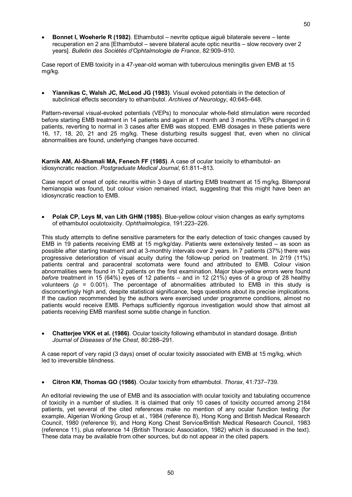· **Bonnet I, Woeherle R (1982)**. Ethambutol – nevrite optique aiguё bilaterale severe – lente recuperation en 2 ans [Ethambutol – severe bilateral acute optic neuritis – slow recovery over 2 years]. *Bulletin des Sociétés d'Ophtalmologie de France*, 82:909–910.

Case report of EMB toxicity in a 47-year-old woman with tuberculous meningitis given EMB at 15 mg/kg.

· **Yiannikas C, Walsh JC, McLeod JG (1983)**. Visual evoked potentials in the detection of subclinical effects secondary to ethambutol. *Archives of Neurology*, 40:645–648.

Pattern-reversal visual-evoked potentials (VEPs) to monocular whole-field stimulation were recorded before starting EMB treatment in 14 patients and again at 1 month and 3 months. VEPs changed in 6 patients, reverting to normal in 3 cases after EMB was stopped. EMB dosages in these patients were 16, 17, 18, 20, 21 and 25 mg/kg. These disturbing results suggest that, even when no clinical abnormalities are found, underlying changes have occurred.

**Karnik AM, AlShamali MA, Fenech FF (1985)**. A case of ocular toxicity to ethambutol an idiosyncratic reaction. *Postgraduate Medical Journal*, 61:811–813.

Case report of onset of optic neuritis within 3 days of starting EMB treatment at 15 mg/kg. Bitemporal hemianopia was found, but colour vision remained intact, suggesting that this might have been an idiosyncratic reaction to EMB.

**Polak CP, Leys M, van Lith GHM (1985)**. Blue-yellow colour vision changes as early symptoms of ethambutol oculotoxicity. *Ophthalmologica*, 191:223–226.

This study attempts to define sensitive parameters for the early detection of toxic changes caused by EMB in 19 patients receiving EMB at 15 mg/kg/day. Patients were extensively tested – as soon as possible after starting treatment and at 3monthly intervals over 2 years. In 7 patients (37%) there was progressive deterioration of visual acuity during the followup period on treatment. In 2/19 (11%) patients central and paracentral scotomata were found and attributed to EMB. Colour vision abnormalities were found in 12 patients on the first examination. Major blue-yellow errors were found *before* treatment in 15 (64%) eyes of 12 patients – and in 12 (21%) eyes of a group of 28 healthy volunteers ( $p = 0.001$ ). The percentage of abnormalities attributed to EMB in this study is disconcertingly high and, despite statistical significance, begs questions about its precise implications. If the caution recommended by the authors were exercised under programme conditions, almost no patients would receive EMB. Perhaps sufficiently rigorous investigation would show that almost all patients receiving EMB manifest some subtle change in function.

· **Chatterjee VKK et al. (1986)**. Ocular toxicity following ethambutol in standard dosage. *British Journal of Diseases of the Chest*, 80:288–291.

A case report of very rapid (3 days) onset of ocular toxicity associated with EMB at 15 mg/kg, which led to irreversible blindness.

· **Citron KM, Thomas GO (1986)**. Ocular toxicity from ethambutol. *Thorax*, 41:737–739.

An editorial reviewing the use of EMB and its association with ocular toxicity and tabulating occurrence of toxicity in a number of studies. It is claimed that only 10 cases of toxicity occurred among 2184 patients, yet several of the cited references make no mention of any ocular function testing (for example, Algerian Working Group et al., 1984 (reference 8), Hong Kong and British Medical Research Council, 1980 (reference 9), and Hong Kong Chest Service/British Medical Research Council, 1983 (reference 11), plus reference 14 (British Thoracic Association, 1982) which is discussed in the text). These data may be available from other sources, but do not appear in the cited papers.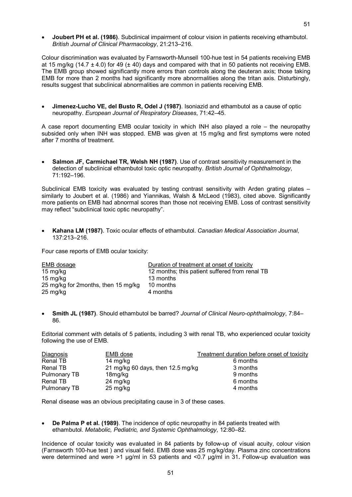· **Joubert PH et al. (1986)**. Subclinical impairment of colour vision in patients receiving ethambutol. *British Journal of Clinical Pharmacology*, 21:213–216.

Colour discrimination was evaluated by Farnsworth-Munsell 100-hue test in 54 patients receiving EMB at 15 mg/kg (14.7  $\pm$  4.0) for 49 ( $\pm$  40) days and compared with that in 50 patients not receiving EMB. The EMB group showed significantly more errors than controls along the deuteran axis; those taking EMB for more than 2 months had significantly more abnormalities along the tritan axis. Disturbingly, results suggest that subclinical abnormalities are common in patients receiving EMB.

· **JimenezLucho VE, del Busto R, Odel J (1987)**. Isoniazid and ethambutol as a cause of optic neuropathy. *European Journal of Respiratory Diseases*, 71:42–45.

A case report documenting EMB ocular toxicity in which INH also played a role – the neuropathy subsided only when INH was stopped. EMB was given at 15 mg/kg and first symptoms were noted after 7 months of treatment.

· **Salmon JF, Carmichael TR, Welsh NH (1987)**. Use of contrast sensitivity measurement in the detection of subclinical ethambutol toxic optic neuropathy. *British Journal of Ophthalmology*, 71:192–196.

Subclinical EMB toxicity was evaluated by testing contrast sensitivity with Arden grating plates – similarly to Joubert et al. (1986) and Yiannikas, Walsh & McLeod (1983), cited above. Significantly more patients on EMB had abnormal scores than those not receiving EMB. Loss of contrast sensitivity may reflect "subclinical toxic optic neuropathy".

· **Kahana LM (1987)**. Toxic ocular effects of ethambutol. *Canadian Medical Association Journal*, 137:213–216.

Four case reports of EMB ocular toxicity:

| EMB dosage                          | Duration of treatment at onset of toxicity     |
|-------------------------------------|------------------------------------------------|
| 15 mg/kg                            | 12 months; this patient suffered from renal TB |
| 15 mg/kg                            | 13 months                                      |
| 25 mg/kg for 2months, then 15 mg/kg | 10 months                                      |
| 25 mg/kg                            | 4 months                                       |

**Smith JL (1987)**. Should ethambutol be barred? *Journal of Clinical Neuro-ophthalmology*, 7:84– 86.

Editorial comment with details of 5 patients, including 3 with renal TB, who experienced ocular toxicity following the use of EMB.

| Diagnosis    | EMB dose                          | Treatment duration before onset of toxicity |
|--------------|-----------------------------------|---------------------------------------------|
| Renal TB     | 14 mg/kg                          | 6 months                                    |
| Renal TB     | 21 mg/kg 60 days, then 12.5 mg/kg | 3 months                                    |
| Pulmonary TB | 18mg/kg                           | 9 months                                    |
| Renal TB     | 24 mg/kg                          | 6 months                                    |
| Pulmonary TB | 25 mg/kg                          | 4 months                                    |

Renal disease was an obvious precipitating cause in 3 of these cases.

· **De Palma P et al. (1989)**. The incidence of optic neuropathy in 84 patients treated with ethambutol. *Metabolic, Pediatric, and Systemic Ophthalmology*, 12:80–82.

Incidence of ocular toxicity was evaluated in 84 patients by follow-up of visual acuity, colour vision (Farnsworth 100hue test ) and visual field. EMB dose was 25 mg/kg/day. Plasma zinc concentrations were determined and were >1 µg/ml in 53 patients and <0.7 µg/ml in 31**.** Followup evaluation was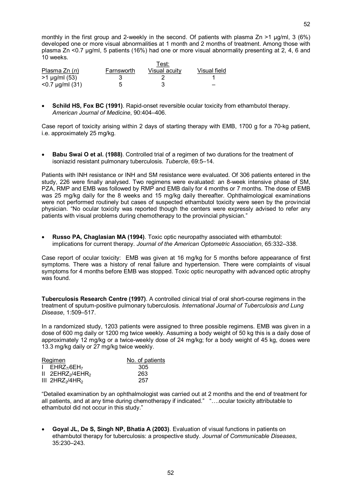monthly in the first group and 2-weekly in the second. Of patients with plasma Zn >1 ug/ml, 3 (6%) developed one or more visual abnormalities at 1 month and 2 months of treatment. Among those with plasma Zn <0.7 µg/ml, 5 patients (16%) had one or more visual abnormality presenting at 2, 4, 6 and 10 weeks.

| Plasma $Zn(n)$     | Farnsworth | Visual acuity | Visual field |
|--------------------|------------|---------------|--------------|
| $>1 \mu g/ml (53)$ |            |               |              |
| $< 0.7$ µg/ml (31) | ҕ          |               |              |

**Schild HS, Fox BC (1991).** Rapid-onset reversible ocular toxicity from ethambutol therapy. *American Journal of Medicine*, 90:404–406.

Case report of toxicity arising within 2 days of starting therapy with EMB, 1700 g for a 70-kg patient, i.e. approximately 25 mg/kg.

· **Babu Swai O et al. (1988)**. Controlled trial of a regimen of two durations for the treatment of isoniazid resistant pulmonary tuberculosis. *Tubercle*, 69:5–14.

Patients with INH resistance or INH and SM resistance were evaluated. Of 306 patients entered in the study, 226 were finally analysed. Two regimens were evaluated: an 8-week intensive phase of SM, PZA, RMP and EMB was followed by RMP and EMB daily for 4 months or 7 months. The dose of EMB was 25 mg/kg daily for the 8 weeks and 15 mg/kg daily thereafter. Ophthalmological examinations were not performed routinely but cases of suspected ethambutol toxicity were seen by the provincial physician. "No ocular toxicity was reported though the centers were expressly advised to refer any patients with visual problems during chemotherapy to the provincial physician."

· **Russo PA, Chaglasian MA (1994)**. Toxic optic neuropathy associated with ethambutol: implications for current therapy. *Journal of the American Optometric Association*, 65:332–338.

Case report of ocular toxicity: EMB was given at 16 mg/kg for 5 months before appearance of first symptoms. There was a history of renal failure and hypertension. There were complaints of visual symptoms for 4 months before EMB was stopped. Toxic optic neuropathy with advanced optic atrophy was found.

**Tuberculosis Research Centre (1997)**. A controlled clinical trial of oral short-course regimens in the treatment of sputumpositive pulmonary tuberculosis. *International Journal of Tuberculosis and Lung Disease*, 1:509–517.

In a randomized study, 1203 patients were assigned to three possible regimens. EMB was given in a dose of 600 mg daily or 1200 mg twice weekly. Assuming a body weight of 50 kg this is a daily dose of approximately 12 mg/kg or a twice-weekly dose of 24 mg/kg; for a body weight of 45 kg, doses were 13.3 mg/kg daily or 27 mg/kg twice weekly.

| Regimen |                                            | No. of patients |
|---------|--------------------------------------------|-----------------|
|         | $I$ EHRZ <sub>7</sub> 6EH <sub>7</sub>     | 305             |
|         | $II$ 2EHRZ <sub>2</sub> /4EHR <sub>2</sub> | 263             |
|         | $III$ 2HRZ <sub>2</sub> /4HR <sub>2</sub>  | 257             |

"Detailed examination by an ophthalmologist was carried out at 2 months and the end of treatment for all patients, and at any time during chemotherapy if indicated." "….ocular toxicity attributable to ethambutol did not occur in this study."

· **Goyal JL, De S, Singh NP, Bhatia A (2003)**. Evaluation of visual functions in patients on ethambutol therapy for tuberculosis: a prospective study. *Journal of Communicable Diseases*, 35:230–243.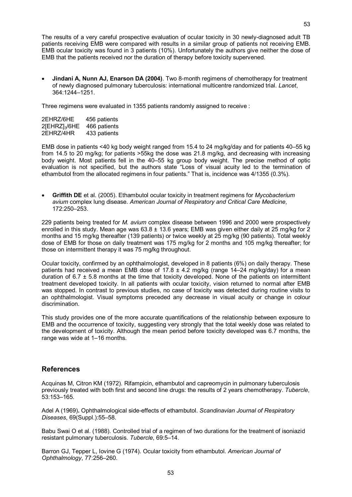The results of a very careful prospective evaluation of ocular toxicity in 30 newlydiagnosed adult TB patients receiving EMB were compared with results in a similar group of patients not receiving EMB. EMB ocular toxicity was found in 3 patients (10%). Unfortunately the authors give neither the dose of EMB that the patients received nor the duration of therapy before toxicity supervened.

· **Jindani A, Nunn AJ, Enarson DA (2004)**. Two 8month regimens of chemotherapy for treatment of newly diagnosed pulmonary tuberculosis: international multicentre randomized trial. *Lancet*, 364:1244–1251.

Three regimens were evaluated in 1355 patients randomly assigned to receive :

| 2EHRZ/6HE                    | 456 patients |
|------------------------------|--------------|
| $2$ [EHRZ] <sub>3</sub> /6HE | 466 patients |
| 2EHRZ/4HR                    | 433 patients |

EMB dose in patients <40 kg body weight ranged from 15.4 to 24 mg/kg/day and for patients 40–55 kg from 14.5 to 20 mg/kg; for patients >55kg the dose was 21.8 mg/kg, and decreasing with increasing body weight. Most patients fell in the 40–55 kg group body weight. The precise method of optic evaluation is not specified, but the authors state "Loss of visual acuity led to the termination of ethambutol from the allocated regimens in four patients." That is, incidence was 4/1355 (0.3%).

· **Griffith DE** et al. (2005). Ethambutol ocular toxicity in treatment regimens for *Mycobacterium avium* complex lung disease. *American Journal of Respiratory and Critical Care Medicine*, 172:250–253.

229 patients being treated for *M. avium* complex disease between 1996 and 2000 were prospectively enrolled in this study. Mean age was  $63.8 \pm 13.6$  years; EMB was given either daily at 25 mg/kg for 2 months and 15 mg/kg thereafter (139 patients) or twice weekly at 25 mg/kg (90 patients). Total weekly dose of EMB for those on daily treatment was 175 mg/kg for 2 months and 105 mg/kg thereafter; for those on intermittent therapy it was 75 mg**/**kg throughout.

Ocular toxicity, confirmed by an ophthalmologist, developed in 8 patients (6%) on daily therapy. These patients had received a mean EMB dose of  $17.8 \pm 4.2$  mg/kg (range  $14-24$  mg/kg/day) for a mean duration of  $6.7 \pm 5.8$  months at the time that toxicity developed. None of the patients on intermittent treatment developed toxicity. In all patients with ocular toxicity, vision returned to normal after EMB was stopped. In contrast to previous studies, no case of toxicity was detected during routine visits to an ophthalmologist. Visual symptoms preceded any decrease in visual acuity or change in colour discrimination.

This study provides one of the more accurate quantifications of the relationship between exposure to EMB and the occurrence of toxicity, suggesting very strongly that the total weekly dose was related to the development of toxicity. Although the mean period before toxicity developed was 6.7 months, the range was wide at 1–16 months.

### **References**

Acquinas M, Citron KM (1972). Rifampicin, ethambutol and capreomycin in pulmonary tuberculosis previously treated with both first and second line drugs: the results of 2 years chemotherapy. *Tubercle*, 53:153–165.

Adel A (1969)**.** Ophthalmological sideeffects of ethambutol. *Scandinavian Journal of Respiratory Diseases*, 69(Suppl.):55–58.

Babu Swai O et al. (1988). Controlled trial of a regimen of two durations for the treatment of isoniazid resistant pulmonary tuberculosis. *Tubercle*, 69:5–14.

Barron GJ, Tepper L, Iovine G (1974). Ocular toxicity from ethambutol. *American Journal of Ophthalmology*, 77:256–260.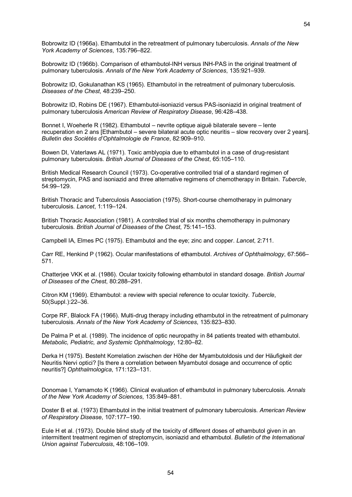Bobrowitz ID (1966a). Ethambutol in the retreatment of pulmonary tuberculosis. *Annals of the New York Academy of Sciences*, 135:796–822.

Bobrowitz ID (1966b). Comparison of ethambutol-INH versus INH-PAS in the original treatment of pulmonary tuberculosis. *Annals of the New York Academy of Sciences*, 135:921–939.

Bobrowitz ID, Gokulanathan KS (1965). Ethambutol in the retreatment of pulmonary tuberculosis. *Diseases of the Chest*, 48:239–250.

Bobrowitz ID, Robins DE (1967). Ethambutol-isoniazid versus PAS-isoniazid in original treatment of pulmonary tuberculosis *American Review of Respiratory Disease*, 96:428–438.

Bonnet I, Woeherle R (1982). Ethambutol – nevrite optique aiguё bilaterale severe – lente recuperation en 2 ans [Ethambutol – severe bilateral acute optic neuritis – slow recovery over 2 years]. *Bulletin des Sociétés d'Ophtalmologie de France*, 82:909–910.

Bowen DI, Vaterlaws AL (1971). Toxic amblyopia due to ethambutol in a case of drug-resistant pulmonary tuberculosis. *British Journal of Diseases of the Chest*, 65:105–110.

British Medical Research Council (1973). Co-operative controlled trial of a standard regimen of streptomycin, PAS and isoniazid and three alternative regimens of chemotherapy in Britain. *Tubercle*, 54:99–129.

British Thoracic and Tuberculosis Association (1975). Short-course chemotherapy in pulmonary tuberculosis. *Lancet*, 1:119–124.

British Thoracic Association (1981). A controlled trial of six months chemotherapy in pulmonary tuberculosis. *British Journal of Diseases of the Chest*, 75:141–153.

Campbell IA, Elmes PC (1975). Ethambutol and the eye; zinc and copper. *Lancet*, 2:711.

Carr RE, Henkind P (1962). Ocular manifestations of ethambutol. *Archives of Ophthalmology*, 67:566– 571.

Chatterjee VKK et al. (1986). Ocular toxicity following ethambutol in standard dosage. *British Journal of Diseases of the Chest*, 80:288–291.

Citron KM (1969). Ethambutol: a review with special reference to ocular toxicity. *Tubercle*, 50(Suppl.):22–36.

Corpe RF, Blalock FA (1966). Multi-drug therapy including ethambutol in the retreatment of pulmonary tuberculosis. *Annals of the New York Academy of Sciences*, 135:823–830.

De Palma P et al. (1989). The incidence of optic neuropathy in 84 patients treated with ethambutol. *Metabolic, Pediatric, and Systemic Ophthalmology*, 12:80–82.

Derka H (1975). Besteht Korrelation zwischen der Höhe der Myambutoldosis und der Häufigkeit der Neuritis Nervi optici? [Is there a correlation between Myambutol dosage and occurrence of optic neuritis?] *Ophthalmologica*, 171:123–131.

Donomae I, Yamamoto K (1966). Clinical evaluation of ethambutol in pulmonary tuberculosis. *Annals of the New York Academy of Sciences*, 135:849–881.

Doster B et al. (1973) Ethambutol in the initial treatment of pulmonary tuberculosis. *American Review of Respiratory Disease*, 107:177–190.

Eule H et al. (1973). Double blind study of the toxicity of different doses of ethambutol given in an intermittent treatment regimen of streptomycin, isoniazid and ethambutol. *Bulletin of the International Union against Tuberculosis*, 48:106–109.

54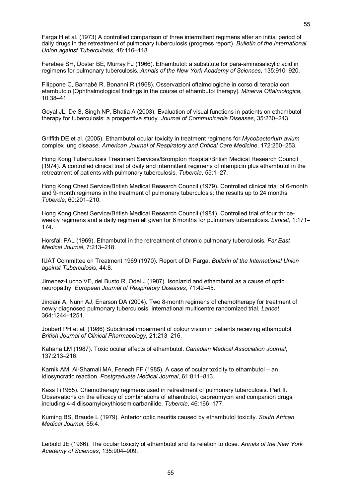Farga H et al. (1973) A controlled comparison of three intermittent regimens after an initial period of daily drugs in the retreatment of pulmonary tuberculosis (progress report). *Bulletin of the International Union against Tuberculosis*, 48:116–118.

Ferebee SH, Doster BE, Murray FJ (1966). Ethambutol: a substitute for para-aminosalicylic acid in regimens for pulmonary tuberculosis. *Annals of the New York Academy of Sciences*, 135:910–920.

Filippone C, Barnabè R, Bonanni R (1968). Osservazioni oftalmologiche in corso di terapia con etambutolo [Ophthalmological findings in the course of ethambutol therapy]. *Minerva Oftalmologica*, 10:38–41.

Goyal JL, De S, Singh NP, Bhatia A (2003). Evaluation of visual functions in patients on ethambutol therapy for tuberculosis: a prospective study. *Journal of Communicable Diseases*, 35:230–243.

Griffith DE et al. (2005). Ethambutol ocular toxicity in treatment regimens for *Mycobacterium avium* complex lung disease. *American Journal of Respiratory and Critical Care Medicine*, 172:250–253.

Hong Kong Tuberculosis Treatment Services/Brompton Hospital/British Medical Research Council (1974). A controlled clinical trial of daily and intermittent regimens of rifampicin plus ethambutol in the retreatment of patients with pulmonary tuberculosis. *Tubercle*, 55:1–27.

Hong Kong Chest Service/British Medical Research Council (1979). Controlled clinical trial of 6-month and 9-month regimens in the treatment of pulmonary tuberculosis: the results up to 24 months. *Tubercle*, 60:201–210.

Hong Kong Chest Service/British Medical Research Council (1981). Controlled trial of four thrice weekly regimens and a daily regimen all given for 6 months for pulmonary tuberculosis. *Lancet*, 1:171– 174.

Horsfall PAL (1969). Ethambutol in the retreatment of chronic pulmonary tuberculosis. *Far East Medical Journal*, 7:213–218.

IUAT Committee on Treatment 1969 (1970). Report of Dr Farga. *Bulletin of the International Union against Tuberculosis*, 44:8.

JimenezLucho VE, del Busto R, Odel J (1987). Isoniazid and ethambutol as a cause of optic neuropathy. *European Journal of Respiratory Diseases*, 71:42–45.

Jindani A, Nunn AJ, Enarson DA (2004). Two 8-month regimens of chemotherapy for treatment of newly diagnosed pulmonary tuberculosis: international multicentre randomized trial. *Lancet*, 364:1244–1251.

Joubert PH et al. (1986) Subclinical impairment of colour vision in patients receiving ethambutol. *British Journal of Clinical Pharmacology*, 21:213–216.

Kahana LM (1987). Toxic ocular effects of ethambutol. *Canadian Medical Association Journal*, 137:213–216.

Karnik AM, Al-Shamali MA, Fenech FF (1985). A case of ocular toxicity to ethambutol – an idiosyncratic reaction. *Postgraduate Medical Journal*, 61:811–813.

Kass I (1965). Chemotherapy regimens used in retreatment of pulmonary tuberculosis. Part II. Observations on the efficacy of combinations of ethambutol, capreomycin and companion drugs, including 44 diisoamyloxythiosemicarbanilide. *Tubercle*, 46:166–177.

Kuming BS, Braude L (1979). Anterior optic neuritis caused by ethambutol toxicity. *South African Medical Journal*, 55:4.

Leibold JE (1966). The ocular toxicity of ethambutol and its relation to dose. *Annals of the New York Academy of Sciences*, 135:904–909.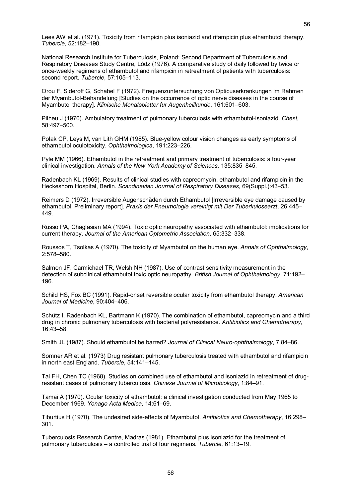Lees AW et al. (1971). Toxicity from rifampicin plus isoniazid and rifampicin plus ethambutol therapy. *Tubercle*, 52:182–190.

National Research Institute for Tuberculosis, Poland: Second Department of Tuberculosis and Respiratory Diseases Study Centre, Lódz (1976). A comparative study of daily followed by twice or onceweekly regimens of ethambutol and rifampicin in retreatment of patients with tuberculosis: second report. *Tubercle*, 57:105–113.

Orou F, Sideroff G, Schabel F (1972). Frequenzuntersuchung von Opticuserkrankungen im Rahmen der Myambutol-Behandelung [Studies on the occurrence of optic nerve diseases in the course of Myambutol therapy]. *Klinische Monatsblatter fur Augenheilkunde*, 161:601–603.

Pilheu J (1970). Ambulatory treatment of pulmonary tuberculosis with ethambutol-isoniazid. Chest, 58:497–500.

Polak CP, Leys M, van Lith GHM (1985). Blue-yellow colour vision changes as early symptoms of ethambutol oculotoxicity. *Ophthalmologica*, 191:223–226.

Pyle MM (1966). Ethambutol in the retreatment and primary treatment of tuberculosis: a four-year clinical investigation. *Annals of the New York Academy of Sciences*, 135:835–845.

Radenbach KL (1969). Results of clinical studies with capreomycin, ethambutol and rifampicin in the Heckeshorn Hospital, Berlin. *Scandinavian Journal of Respiratory Diseases*, 69(Suppl.):43–53.

Reimers D (1972). Irreversible Augenschäden durch Ethambutol [Irreversible eye damage caused by ethambutol. Preliminary report]. *Praxis der Pneumologie vereinigt mit Der Tuberkulosearzt*, 26:445– 449.

Russo PA, Chaglasian MA (1994). Toxic optic neuropathy associated with ethambutol: implications for current therapy. *Journal of the American Optometric Association*, 65:332–338.

Roussos T, Tsolkas A (1970). The toxicity of Myambutol on the human eye. *Annals of Ophthalmology*, 2:578–580.

Salmon JF, Carmichael TR, Welsh NH (1987). Use of contrast sensitivity measurement in the detection of subclinical ethambutol toxic optic neuropathy. *British Journal of Ophthalmology*, 71:192– 196.

Schild HS, Fox BC (1991). Rapid-onset reversible ocular toxicity from ethambutol therapy. *American Journal of Medicine*, 90:404–406.

Schütz I, Radenbach KL, Bartmann K (1970). The combination of ethambutol, capreomycin and a third drug in chronic pulmonary tuberculosis with bacterial polyresistance. *Antibiotics and Chemotherapy*, 16:43–58.

Smith JL (1987). Should ethambutol be barred? *Journal of Clinical Neuro-ophthalmology*, 7:84–86.

Somner AR et al. (1973) Drug resistant pulmonary tuberculosis treated with ethambutol and rifampicin in north east England. *Tubercle*, 54:141–145.

Tai FH, Chen TC (1968). Studies on combined use of ethambutol and isoniazid in retreatment of drug resistant cases of pulmonary tuberculosis. *Chinese Journal of Microbiology*, 1:84–91.

Tamai A (1970). Ocular toxicity of ethambutol: a clinical investigation conducted from May 1965 to December 1969. *Yonago Acta Medica*, 14:61–69.

Tiburtius H (1970). The undesired side-effects of Myambutol. Antibiotics and Chemotherapy, 16:298-301.

Tuberculosis Research Centre, Madras (1981). Ethambutol plus isoniazid for the treatment of pulmonary tuberculosis – a controlled trial of four regimens. *Tubercle*, 61:13–19.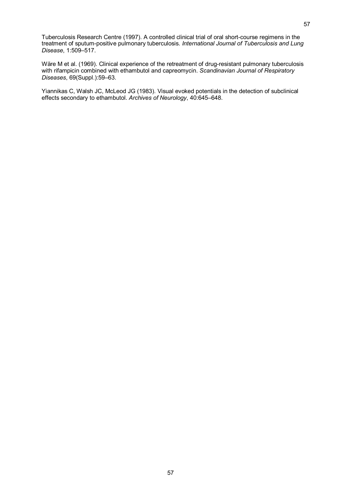Tuberculosis Research Centre (1997). A controlled clinical trial of oral short-course regimens in the treatment of sputumpositive pulmonary tuberculosis. *International Journal of Tuberculosis and Lung Disease*, 1:509–517.

Wäre M et al. (1969). Clinical experience of the retreatment of drug-resistant pulmonary tuberculosis with rifampicin combined with ethambutol and capreomycin. *Scandinavian Journal of Respiratory Diseases*, 69(Suppl.):59–63.

Yiannikas C, Walsh JC, McLeod JG (1983). Visual evoked potentials in the detection of subclinical effects secondary to ethambutol. *Archives of Neurology*, 40:645–648.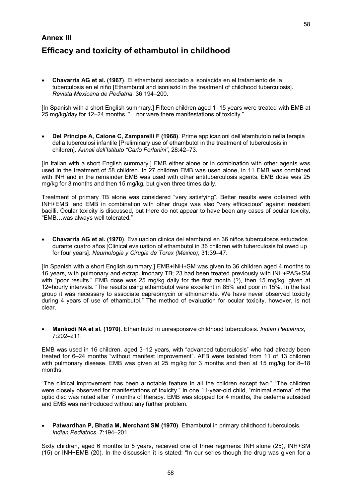#### 58

# **Annex III Efficacy and toxicity of ethambutol in childhood**

· **Chavarria AG et al. (1967)**. El ethambutol asociado a isoniacida en eltratamiento de la tuberculosis en el niño [Ethambutol and isoniazid in the treatment of childhood tuberculosis]. *Revista Mexicana de Pediatria*, 36:194–200.

[In Spanish with a short English summary.] Fifteen children aged 1–15 years were treated with EMB at 25 mg/kg/day for 12–24 months. "…nor were there manifestations of toxicity."

· **Del Principe A, Caione C, Zamparelli F (1968)**. Prime applicazioni dell'etambutolo nella terapia della tuberculosi infantile [Preliminary use of ethambutol in the treatment of tuberculosis in children]. *Annali dell'Istituto "Carlo Forlanini"*, 28:42–73.

[In Italian with a short English summary.] EMB either alone or in combination with other agents was used in the treatment of 58 children. In 27 children EMB was used alone, in 11 EMB was combined with INH and in the remainder EMB was used with other antituberculosis agents. EMB dose was 25 mg/kg for 3 months and then 15 mg/kg, but given three times daily.

Treatment of primary TB alone was considered "very satisfying". Better results were obtained with INH+EMB, and EMB in combination with other drugs was also "very efficacious" against resistant bacilli. Ocular toxicity is discussed, but there do not appear to have been any cases of ocular toxicity. "EMB…was always well tolerated."

· **Chavarria AG et al. (1970)**. Evaluacion clinica del etambutol en 36 niños tuberculosos estudados durante cuatro años [Clinical evaluation of ethambutol in 36 children with tuberculosis followed up for four years]. *Neumologia y Cirugia de Torax (Mexico)*, 31:39–47.

[In Spanish with a short English summary.] EMB+INH+SM was given to 36 children aged 4 months to 16 years, with pulmonary and extrapulmonary TB; 23 had been treated previously with INH+PAS+SM with "poor results." EMB dose was 25 mg/kg daily for the first month (?), then 15 mg/kg, given at 12=hourly intervals. "The results using ethambutol were excellent in 85% and poor in 15%. In the last group itwas necessary to associate capreomycin or ethionamide. We have never observed toxicity during 4 years of use of ethambutol." The method of evaluation for ocular toxicity, however, is not clear.

· **Mankodi NA et al. (1970)**. Ethambutol in unresponsive childhood tuberculosis. *Indian Pediatrics*, 7:202–211.

EMB was used in 16 children, aged 3–12 years, with "advanced tuberculosis" who had already been treated for 6–24 months "without manifest improvement". AFB were isolated from 11 of 13 children with pulmonary disease. EMB was given at 25 mg/kg for 3 months and then at 15 mg/kg for 8–18 months.

"The clinical improvement has been a notable feature in all the children except two." "The children were closely observed for manifestations of toxicity." In one 11-year-old child, "minimal edema" of the optic disc was noted after 7 months of therapy. EMB was stopped for 4 months, the oedema subsided and EMB was reintroduced without any further problem.

· **Patwardhan P, Bhatia M, Merchant SM (1970)**. Ethambutol in primary childhood tuberculosis. *Indian Pediatrics*, 7:194–201.

Sixty children, aged 6 months to 5 years, received one of three regimens: INH alone (25), INH+SM (15) or INH+EMB (20). In the discussion itis stated: "In our series though the drug was given for a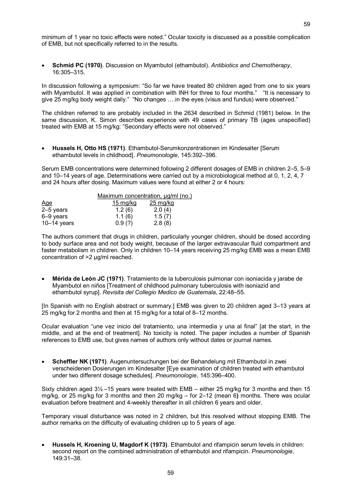minimum of 1 year no toxic effects were noted." Ocular toxicity is discussed as a possible complication of EMB, but not specifically referred to in the results.

· **Schmid PC (1970)**. Discussion on Myambutol (ethambutol). *Antibiotics and Chemotherapy*, 16:305–315.

In discussion following a symposium: "So far we have treated 80 children aged from one to six years with Myambutol. It was applied in combination with INH for three to four months." "It is necessary to give 25 mg/kg body weight daily." "No changes ….in the eyes (visus and fundus) were observed."

The children referred to are probably included in the 2634 described in Schmid (1981) below. In the same discussion, K. Simon describes experience with 49 cases of primary TB (ages unspecified) treated with EMB at 15 mg/kg: "Secondary effects were not observed."

**Hussels H, Otto HS (1971)**. Ethambutol-Serumkonzentrationen im Kindesalter [Serum] ethambutol levels in childhood]. *Pneumonologie*, 145:392–396.

Serum EMB concentrations were determined following 2 different dosages of EMB in children 2–5, 5–9 and 10–14 years of age. Determinations were carried out by a microbiological method at 0, 1, 2, 4, 7 and 24 hours after dosing. Maximum values were found at either 2 or 4 hours:

|               | Maximum concentration, ug/ml (no.) |                       |  |
|---------------|------------------------------------|-----------------------|--|
| <u>Age</u>    | $15 \,\mathrm{mg/kg}$              | $25 \,\mathrm{mg/kg}$ |  |
| $2-5$ years   | 1.2(6)                             | 2.0(4)                |  |
| 6-9 years     | 1.1(6)                             | 1.5(7)                |  |
| $10-14$ years | 0.9(?)                             | 2.8(8)                |  |

The authors comment that drugs in children, particularly younger children, should be dosed according to body surface area and not body weight, because of the larger extravascular fluid compartment and faster metabolism in children. Only in children 10–14 years receiving 25 mg/kg EMB was a mean EMB concentration of >2 µg/ml reached.

· **Mérida de León JC (1971)**. Tratamiento de la tuberculosis pulmonar con isoniacida y jarabe de Myambutol en niños [Treatment of childhood pulmonary tuberculosis with isoniazid and ethambutol syrup]. *Revisita del Collegio Medico de Guatemala*, 22:48–55.

[In Spanish with no English abstract or summary.] EMB was given to 20 children aged 3–13 years at 25 mg/kg for 2 months and then at 15 mg/kg for a total of 8–12 months.

Ocular evaluation "une vez inicio del tratamiento, una intermedia y una al final" [at the start, in the middle, and at the end of treatment]. No toxicity is noted. The paper includes a number of Spanish references to EMB use, but gives names of authors only without dates or journal names.

· **Scheffler NK (1971)**. Augenuntersuchungen bei der Behandelung mit Ethambutol in zwei verscheidenen Dosierungen im Kindesalter [Eye examination of children treated with ethambutol under two different dosage schedules]. *Pneumonologie*, 145:396–400.

Sixty children aged 3½ –15 years were treated with EMB – either 25 mg/kg for 3 months and then 15 mg/kg, or 25 mg/kg for 3 months and then 20 mg/kg – for 2–12 (mean 6**)** months. There was ocular evaluation before treatment and 4weekly thereafter in all children 6 years and older.

Temporary visual disturbance was noted in 2 children, but this resolved without stopping EMB. The author remarks on the difficulty of evaluating children up to 5 years of age.

· **Hussels H, Kroening U, Magdorf K (1973)**. Ethambutol and rifampicin serum levels in children: second report on the combined administration of ethambutol and rifampicin. *Pneumonologie*, 149:31–38.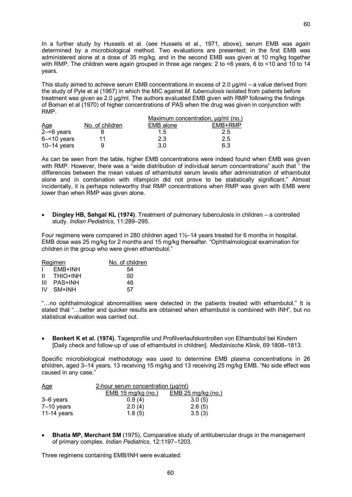In a further study by Hussels et al. (see Hussels et al., 1971, above), serum EMB was again determined by a microbiological method. Two evaluations are presented; in the first EMB was administered alone at a dose of 35 mg/kg, and in the second EMB was given at 10 mg/kg together with RMP. The children were again grouped in three age ranges: 2 to <6 years, 6 to <10 and 10 to 14 years.

This study aimed to achieve serum EMB concentrations in excess of 2.0 μg/ml – a value derived from the study of Pyle et al (1967) in which the MIC against *M. tuberculosis* isolated from patients before treatment was given as 2.0 μg/ml. The authors evaluated EMB given with RMP following the findings of Boman et al (1970) of higher concentrations of PAS when the drug was given in conjunction with RMP.

|                |                 | Maximum concentration, ug/ml (no.) |         |
|----------------|-----------------|------------------------------------|---------|
| <b>Age</b>     | No. of children | EMB alone                          | EMB+RMP |
| $2 - 6$ years  |                 | $1.5^{\circ}$                      | 2.5     |
| $6 - 10$ years | 11              | 2.3                                | 2.5     |
| $10-14$ years  | 9               | 3.0                                | 6.3     |

As can be seen from the table, higher EMB concentrations were indeed found when EMB was given with RMP. However, there was a "wide distribution of individual serum concentrations" such that " the differences between the mean values of ethambutol serum levels after administration of ethambutol alone and in combination with rifampicin did not prove to be statistically significant." Almost incidentally, it is perhaps noteworthy that RMP concentrations when RMP was given with EMB were lower than when RMP was given alone.

· **Dingley HB, Sehgal KL (1974)**. Treatment of pulmonary tuberculosis in children – a controlled study. *Indian Pediatrics*, 11:289–295.

Four regimens were compared in 280 children aged 1½–14 years treated for 6 months in hospital. EMB dose was 25 mg/kg for 2 months and 15 mg/kg thereafter. "Ophthalmological examination for children in the group who were given ethambutol."

| Regimen |             | No. of children |
|---------|-------------|-----------------|
|         | I EMB+INH   | 54              |
|         | II THIO+INH | 50              |
| Ш       | PAS+INH     | 48              |
|         | IV SM+INH   | 57              |

"…no ophthalmological abnormalities were detected in the patients treated with ethambutol." It is stated that "…better and quicker results are obtained when ethambutol is combined with INH", but no statistical evaluation was carried out.

· **Benkert K et al. (1974)**. Tagesprofile und Profilverlaufskontrollen von Ethambutol bei Kindern [Daily check and followup of use of ethambutol in children]. *Medizinische Klinik*, 69:1808–1813.

Specific microbiological methodology was used to determine EMB plasma concentrations in 26 **c**hildren, aged 3–14 years, 13 receiving 15 mg/kg and 13 receiving 25 mg/kg EMB. "No side effect was caused in any case."

| Age          | 2-hour serum concentration (µg/ml) |                      |  |
|--------------|------------------------------------|----------------------|--|
|              | $EMB$ 15 mg/kg (no.)               | $EMB$ 25 mg/kg (no.) |  |
| 3–6 years    | 0.9(4)                             | 3.0(5)               |  |
| $7-10$ years | 2.0(4)                             | 2.6(5)               |  |
| 11-14 years  | 1.8(5)                             | 3.5(3)               |  |

· **Bhatia MP, Merchant SM** (1975)**.** Comparative study of antitubercular drugs in the management of primary complex. *Indian Pediatrics*, 12:1197–1203.

Three regimens containing EMB/INH were evaluated: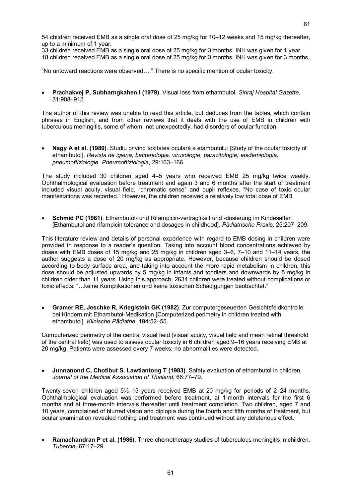54 children received EMB as a single oral dose of 25 mg/kg for 10–12 weeks and 15 mg/kg thereafter, up to a minimum of 1 year.

33 children received EMB as a single oral dose of 25 mg/kg for 3 months. INH was given for 1 year.

18 children received EMB as a single oral dose of 25 mg/kg for 3 months. INH was given for 3 months.

"No untoward reactions were observed…." There is no specific mention of ocular toxicity.

· **Prachakvej P, Subharngkahen I (1979)**. Visual loss from ethambutol. *Siriraj Hospital Gazette*, 31:908–912.

The author of this review was unable to read this article, but deduces from the tables, which contain phrases in English, and from other reviews that it deals with the use of EMB in children with tuberculous meningitis, some of whom, not unexpectedly, had disorders of ocular function.

· **Nagy A et al. (1980)**. Studiu privind toxitatea oculară a etambutolui [Study of the ocular toxicity of ethambutol]. *Revista de igiena, bacteriologie, virusologie, parazitologie, epidemiologie, pneumoftiziologie. Pneumoftiziologia*, 29:163–166.

The study included 30 children aged 4–5 years who received EMB 25 mg/kg twice weekly. Ophthalmological evaluation before treatment and again 3 and 6 months after the start of treatment included visual acuity, visual field, "chromatic sense" and pupil reflexes. "No case of toxic ocular manifestations was recorded." However, the children received a relatively low total dose of EMB.

**Schmid PC (1981)**. Ethambutol- und Rifampicin-verträglikeit und -dosierung im Kindesalter [Ethambutol and rifampicin tolerance and dosages in childhood]. *Pädiatrische Praxis*, 25:207–209.

This literature review and details of personal experience with regard to EMB dosing in children were provided in response to a reader's question. Taking into account blood concentrations achieved by doses with EMB doses of 15 mg/kg and 25 mg/kg in children aged 3–6, 7–10 and 11–14 years, the author suggests a dose of 20 mg/kg as appropriate. However, because children should be dosed according to body surface area, and taking into account the more rapid metabolism in children, this dose should be adjusted upwards by 5 mg/kg in infants and toddlers and downwards by 5 mg/kg in children older than 11 years. Using this approach, 2634 children were treated without complications or toxic effects: "…keine Komplikationen und keine toxischen Schädigungen beobachtet."

· **Gramer RE, Jeschke R, Krieglstein GK (1982)**. Zur computergeseuerten Gesichtsfeldkontrolle bei Kindern mit Ethambutol-Medikation [Computerized perimetry in children treated with ethambutol]. *Klinische Pädiatrie*, 194:52–55.

Computerized perimetry of the central visual field (visual acuity, visual field and mean retinal threshold of the central field) was used to assess ocular toxicity in 6 children aged 9–16 years receiving EMB at 20 mg/kg. Patients were assessed every 7 weeks; no abnormalities were detected.

· **Junnanond C, Chotibut S, Lawtiantong T (1983)**. Safety evaluation of ethambutol in children. *Journal of the Medical Association of Thailand*, 66:77–79.

Twenty-seven children aged 5½–15 years received EMB at 20 mg/kg for periods of 2–24 months. Ophthalmological evaluation was performed before treatment, at 1month intervals for the first 6 months and at three-month intervals thereafter until treatment completion. Two children, aged 7 and 10 years, complained of blurred vision and diplopia during the fourth and fifth months of treatment, but ocular examination revealed nothing and treatment was continued without any deleterious effect.

· **Ramachandran P et al. (1986)**. Three chemotherapy studies of tuberculous meningitis in children. *Tubercle*, 67:17–29.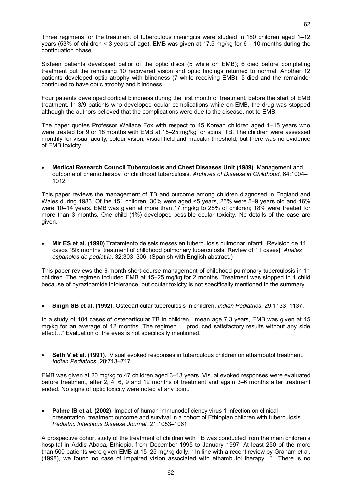Three regimens for the treatment of tuberculous meningitis were studied in 180 children aged 1–12 years (53% of children < 3 years of age). EMB was given at 17.5 mg/kg for 6 – 10 months during the continuation phase.

Sixteen patients developed pallor of the optic discs (5 while on EMB); 6 died before completing treatment but the remaining 10 recovered vision and optic findings returned to normal. Another 12 patients developed optic atrophy with blindness (7 while receiving EMB): 5 died and the remainder continued to have optic atrophy and blindness.

Four patients developed cortical blindness during the first month of treatment, before the start of EMB treatment. In 3/9 patients who developed ocular complications while on EMB, the drug was stopped although the authors believed that the complications were due to the disease, not to EMB.

The paper quotes Professor Wallace Fox with respect to 45 Korean children aged 1–15 years who were treated for 9 or 18 months with EMB at 15–25 mg/kg for spinal TB. The children were assessed monthly for visual acuity, colour vision, visual field and macular threshold, but there was no evidence of EMB toxicity.

· **Medical Research Council Tuberculosis and Chest Diseases Unit (1989)**. Management and outcome of chemotherapy for childhood tuberculosis. *Archives of Disease in Childhood*, 64:1004– 1012

This paper reviews the management of TB and outcome among children diagnosed in England and Wales during 1983. Of the 151 children, 30% were aged <5 years, 25% were 5-9 years old and 46% were 10–14 years. EMB was given at more than 17 mg/kg to 28% of children; 18% were treated for more than 3 months. One child (1%) developed possible ocular toxicity. No details of the case are given.

· **Mir ES et al. (1990)** Tratamiento de seis meses en tuberculosis pulmonar infantil. Revision de 11 casos [Six months' treatment of childhood pulmonary tuberculosis. Review of 11 cases]. *Anales espanoles de pediatria*, 32:303–306. (Spanish with English abstract.)

This paper reviews the 6-month short-course management of childhood pulmonary tuberculosis in 11 children. The regimen included EMB at 15–25 mg/kg for 2 months. Treatment was stopped in 1 child because of pyrazinamide intolerance, but ocular toxicity is not specifically mentioned in the summary.

· **Singh SB etal. (1992)**. Osteoarticular tuberculosis in children. *Indian Pediatrics*, 29:1133–1137.

In a study of 104 cases of osteoarticular TB in children, mean age 7.3 years, EMB was given at 15 mg/kg for an average of 12 months. The regimen "…produced satisfactory results without any side effect…" Evaluation of the eyes is not specifically mentioned.

· **Seth V et al. (1991)**. Visual evoked responses in tuberculous children on ethambutol treatment. *Indian Pediatrics*, 28:713–717.

EMB was given at 20 mg/kg to 47 children aged 3–13 years. Visual evoked responses were evaluated before treatment, after 2, 4, 6, 9 and 12 months of treatment and again 3–6 months after treatment ended. No signs of optic toxicity were noted at any point.

· **Palme IB et al. (2002)**. Impact of human immunodeficiency virus 1 infection on clinical presentation, treatment outcome and survival in a cohort of Ethiopian children with tuberculosis. *Pediatric Infectious Disease Journal*, 21:1053–1061.

A prospective cohort study of the treatment of children with TB was conducted from the main children's hospital in Addis Ababa, Ethiopia, from December 1995 to January 1997. At least 250 of the more than 500 patients were given EMB at 15–25 mg/kg daily. " In line with a recent review by Graham et al. (1998), we found no case of impaired vision associated with ethambutol therapy…" There is no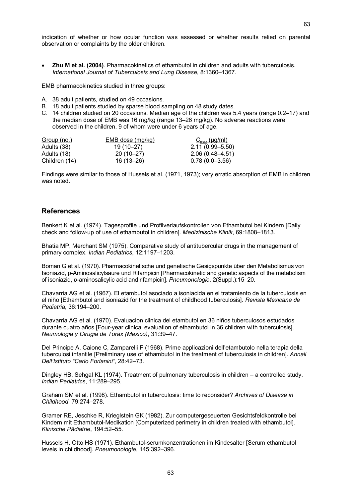indication of whether or how ocular function was assessed or whether results relied on parental observation or complaints by the older children.

· **Zhu M et al. (2004)**. Pharmacokinetics of ethambutol in children and adults with tuberculosis. *International Journal of Tuberculosis and Lung Disease*, 8:1360–1367.

EMB pharmacokinetics studied in three groups:

- A. 38 adult patients, studied on 49 occasions.
- B. 18 adult patients studied by sparse blood sampling on 48 study dates.
- C. 14 children studied on 20 occasions. Median age of the children was 5.4 years (range 0.2–17) and the median dose of EMB was 16 mg/kg (range 13–26 mg/kg). No adverse reactions were observed in the children, 9 of whom were under 6 years of age.

| Group (no.)   | EMB dose (mg/kg) | $C_{\text{max}}$ (µg/ml) |
|---------------|------------------|--------------------------|
| Adults (38)   | 19 (10–27)       | $2.11(0.99 - 5.50)$      |
| Adults (18)   | $20(10-27)$      | $2.06(0.48 - 4.51)$      |
| Children (14) | 16 (13–26)       | $0.78(0.0 - 3.56)$       |

Findings were similar to those of Hussels et al. (1971, 1973); very erratic absorption of EMB in children was noted.

#### **References**

Benkert K et al. (1974). Tagesprofile und Profilverlaufskontrollen von Ethambutol bei Kindern [Daily check and followup of use of ethambutol in children]. *Medizinische Klinik*, 69:1808–1813.

Bhatia MP, Merchant SM (1975). Comparative study of antitubercular drugs in the management of primary complex. *Indian Pediatrics*, 12:1197–1203.

Boman G et al. (1970). Pharmacokinetische und genetische Gesigspunkte über den Metabolismus von Isoniazid, pAminosalicylsäure und Rifampicin [Pharmacokinetic and genetic aspects of the metabolism of isoniazid, *p*aminosalicylic acid and rifampicin]. *Pneumonologie*, 2(Suppl.):15–20.

Chavarria AG et al. (1967). El etambutol asociado a isoniacida en el tratamiento de la tuberculosis en el niño [Ethambutol and isoniazid for the treatment of childhood tuberculosis]. *Revista Mexicana de Pediatria*, 36:194–200.

Chavarria AG et al. (1970). Evaluacion clinica del etambutol en 36 niños tuberculosos estudados durante cuatro años [Four-year clinical evaluation of ethambutol in 36 children with tuberculosis]. *Neumologia y Cirugia de Torax (Mexico)*, 31:39–47.

Del Principe A, Caione C, Zamparelli F (1968). Prime applicazioni dell'etambutolo nella terapia della tuberculosi infantile [Preliminary use of ethambutol in the treatment of tuberculosis in children]. *Annali Dell'Istituto "Carlo Forlanini"*, 28:42–73.

Dingley HB, Sehgal KL (1974). Treatment of pulmonary tuberculosis in children – a controlled study. *Indian Pediatrics*, 11:289–295.

Graham SM et al. (1998). Ethambutol in tuberculosis: time to reconsider? *Archives of Disease in Childhood*, 79:274–278.

Gramer RE, Jeschke R, Krieglstein GK (1982). Zur computergeseuerten Gesichtsfeldkontrolle bei Kindern mit Ethambutol-Medikation [Computerized perimetry in children treated with ethambutol]. *Klinische Pädiatrie*, 194:52–55.

Hussels H, Otto HS (1971). Ethambutol-serumkonzentrationen im Kindesalter [Serum ethambutol levels in childhood]. *Pneumonologie*, 145:392–396.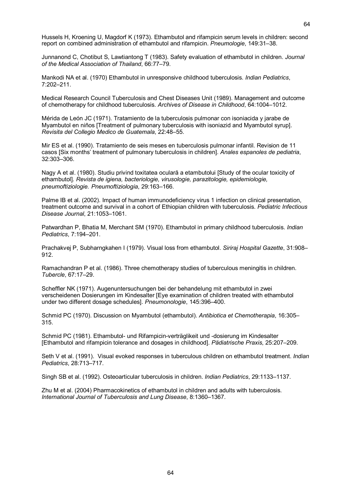Hussels H, Kroening U, Magdorf K (1973). Ethambutol and rifampicin serum levels in children: second report on combined administration of ethambutol and rifampicin. *Pneumologie*, 149:31–38.

Junnanond C, Chotibut S, Lawtiantong T (1983). Safety evaluation of ethambutol in children. *Journal of the Medical Association of Thailand*, 66:77–79.

Mankodi NA et al. (1970) Ethambutol in unresponsive childhood tuberculosis. *Indian Pediatrics*, 7:202–211.

Medical Research Council Tuberculosis and Chest Diseases Unit (1989). Management and outcome of chemotherapy for childhood tuberculosis. *Archives of Disease in Childhood*, 64:1004–1012.

Mérida de León JC (1971). Tratamiento de la tuberculosis pulmonar con isoniacida y jarabe de Myambutol en niños [Treatment of pulmonary tuberculosis with isoniazid and Myambutol syrup]. *Revisita del Collegio Medico de Guatemala*, 22:48–55.

Mir ES et al. (1990). Tratamiento de seis meses en tuberculosis pulmonar infantil. Revision de 11 casos [Six months' treatment of pulmonary tuberculosis in children]. *Anales espanoles de pediatria*, 32:303–306.

Nagy A et al. (1980). Studiu privind toxitatea oculară a etambutolui [Study of the ocular toxicity of ethambutol]. *Revista de igiena, bacteriologie, virusologie, parazitologie, epidemiologie, pneumoftiziologie. Pneumoftiziologia*, 29:163–166.

Palme IB et al. (2002). Impact of human immunodeficiency virus 1 infection on clinical presentation, treatment outcome and survival in a cohort of Ethiopian children with tuberculosis. *Pediatric Infectious Disease Journal*, 21:1053–1061.

Patwardhan P, Bhatia M, Merchant SM (1970). Ethambutol in primary childhood tuberculosis. *Indian Pediatrics*, 7:194–201.

Prachakvej P, Subharngkahen I (1979). Visual loss from ethambutol. *Siriraj Hospital Gazette*, 31:908– 912.

Ramachandran P et al. (1986). Three chemotherapy studies of tuberculous meningitis in children. *Tubercle*, 67:17–29.

Scheffler NK (1971). Augenuntersuchungen bei der behandelung mit ethambutol in zwei verscheidenen Dosierungen im Kindesalter [Eye examination of children treated with ethambutol under two different dosage schedules]. *Pneumonologie*, 145:396–400.

Schmid PC (1970). Discussion on Myambutol (ethambutol). *Antibiotica et Chemotherapia*, 16:305– 315.

Schmid PC (1981). Ethambutol- und Rifampicin-verträglikeit und -dosierung im Kindesalter [Ethambutol and rifampicin tolerance and dosages in childhood]. *Pädiatrische Praxis*, 25:207–209.

Seth V et al. (1991). Visual evoked responses in tuberculous children on ethambutol treatment. *Indian Pediatrics*, 28:713–717.

Singh SB et al. (1992). Osteoarticular tuberculosis in children. *Indian Pediatrics*, 29:1133–1137.

Zhu M et al. (2004) Pharmacokinetics of ethambutol in children and adults with tuberculosis. *International Journal of Tuberculosis and Lung Disease*, 8:1360–1367.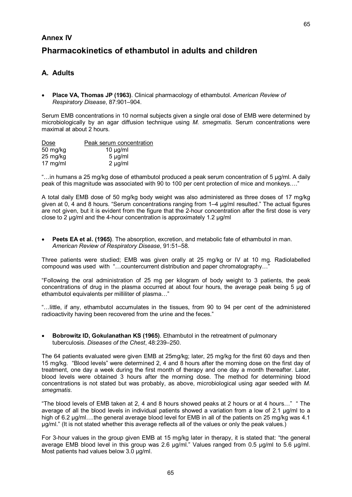#### **Annex IV**

# **Pharmacokinetics of ethambutol in adults and children**

## **A. Adults**

· **Place VA, Thomas JP (1963)**. Clinical pharmacology of ethambutol. *American Review of Respiratory Disease*, 87:901–904.

Serum EMB concentrations in 10 normal subjects given a single oral dose of EMB were determined by microbiologically by an agar diffusion technique using *M. smegmatis.* Serum concentrations were maximal at about 2 hours.

| Dose               | Peak serum concentration |
|--------------------|--------------------------|
| 50 mg/kg           | 10 $\mu$ g/ml            |
| 25 mg/kg           | $5 \mu g/ml$             |
| $17 \text{ mg/ml}$ | $2 \mu g/ml$             |

"…in humans a 25 mg/kg dose of ethambutol produced a peak serum concentration of 5 μg/ml. A daily peak of this magnitude was associated with 90 to 100 per cent protection of mice and monkeys…."

A total daily EMB dose of 50 mg/kg body weight was also administered as three doses of 17 mg/kg given at 0, 4 and 8 hours. "Serum concentrations ranging from 1–4 μg/ml resulted." The actual figures are not given, but it is evident from the figure that the 2hour concentration after the first dose is very close to 2 μg/ml and the 4hour concentration is approximately 1.2 μg/ml

· **Peets EA et al. (1965)**. The absorption, excretion, and metabolic fate of ethambutol in man. *American Review of Respiratory Disease*, 91:51–58.

Three patients were studied; EMB was given orally at 25 mg/kg or IV at 10 mg. Radiolabelled compound was used with "…countercurrent distribution and paper chromatography…"

"Following the oral administration of 25 mg per kilogram of body weight to 3 patients, the peak concentrations of drug in the plasma occurred at about four hours, the average peak being 5 μg of ethambutol equivalents per milliliter of plasma..."

"…little, if any, ethambutol accumulates in the tissues, from 90 to 94 per cent of the administered radioactivity having been recovered from the urine and the feces."

· **Bobrowitz ID, Gokulanathan KS (1965)**. Ethambutol in the retreatment of pulmonary tuberculosis. *Diseases of the Chest*, 48:239–250.

The 64 patients evaluated were given EMB at 25mg/kg; later, 25 mg/kg for the first 60 days and then 15 mg/kg. "Blood levels" were determined 2, 4 and 8 hours after the morning dose on the first day of treatment, one day a week during the first month of therapy and one day a month thereafter. Later, blood levels were obtained 3 hours after the morning dose. The method for determining blood concentrations is not stated but was probably, as above, microbiological using agar seeded with *M. smegmatis*.

"The blood levels of EMB taken at 2, 4 and 8 hours showed peaks at 2 hours or at 4 hours…" " The average of all the blood levels in individual patients showed a variation from a low of 2.1 μg/ml to a high of 6.2 μg/ml….the general average blood level for EMB in all of the patients on 25 mg/kg was 4.1 μg/ml." (It is not stated whether this average reflects all of the values or only the peak values.)

For 3hour values in the group given EMB at 15 mg/kg later in therapy, it is stated that: "the general average EMB blood level in this group was 2.6 μg/ml." Values ranged from 0.5 μg/ml to 5.6 μg/ml. Most patients had values below 3.0 μg/ml.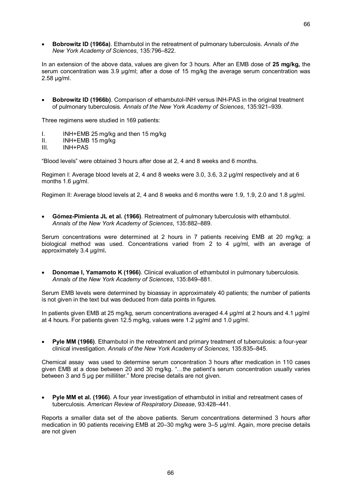· **Bobrowitz ID (1966a)**. Ethambutol in the retreatment of pulmonary tuberculosis. *Annals of the New York Academy of Sciences*, 135:796–822.

In an extension of the above data, values are given for 3 hours. After an EMB dose of **25 mg/kg,** the serum concentration was 3.9 μg/ml; after a dose of 15 mg/kg the average serum concentration was 2.58 μg/ml.

**Bobrowitz ID (1966b)**. Comparison of ethambutol-INH versus INH-PAS in the original treatment of pulmonary tuberculosis. *Annals of the New York Academy of Sciences*, 135:921–939.

Three regimens were studied in 169 patients:

- I. INH+EMB 25 mg/kg and then 15 mg/kg
- II. INH+EMB 15 mg/kg
- III. INH+PAS

"Blood levels" were obtained 3 hours after dose at 2, 4 and 8 weeks and 6 months.

Regimen I: Average blood levels at 2, 4 and 8 weeks were 3.0, 3.6, 3.2 ug/ml respectively and at 6 months 1.6 μg/ml.

Regimen II: Average blood levels at 2, 4 and 8 weeks and 6 months were 1.9, 1.9, 2.0 and 1.8 μg/ml.

· **GómezPimienta JL et al. (1966)**. Retreatment of pulmonary tuberculosis with ethambutol. *Annals of the New York Academy of Sciences*, 135:882–889.

Serum concentrations were determined at 2 hours in 7 patients receiving EMB at 20 mg/kg; a biological method was used. Concentrations varied from 2 to 4 μg/ml, with an average of approximately 3.4 μg/ml**.**

· **Donomae I,Yamamoto K (1966)**. Clinical evaluation of ethambutol in pulmonary tuberculosis. *Annals of the New York Academy of Sciences*, 135:849–881.

Serum EMB levels were determined by bioassay in approximately 40 patients; the number of patients is not given in the text but was deduced from data points in figures.

In patients given EMB at 25 mg/kg, serum concentrations averaged 4.4 μg/ml at 2 hours and 4.1 μg/ml at 4 hours. For patients given 12.5 mg/kg, values were 1.2 μg/ml and 1.0 μg/ml.

**Pyle MM (1966)**. Ethambutol in the retreatment and primary treatment of tuberculosis: a four-year clinical investigation. *Annals of the New York Academy of Sciences*, 135:835–845.

Chemical assay was used to determine serum concentration 3 hours after medication in 110 cases given EMB at a dose between 20 and 30 mg/kg. "…the patient's serum concentration usually varies between 3 and 5 μg per milliliter." More precise details are not given.

· **Pyle MM et al. (1966)**. A four year investigation of ethambutol in initial and retreatment cases of tuberculosis. *American Review of Respiratory Disease*, 93:428–441.

Reports a smaller data set of the above patients. Serum concentrations determined 3 hours after medication in 90 patients receiving EMB at 20–30 mg/kg were 3–5 μg/ml. Again, more precise details are not given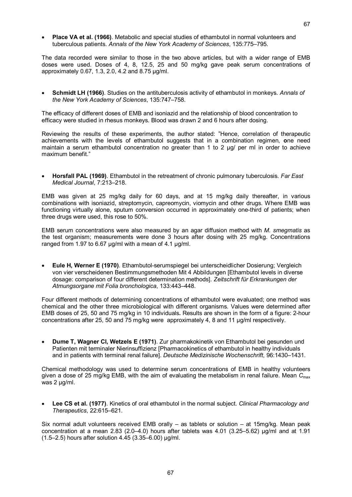· **Place VA et al. (1966)**. Metabolic and special studies of ethambutol in normal volunteers and tuberculous patients. *Annals of the New York Academy of Sciences*, 135:775–795.

The data recorded were similar to those in the two above articles, but with a wider range of EMB doses were used. Doses of 4, 8, 12.5, 25 and 50 mg/kg gave peak serum concentrations of approximately 0.67, 1.3, 2.0, 4.2 and 8.75 μg/ml.

· **Schmidt LH (1966)**. Studies on the antituberculosis activity of ethambutol in monkeys. *Annals of the New York Academy of Sciences*, 135:747–758.

The efficacy of different doses of EMB and isoniazid and the relationship of blood concentration to efficacy were studied in rhesus monkeys. Blood was drawn 2 and 6 hours after dosing.

Reviewing the results of these experiments, the author stated: "Hence, correlation of therapeutic achievements with the levels of ethambutol suggests that in a combination regimen, **o**ne need maintain a serum ethambutol concentration no greater than 1 to 2 μg/ per ml in order to achieve maximum benefit."

· **Horsfall PAL (1969)**. Ethambutol in the retreatment of chronic pulmonary tuberculosis. *Far East Medical Journal*, 7:213–218.

EMB was given at 25 mg/kg daily for 60 days, and at 15 mg/kg daily thereafter, in various combinations with isoniazid, streptomycin, capreomycin, viomycin and other drugs. Where EMB was functioning virtually alone, sputum conversion occurred in approximately one-third of patients; when three drugs were used, this rose to 50%.

EMB serum concentrations were also measured by an agar diffusion method with *M. smegmatis* as the test organism; measurements were done 3 hours after dosing with 25 mg/kg. Concentrations ranged from 1.97 to 6.67 μg/ml with a mean of 4.1 μg/ml.

**Eule H, Werner E (1970)**. Ethambutol-serumspiegel bei unterscheidlicher Dosierung; Vergleich von vier verscheidenen Bestimmungsmethoden Mit 4 Abbildungen [Ethambutol levels in diverse dosage: comparison of four different determination methods]. *Zeitschrift für Erkrankungen der Atmungsorgane mit Folia bronchologica*, 133:443–448.

Four different methods of determining concentrations of ethambutol were evaluated; one method was chemical and the other three microbiological with different organisms. Values were determined after EMB doses of 25, 50 and 75 mg/kg in 10 individuals**.** Results are shown in the form of a figure: 2hour concentrations after 25, 50 and 75 mg/kg were approximately 4, 8 and 11 μg/ml respectively.

· **Dume T, Wagner Cl, Wetzels E (1971)**. Zur pharmakokinetik von Ethambutol bei gesunden und Patienten mit terminaler Nierinsuffizienz [Pharmacokinetics of ethambutol in healthy individuals and in patients with terminal renal failure]. *Deutsche Medizinische Wochenschrift*, 96:1430–1431.

Chemical methodology was used to determine serum concentrations of EMB in healthy volunteers given a dose of 25 mg/kg EMB, with the aim of evaluating the metabolism in renal failure. Mean *C*max was 2 μg/ml.

· **Lee CS et al. (1977)**. Kinetics of oral ethambutol in the normal subject. *Clinical Pharmacology and Therapeutics*, 22:615–621.

Six normal adult volunteers received EMB orally – as tablets or solution – at 15mg/kg. Mean peak concentration at a mean 2.83 (2.0–4.0) hours after tablets was 4.01 (3.25–5.62) μg/ml and at 1.91 (1.5–2.5) hours after solution 4.45 (3.35–6.00) μg/ml.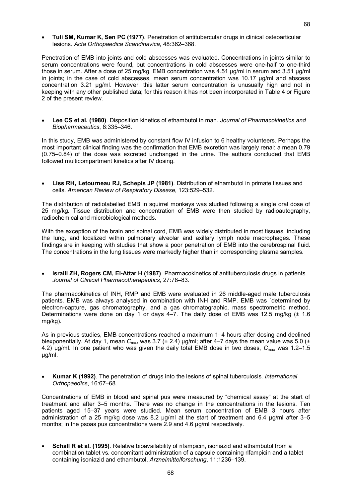· **Tuli SM, Kumar K, Sen PC (1977)**. Penetration of antitubercular drugs in clinical osteoarticular lesions. *Acta Orthopaedica Scandinavica*, 48:362–368.

Penetration of EMB into joints and cold abscesses was evaluated. Concentrations in joints similar to serum concentrations were found, but concentrations in cold abscesses were one-half to one-third those in serum. After a dose of 25 mg/kg, EMB concentration was 4.51 µg/ml in serum and 3.51 µg/ml in joints; in the case of cold abscesses, mean serum concentration was 10.17 µg/ml and abscess concentration 3.21 µg/ml. However, this latter serum concentration is unusually high and not in keeping with any other published data; for this reason it has not been incorporated in Table 4 or Figure 2 of the present review.

· **Lee CS et al. (1980)**. Disposition kinetics of ethambutol in man. *Journal of Pharmacokinetics and Biopharmaceutics*, 8:335–346.

In this study, EMB was administered by constant flow IV infusion to 6 healthy volunteers. Perhaps the most important clinical finding was the confirmation that EMB excretion was largely renal: a mean 0.79 (0.75–0.84) of the dose was excreted unchanged in the urine. The authors concluded that EMB followed multicompartment kinetics after IV dosing.

· **Liss RH, Letourneau RJ, Schepis JP (1981)**. Distribution of ethambutol in primate tissues and cells. *American Review of Respiratory Disease*, 123:529–532.

The distribution of radiolabelled EMB in squirrel monkeys was studied following a single oral dose of 25 mg/kg. Tissue distribution and concentration of EMB were then studied by radioautography, radiochemical and microbiological methods.

With the exception of the brain and spinal cord, EMB was widely distributed in most tissues, including the lung, and localized within pulmonary alveolar and axillary lymph node macrophages. These findings are in keeping with studies that show a poor penetration of EMB into the cerebrospinal fluid. The concentrations in the lung tissues were markedly higher than in corresponding plasma samples.

· **Israili ZH, Rogers CM, ElAttar H (1987)**. Pharmacokinetics of antituberculosis drugs in patients. *Journal of Clinical Pharmacotherapeutics*, 27:78–83.

The pharmacokinetics of INH, RMP and EMB were evaluated in 26 middle-aged male tuberculosis patients. EMB was always analysed in combination with INH and RMP. EMB was `determined by electron-capture, gas chromatography, and a gas chromatographic, mass spectrometric method. Determinations were done on day 1 or days  $4-7$ . The daily dose of EMB was 12.5 mg/kg ( $\pm$  1.6 mg/kg).

As in previous studies, EMB concentrations reached a maximum 1–4 hours after dosing and declined biexponentially. At day 1, mean  $C_{\text{max}}$  was 3.7 ( $\pm$  2.4) µg/ml; after 4–7 days the mean value was 5.0 ( $\pm$ 4.2) µg/ml. In one patient who was given the daily total EMB dose in two doses, *C*max was 1.2–1.5 µg/ml.

· **Kumar K (1992)**. The penetration of drugs into the lesions of spinal tuberculosis. *International Orthopaedics*, 16:67–68.

Concentrations of EMB in blood and spinal pus were measured by "chemical assay" at the start of treatment and after 3–5 months. There was no change in the concentrations in the lesions. Ten patients aged 15–37 years were studied. Mean serum concentration of EMB 3 hours after administration of a 25 mg/kg dose was 8.2 μg/ml at the start of treatment and 6.4 μg/ml after 3–5 months; in the psoas pus concentrations were 2.9 and 4.6 μg/ml respectively.

· **Schall R et al. (1995)**. Relative bioavailability of rifampicin, isoniazid and ethambutol from a combination tablet vs. concomitant administration of a capsule containing rifampicin and a tablet containing isoniazid and ethambutol. *Arzneimittelforschung*, 11:1236–139.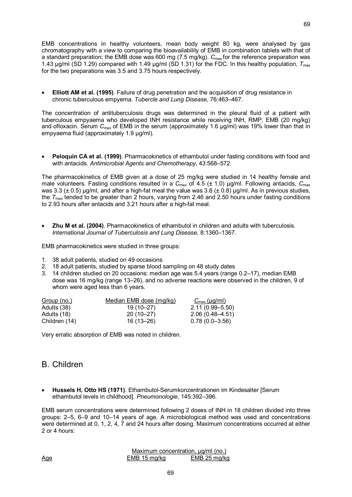EMB concentrations in healthy volunteers, mean body weight 80 kg, were analysed by gas chromatography with a view to comparing the bioavailability of EMB in combination tablets with that of a standard preparation; the EMB dose was 600 mg (7.5 mg/kg). C<sub>max</sub> for the reference preparation was 1.43 μg/ml (SD 1.29) compared with 1.49 μg/ml (SD 1.31) for the FDC. In this healthy population,  $T_{\text{max}}$ for the two preparations was 3.5 and 3.75 hours respectively.

· **Elliott AM et al. (1995)**. Failure of drug penetration and the acquisition of drug resistance in chronic tuberculous empyema. *Tubercle and Lung Disease*, 76:463–467.

The concentration of antituberculosis drugs was determined in the pleural fluid of a patient with tuberculous empyaema who developed INH resistance while receiving INH, RMP, EMB (20 mg/kg) and ofloxacin. Serum C<sub>max</sub> of EMB in the serum (approximately 1.6 µg/ml) was 19% lower than that in empyaema fluid (approximately 1.9 µg/ml).

· **Peloquin CA et al. (1999)**. Pharmacokinetics of ethambutol under fasting conditions with food and with antacids. *Antimicrobial Agents and Chemotherapy*, 43:568–572.

The pharmacokinetics of EMB given at a dose of 25 mg/kg were studied in 14 healthy female and male volunteers. Fasting conditions resulted in a *C*max of 4.5 (± 1.0) μg/ml. Following antacids, *C*max was 3.3 ( $\pm$  0.5) μg/ml, and after a high-fat meal the value was 3.8 ( $\pm$  0.8) μg/ml. As in previous studies, the  $T_{\text{max}}$  tended to be greater than 2 hours, varying from 2.46 and 2.50 hours under fasting conditions to 2.93 hours after antacids and 3.21 hours after a high-fat meal.

· **Zhu M et al. (2004)**. Pharmacokinetics of ethambutol in children and adults with tuberculosis. *International Journal of Tuberculosis and Lung Disease*, 8:1360–1367.

EMB pharmacokinetics were studied in three groups:

- 1. 38 adult patients, studied on 49 occasions
- 2. 18 adult patients, studied by sparse blood sampling on 48 study dates
- 3. 14 children studied on 20 occasions: median age was 5.4 years (range 0.2–17), median EMB dose was 16 mg/kg (range 13–26), and no adverse reactions were observed in the children, 9 of whom were aged less than 6 years.

| Group (no.)   | Median EMB dose (mg/kg) | $C_{\text{max}}$ (µg/ml) |
|---------------|-------------------------|--------------------------|
| Adults (38)   | 19 (10–27)              | $2.11(0.99 - 5.50)$      |
| Adults (18)   | $20(10-27)$             | $2.06(0.48 - 4.51)$      |
| Children (14) | 16 (13–26)              | $0.78(0.0-3.56)$         |

Very erratic absorption of EMB was noted in children.

### B. Children

**Hussels H, Otto HS (1971)**. Ethambutol-Serumkonzentrationen im Kindesalter [Serum ethambutol levels in childhood]. *Pneumonologie*, 145:392–396.

EMB serum concentrations were determined following 2 doses of INH in 18 children divided into three groups: 2–5, 6–9 and 10–14 years of age. A microbiological method was used and concentrations were determined at 0, 1, 2, 4, 7 and 24 hours after dosing. Maximum concentrations occurred at either 2 or 4 hours:

Maximum concentration, µg/ml (no.)<br>MB 15 mg/kg EMB 25 mg/kg Age EMB 15 mg/kg EMB 25 mg/kg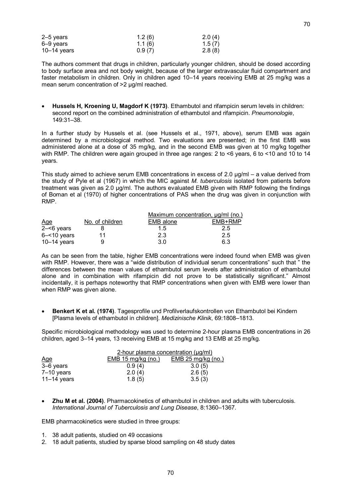| $2-5$ years     | 1.2(6) | 2.0(4) |
|-----------------|--------|--------|
| 6–9 years       | 1.1(6) | 1.5(7) |
| $10 - 14$ years | 0.9(7) | 2.8(8) |

The authors comment that drugs in children, particularly younger children, should be dosed according to body surface area and not body weight, because of the larger extravascular fluid compartment and faster metabolism in children. Only in children aged 10–14 years receiving EMB at 25 mg/kg was a mean serum concentration of >2 µg/ml reached.

· **Hussels H, Kroening U, Magdorf K (1973)**. Ethambutol and rifampicin serum levels in children: second report on the combined administration of ethambutol and rifampicin. *Pneumonologie*, 149:31–38.

In a further study by Hussels et al. (see Hussels et al., 1971, above), serum EMB was again determined by a microbiological method. Two evaluations are presented; in the first EMB was administered alone at a dose of 35 mg/kg, and in the second EMB was given at 10 mg/kg together with RMP. The children were again grouped in three age ranges: 2 to <6 years, 6 to <10 and 10 to 14 years.

This study aimed to achieve serum EMB concentrations in excess of 2.0 μg/ml – a value derived from the study of Pyle et al (1967) in which the MIC against *M. tuberculosis* isolated from patients before treatment was given as 2.0 μg/ml. The authors evaluated EMB given with RMP following the findings of Boman et al (1970) of higher concentrations of PAS when the drug was given in conjunction with RMP.

|                |                 | Maximum concentration, ug/ml (no.) |         |
|----------------|-----------------|------------------------------------|---------|
| Age            | No. of children | EMB alone                          | EMB+RMP |
| $2 - 6$ years  |                 | $1.5^{\circ}$                      | 2.5     |
| $6 - 10$ years | 11              | 2.3                                | 2.5     |
| $10-14$ years  |                 | 3.0                                | 6.3     |

As can be seen from the table, higher EMB concentrations were indeed found when EMB was given with RMP. However, there was a "wide distribution of individual serum concentrations" such that " the differences between the mean values of ethambutol serum levels after administration of ethambutol alone and in combination with rifampicin did not prove to be statistically significant." Almost incidentally, it is perhaps noteworthy that RMP concentrations when given with EMB were lower than when RMP was given alone.

· **Benkert K et al. (1974)**. Tagesprofile und Profilverlaufskontrollen von Ethambutol bei Kindern [Plasma levels of ethambutol in children]. *Medizinische Klinik*, 69:1808–1813.

Specific microbiological methodology was used to determine 2hour plasma EMB concentrations in 26 children, aged 3–14 years, 13 receiving EMB at 15 mg/kg and 13 EMB at 25 mg/kg.

|                 | 2-hour plasma concentration $(\mu g/ml)$ |                    |  |
|-----------------|------------------------------------------|--------------------|--|
| Age             | EMB 15 mg/kg (no.)                       | EMB 25 mg/kg (no.) |  |
| 3-6 years       | 0.9(4)                                   | 3.0(5)             |  |
| $7-10$ years    | 2.0(4)                                   | 2.6(5)             |  |
| $11 - 14$ years | 1.8(5)                                   | 3.5(3)             |  |

· **Zhu M et al. (2004)**. Pharmacokinetics of ethambutol in children and adults with tuberculosis. *International Journal of Tuberculosis and Lung Disease*, 8:1360–1367.

EMB pharmacokinetics were studied in three groups:

- 1. 38 adult patients, studied on 49 occasions
- 2. 18 adult patients, studied by sparse blood sampling on 48 study dates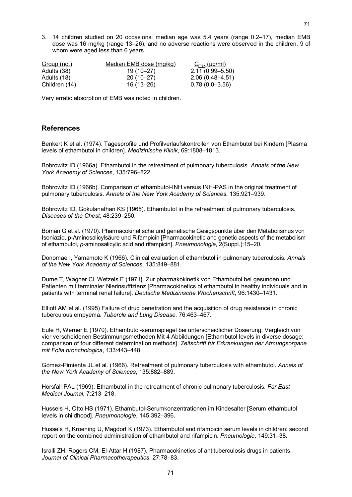3. 14 children studied on 20 occasions: median age was 5.4 years (range 0.2–17), median EMB dose was 16 mg/kg (range 13–26), and no adverse reactions were observed in the children, 9 of whom were aged less than 6 years.

| Group (no.)   | Median EMB dose (mg/kg) | $C_{\text{max}}$ (µg/ml) |
|---------------|-------------------------|--------------------------|
| Adults (38)   | 19 (10–27)              | $2.11(0.99 - 5.50)$      |
| Adults (18)   | $20(10-27)$             | $2.06(0.48 - 4.51)$      |
| Children (14) | 16 (13–26)              | $0.78(0.0 - 3.56)$       |

Very erratic absorption of EMB was noted in children.

#### **References**

Benkert K et al. (1974). Tagesprofile und Profilverlaufskontrollen von Ethambutol bei Kindern [Plasma levels of ethambutol in children]. *Medizinische Klinik*, 69:1808–1813.

Bobrowitz ID (1966a). Ethambutol in the retreatment of pulmonary tuberculosis. *Annals of the New York Academy of Sciences*, 135:796–822.

Bobrowitz ID (1966b). Comparison of ethambutol-INH versus INH-PAS in the original treatment of pulmonary tuberculosis. *Annals of the New York Academy of Sciences*, 135:921–939.

Bobrowitz ID, Gokulanathan KS (1965). Ethambutol in the retreatment of pulmonary tuberculosis. *Diseases of the Chest*, 48:239–250.

Boman G et al. (1970). Pharmacokinetische und genetische Gesigspunkte über den Metabolismus von Isoniazid, pAminosalicylsäure und Rifampicin [Pharmacokinetic and genetic aspects of the metabolism of ethambutol, *p*aminosalicylic acid and rifampicin]. *Pneumonologie*, 2(Suppl.):15–20.

Donomae I, Yamamoto K (1966). Clinical evaluation of ethambutol in pulmonary tuberculosis. *Annals of the New York Academy of Sciences*, 135:849–881.

Dume T, Wagner Cl, Wetzels E (1971**)**. Zur pharmakokinetik von Ethambutol bei gesunden und Patienten mit terminaler Nierinsuffizienz [Pharmacokinetics of ethambutol in healthy individuals and in patients with terminal renal failure]. *Deutsche Medizinische Wochenschrift*, 96:1430–1431.

Elliott AM et al. (1995) Failure of drug penetration and the acquisition of drug resistance in chronic tuberculous empyema. *Tubercle and Lung Disease*, 76:463–467.

Eule H, Werner E (1970). Ethambutol-serumspiegel bei unterscheidlicher Dosierung; Vergleich von vier verscheidenen Bestimmungsmethoden Mit 4 Abbildungen [Ethambutol levels in diverse dosage: comparison of four different determination methods]. *Zeitschrift für Erkrankungen der Atmungsorgane mit Folia bronchologica*, 133:443–448.

Gómez-Pimienta JL et al. (1966). Retreatment of pulmonary tuberculosis with ethambutol. *Annals of the New York Academy of Sciences*, 135:882–889.

Horsfall PAL (1969). Ethambutol in the retreatment of chronic pulmonary tuberculosis. *Far East Medical Journal*, 7:213–218.

Hussels H, Otto HS (1971). Ethambutol-Serumkonzentrationen im Kindesalter [Serum ethambutol levels in childhood]. *Pneumonologie*, 145:392–396.

Hussels H, Kroening U, Magdorf K (1973). Ethambutol and rifampicin serum levels in children: second report on the combined administration of ethambutol and rifampicin. *Pneumologie*, 149:31–38.

Israili ZH, Rogers CM, El-Attar H (1987). Pharmacokinetics of antituberculosis drugs in patients. *Journal of Clinical Pharmacotherapeutics*, 27:78–83.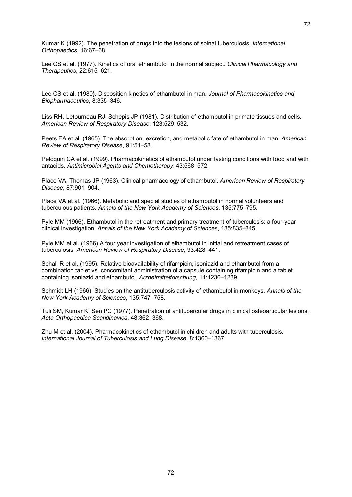Kumar K (1992). The penetration of drugs into the lesions of spinal tuberculosis. *International Orthopaedics*, 16:67–68.

Lee CS et al. (1977). Kinetics of oral ethambutol in the normal subject. *Clinical Pharmacology and Therapeutics*, 22:615–621.

Lee CS et al. (1980**)**. Disposition kinetics of ethambutol in man. *Journal of Pharmacokinetics and Biopharmaceutics*, 8:335–346.

Liss RH, Letourneau RJ, Schepis JP (1981). Distribution of ethambutol in primate tissues and cells. *American Review of Respiratory Disease*, 123:529–532.

Peets EA et al. (1965). The absorption, excretion, and metabolic fate of ethambutol in man. *American Review of Respiratory Disease*, 91:51–58.

Peloquin CA et al. (1999). Pharmacokinetics of ethambutol under fasting conditions with food and with antacids. *Antimicrobial Agents and Chemotherapy*, 43:568–572.

Place VA, Thomas JP (1963). Clinical pharmacology of ethambutol. *American Review of Respiratory Disease*, 87:901–904.

Place VA et al. (1966). Metabolic and special studies of ethambutol in normal volunteers and tuberculous patients. *Annals of the New York Academy of Sciences*, 135:775–795.

Pyle MM (1966). Ethambutol in the retreatment and primary treatment of tuberculosis: a four-year clinical investigation. *Annals of the New York Academy of Sciences*, 135:835–845.

Pyle MM et al. (1966) A four year investigation of ethambutol in initial and retreatment cases of tuberculosis. *American Review of Respiratory Disease*, 93:428–441.

Schall R et al. (1995). Relative bioavailability of rifampicin, isoniazid and ethambutol from a combination tablet vs. concomitant administration of a capsule containing rifampicin and a tablet containing isoniazid and ethambutol. *Arzneimittelforschung*, 11:1236–1239.

Schmidt LH (1966). Studies on the antituberculosis activity of ethambutol in monkeys. *Annals of the New York Academy of Sciences*, 135:747–758.

Tuli SM, Kumar K, Sen PC (1977). Penetration of antitubercular drugs in clinical osteoarticular lesions. *Acta Orthopaedica Scandinavica*, 48:362–368.

Zhu M et al. (2004). Pharmacokinetics of ethambutol in children and adults with tuberculosis. *International Journal of Tuberculosis and Lung Disease*, 8:1360–1367.

72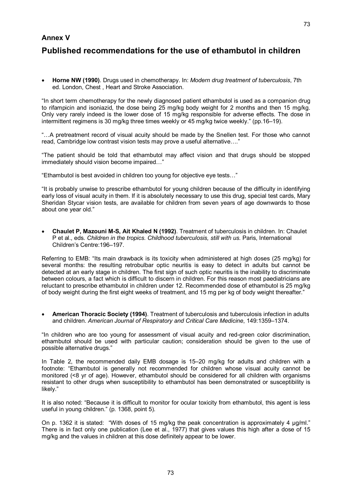## **Annex V**

## **Published recommendations for the use of ethambutol in children**

· **Horne NW (1990)**. Drugs used in chemotherapy. In: *Modern drug treatment of tuberculosis*, 7th ed. London, Chest , Heart and Stroke Association.

"In short term chemotherapy for the newly diagnosed patient ethambutol is used as a companion drug to rifampicin and isoniazid, the dose being 25 mg/kg body weight for 2 months and then 15 mg/kg. Only very rarely indeed is the lower dose of 15 mg/kg responsible for adverse effects. The dose in intermittent regimens is 30 mg/kg three times weekly or 45 mg/kg twice weekly." (pp.16–19).

"…A pretreatment record of visual acuity should be made by the Snellen test. For those who cannot read, Cambridge low contrast vision tests may prove a useful alternative…."

"The patient should be told that ethambutol may affect vision and that drugs should be stopped immediately should vision become impaired…"

"Ethambutol is best avoided in children too young for objective eye tests…"

"It is probably unwise to prescribe ethambutol for young children because of the difficulty in identifying early loss of visual acuity in them. If it is absolutely necessary to use this drug, special test cards, Mary Sheridan Stycar vision tests, are available for children from seven years of age downwards to those about one year old."

· **Chaulet P, Mazouni MS, Ait Khaled N (1992)**. Treatment of tuberculosis in children. In: Chaulet P et al., eds. *Children in the tropics. Childhood tuberculosis, still with us*. Paris, International Children's Centre:196–197.

Referring to EMB: "Its main drawback is its toxicity when administered at high doses (25 mg/kg) for several months: the resulting retrobulbar optic neuritis is easy to detect in adults but cannot be detected at an early stage in children. The first sign of such optic neuritis is the inability to discriminate between colours, a fact which is difficult to discern in children. For this reason most paediatricians are reluctant to prescribe ethambutol in children under 12. Recommended dose of ethambutol is 25 mg/kg of body weight during the first eight weeks of treatment, and 15 mg per kg of body weight thereafter."

· **American Thoracic Society (1994)**. Treatment of tuberculosis and tuberculosis infection in adults and children. *American Journal of Respiratory and Critical Care Medicine*, 149:1359–1374.

"In children who are too young for assessment of visual acuity and redgreen color discrimination, ethambutol should be used with particular caution; consideration should be given to the use of possible alternative drugs."

In Table 2, the recommended daily EMB dosage is 15–20 mg/kg for adults and children with a footnote: "Ethambutol is generally not recommended for children whose visual acuity cannot be monitored (<8 yr of age). However, ethambutol should be considered for all children with organisms resistant to other drugs when susceptibility to ethambutol has been demonstrated or susceptibility is likely."

It is also noted: "Because it is difficult to monitor for ocular toxicity from ethambutol, this agent is less useful in young children." (p. 1368, point 5).

On p. 1362 it is stated: "With doses of 15 mg/kg the peak concentration is approximately 4 µg/ml." There is in fact only one publication (Lee et al., 1977) that gives values this high after a dose of 15 mg/kg and the values in children at this dose definitely appear to be lower.

73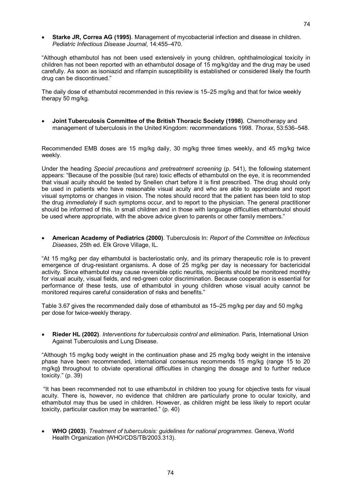· **Starke JR, Correa AG (1995)**. Management of mycobacterial infection and disease in children. *Pediatric Infectious Disease Journal*, 14:455–470.

"Although ethambutol has not been used extensively in young children, ophthalmological toxicity in children has not been reported with an ethambutol dosage of 15 mg/kg/day and the drug may be used carefully. As soon as isoniazid and rifampin susceptibility is established or considered likely the fourth drug can be discontinued."

The daily dose of ethambutol recommended in this review is 15–25 mg/kg and that for twice weekly therapy 50 mg/kg.

· **Joint Tuberculosis Committee of the British Thoracic Society (1998)***.* Chemotherapy and management of tuberculosis in the United Kingdom: recommendations 1998. *Thorax*, 53:536–548.

Recommended EMB doses are 15 mg/kg daily, 30 mg/kg three times weekly, and 45 mg/kg twice weekly.

Under the heading *Special precautions and pretreatment screening* (p. 541), the following statement appears: "Because of the possible (but rare) toxic effects of ethambutol on the eye, it is recommended that visual acuity should be tested by Snellen chart before it is first prescribed. The drug should only be used in patients who have reasonable visual acuity and who are able to appreciate and report visual symptoms or changes in vision. The notes should record that the patient has been told to stop the drug *immediately* if such symptoms occur, and to report to the physician. The general practitioner should be informed of this. In small children and in those with language difficulties ethambutol should be used where appropriate, with the above advice given to parents or other family members."

· **American Academy of Pediatrics (2000)**. Tuberculosis In: *Report of the Committee on Infectious Diseases*, 25th ed. Elk Grove Village, IL.

"At 15 mg/kg per day ethambutol is bacteriostatic only, and its primary therapeutic role is to prevent emergence of drug-resistant organisms. A dose of 25 mg/kg per day is necessary for bactericidal activity. Since ethambutol may cause reversible optic neuritis, recipients should be monitored monthly for visual acuity, visual fields, and red-green color discrimination. Because cooperation is essential for performance of these tests, use of ethambutol in young children whose visual acuity cannot be monitored requires careful consideration of risks and benefits."

Table 3.67 gives the recommended daily dose of ethambutol as 15–25 mg/kg per day and 50 mg/kg per dose for twice-weekly therapy.

· **Rieder HL (2002)**. *Interventions for tuberculosis control and elimination*. Paris, International Union Against Tuberculosis and Lung Disease.

"Although 15 mg/kg body weight in the continuation phase and 25 mg/kg body weight in the intensive phase have been recommended, international consensus recommends 15 mg/kg (range 15 to 20 mg/kg**)** throughout to obviate operational difficulties in changing the dosage and to further reduce toxicity." (p. 39)

"It has been recommended not to use ethambutol in children too young for objective tests for visual acuity. There is, however, no evidence that children are particularly prone to ocular toxicity, and ethambutol may thus be used in children. However, as children might be less likely to report ocular toxicity, particular caution may be warranted." (p. 40)

· **WHO (2003)**. *Treatment of tuberculosis: guidelines for national programmes*. Geneva, World Health Organization (WHO/CDS/TB/2003.313).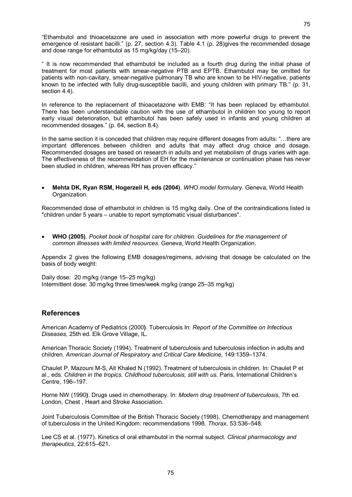"Ethambutol and thioacetazone are used in association with more powerful drugs to prevent the emergence of resistant bacilli." (p. 27, section 4.3). Table 4.1 (p. 28)gives the recommended dosage and dose range for ethambutol as 15 mg/kg/day (15–20).

" It is now recommended that ethambutol be included as a fourth drug during the initial phase of treatment for most patients with smear-negative PTB and EPTB. Ethambutol may be omitted for patients with non-cavitary, smear-negative pulmonary TB who are known to be HIV-negative, patients known to be infected with fully drug-susceptible bacilli, and young children with primary TB." (p. 31, section 4.4).

In reference to the replacement of thioacetazone with EMB: "It has been replaced by ethambutol. There has been understandable caution with the use of ethambutol in children too young to report early visual deterioration, but ethambutol has been safely used in infants and young children at recommended dosages." (p. 64, section 8.4).

In the same section it is conceded that children may require different dosages from adults: "…there are important differences between children and adults that may affect drug choice and dosage. Recommended dosages are based on research in adults and yet metabolism of drugs varies with age. The effectiveness of the recommendation of EH for the maintenance or continuation phase has never been studied in children, whereas RH has proven efficacy."

· **Mehta DK, Ryan RSM, Hogerzeil H, eds (2004)**. *WHO model formulary.* Geneva, World Health Organization.

Recommended dose of ethambutol in children is 15 mg/kg daily. One of the contraindications listed is "children under 5 years – unable to report symptomatic visual disturbances".

· **WHO (2005)**. *Pocket book of hospital care for children. Guidelines for the management of common illnesses with limited resources*. Geneva, World Health Organization.

Appendix 2 gives the following EMB dosages/regimens, advising that dosage be calculated on the basis of body weight:

Daily dose: 20 mg/kg (range 15–25 mg/kg) Intermittent dose: 30 mg/kg three times/week mg/kg (range 25–35 mg/kg)

## **References**

American Academy of Pediatrics (2000**)**. Tuberculosis In: *Report of the Committee on Infectious Diseases*, 25th ed. Elk Grove Village, IL.

American Thoracic Society (1994). Treatment of tuberculosis and tuberculosis infection in adults and children. *American Journal of Respiratory and Critical Care Medicine*, 149:1359–1374.

Chaulet P, Mazouni M-S, Ait Khaled N (1992). Treatment of tuberculosis in children. In: Chaulet P et al., eds. *Children in the tropics. Childhood tuberculosis, still with us.* Paris, International Children's Centre, 196–197.

Horne NW (1990**)**. Drugs used in chemotherapy. In: *Modern drug treatment of tuberculosis*, 7th ed. London, Chest , Heart and Stroke Association.

Joint Tuberculosis Committee of the British Thoracic Society (1998)*.* Chemotherapy and management of tuberculosis in the United Kingdom: recommendations 1998. *Thorax*, 53:536–548.

Lee CS et al. (1977). Kinetics of oral ethambutol in the normal subject. *Clinical pharmacology and therapeutics*, 22:615–621.